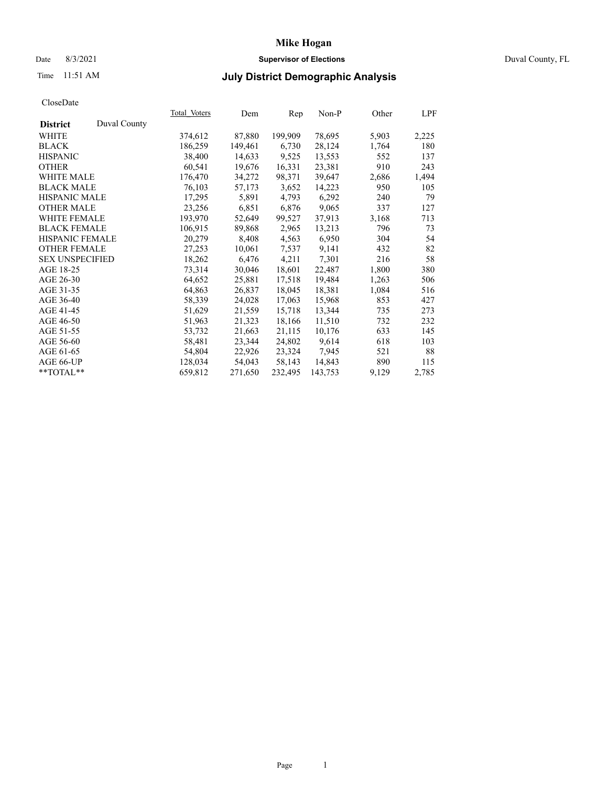#### Date 8/3/2021 **Supervisor of Elections** Duval County, FL

## Time 11:51 AM **July District Demographic Analysis**

|                        |              | Total Voters | Dem     | Rep     | Non-P   | Other | LPF   |
|------------------------|--------------|--------------|---------|---------|---------|-------|-------|
| <b>District</b>        | Duval County |              |         |         |         |       |       |
| WHITE                  |              | 374,612      | 87,880  | 199,909 | 78,695  | 5,903 | 2,225 |
| <b>BLACK</b>           |              | 186,259      | 149,461 | 6,730   | 28,124  | 1,764 | 180   |
| <b>HISPANIC</b>        |              | 38,400       | 14,633  | 9,525   | 13,553  | 552   | 137   |
| <b>OTHER</b>           |              | 60,541       | 19,676  | 16,331  | 23,381  | 910   | 243   |
| <b>WHITE MALE</b>      |              | 176,470      | 34,272  | 98,371  | 39,647  | 2,686 | 1,494 |
| <b>BLACK MALE</b>      |              | 76,103       | 57,173  | 3,652   | 14,223  | 950   | 105   |
| <b>HISPANIC MALE</b>   |              | 17,295       | 5,891   | 4,793   | 6,292   | 240   | 79    |
| <b>OTHER MALE</b>      |              | 23,256       | 6,851   | 6,876   | 9,065   | 337   | 127   |
| WHITE FEMALE           |              | 193,970      | 52,649  | 99,527  | 37,913  | 3,168 | 713   |
| <b>BLACK FEMALE</b>    |              | 106,915      | 89,868  | 2,965   | 13,213  | 796   | 73    |
| HISPANIC FEMALE        |              | 20,279       | 8,408   | 4,563   | 6,950   | 304   | 54    |
| <b>OTHER FEMALE</b>    |              | 27,253       | 10,061  | 7,537   | 9,141   | 432   | 82    |
| <b>SEX UNSPECIFIED</b> |              | 18,262       | 6,476   | 4,211   | 7,301   | 216   | 58    |
| AGE 18-25              |              | 73,314       | 30,046  | 18,601  | 22,487  | 1,800 | 380   |
| AGE 26-30              |              | 64,652       | 25,881  | 17,518  | 19,484  | 1,263 | 506   |
| AGE 31-35              |              | 64,863       | 26,837  | 18,045  | 18,381  | 1,084 | 516   |
| AGE 36-40              |              | 58,339       | 24,028  | 17,063  | 15,968  | 853   | 427   |
| AGE 41-45              |              | 51,629       | 21,559  | 15,718  | 13,344  | 735   | 273   |
| AGE 46-50              |              | 51,963       | 21,323  | 18,166  | 11,510  | 732   | 232   |
| AGE 51-55              |              | 53,732       | 21,663  | 21,115  | 10,176  | 633   | 145   |
| AGE 56-60              |              | 58,481       | 23,344  | 24,802  | 9,614   | 618   | 103   |
| AGE 61-65              |              | 54,804       | 22,926  | 23,324  | 7,945   | 521   | 88    |
| AGE 66-UP              |              | 128,034      | 54,043  | 58,143  | 14,843  | 890   | 115   |
| **TOTAL**              |              | 659,812      | 271,650 | 232,495 | 143,753 | 9,129 | 2,785 |
|                        |              |              |         |         |         |       |       |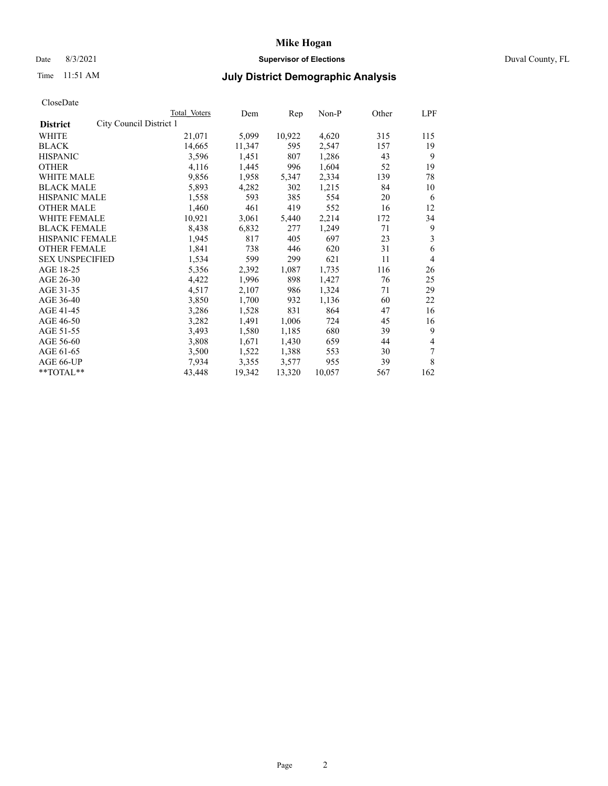## Date 8/3/2021 **Supervisor of Elections** Duval County, FL

# Time 11:51 AM **July District Demographic Analysis**

|                                            | <b>Total Voters</b> | Dem    | Rep    | $Non-P$ | Other | LPF |
|--------------------------------------------|---------------------|--------|--------|---------|-------|-----|
| City Council District 1<br><b>District</b> |                     |        |        |         |       |     |
| WHITE                                      | 21,071              | 5,099  | 10,922 | 4,620   | 315   | 115 |
| <b>BLACK</b>                               | 14,665              | 11,347 | 595    | 2,547   | 157   | 19  |
| <b>HISPANIC</b>                            | 3,596               | 1,451  | 807    | 1,286   | 43    | 9   |
| <b>OTHER</b>                               | 4,116               | 1,445  | 996    | 1,604   | 52    | 19  |
| <b>WHITE MALE</b>                          | 9,856               | 1,958  | 5,347  | 2,334   | 139   | 78  |
| <b>BLACK MALE</b>                          | 5,893               | 4,282  | 302    | 1,215   | 84    | 10  |
| <b>HISPANIC MALE</b>                       | 1,558               | 593    | 385    | 554     | 20    | 6   |
| <b>OTHER MALE</b>                          | 1,460               | 461    | 419    | 552     | 16    | 12  |
| WHITE FEMALE                               | 10,921              | 3,061  | 5,440  | 2,214   | 172   | 34  |
| <b>BLACK FEMALE</b>                        | 8,438               | 6,832  | 277    | 1,249   | 71    | 9   |
| HISPANIC FEMALE                            | 1,945               | 817    | 405    | 697     | 23    | 3   |
| <b>OTHER FEMALE</b>                        | 1,841               | 738    | 446    | 620     | 31    | 6   |
| <b>SEX UNSPECIFIED</b>                     | 1,534               | 599    | 299    | 621     | 11    | 4   |
| AGE 18-25                                  | 5,356               | 2,392  | 1,087  | 1,735   | 116   | 26  |
| AGE 26-30                                  | 4,422               | 1,996  | 898    | 1,427   | 76    | 25  |
| AGE 31-35                                  | 4,517               | 2,107  | 986    | 1,324   | 71    | 29  |
| AGE 36-40                                  | 3,850               | 1,700  | 932    | 1,136   | 60    | 22  |
| AGE 41-45                                  | 3,286               | 1,528  | 831    | 864     | 47    | 16  |
| AGE 46-50                                  | 3,282               | 1,491  | 1,006  | 724     | 45    | 16  |
| AGE 51-55                                  | 3,493               | 1,580  | 1,185  | 680     | 39    | 9   |
| AGE 56-60                                  | 3,808               | 1,671  | 1,430  | 659     | 44    | 4   |
| AGE 61-65                                  | 3,500               | 1,522  | 1,388  | 553     | 30    | 7   |
| AGE 66-UP                                  | 7,934               | 3,355  | 3,577  | 955     | 39    | 8   |
| $*$ $TOTAL**$                              | 43,448              | 19,342 | 13,320 | 10,057  | 567   | 162 |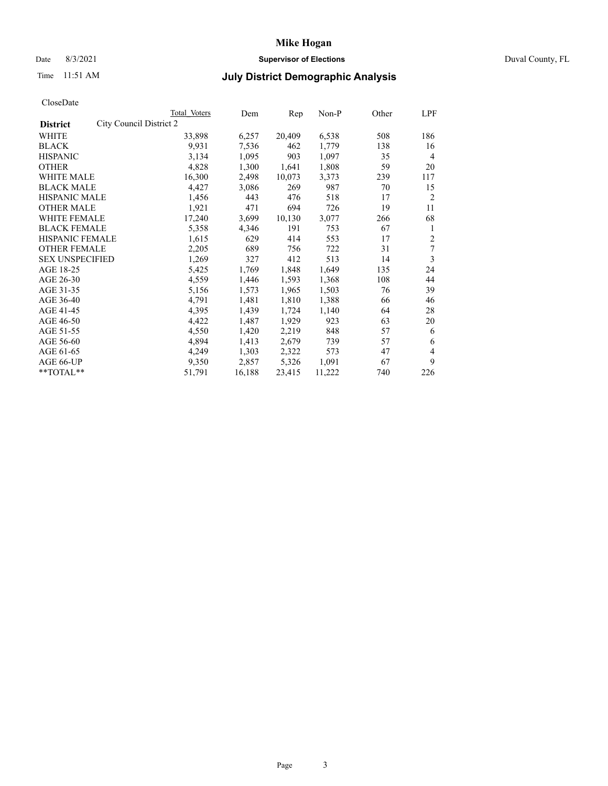## Date 8/3/2021 **Supervisor of Elections** Duval County, FL

# Time 11:51 AM **July District Demographic Analysis**

|                                            | Total Voters | Dem    | Rep    | Non-P  | Other | LPF            |
|--------------------------------------------|--------------|--------|--------|--------|-------|----------------|
| City Council District 2<br><b>District</b> |              |        |        |        |       |                |
| WHITE                                      | 33,898       | 6,257  | 20,409 | 6,538  | 508   | 186            |
| <b>BLACK</b>                               | 9,931        | 7,536  | 462    | 1,779  | 138   | 16             |
| <b>HISPANIC</b>                            | 3,134        | 1,095  | 903    | 1,097  | 35    | $\overline{4}$ |
| <b>OTHER</b>                               | 4,828        | 1,300  | 1,641  | 1,808  | 59    | 20             |
| WHITE MALE                                 | 16,300       | 2,498  | 10,073 | 3,373  | 239   | 117            |
| <b>BLACK MALE</b>                          | 4,427        | 3,086  | 269    | 987    | 70    | 15             |
| <b>HISPANIC MALE</b>                       | 1,456        | 443    | 476    | 518    | 17    | $\overline{2}$ |
| <b>OTHER MALE</b>                          | 1,921        | 471    | 694    | 726    | 19    | 11             |
| <b>WHITE FEMALE</b>                        | 17,240       | 3,699  | 10,130 | 3,077  | 266   | 68             |
| <b>BLACK FEMALE</b>                        | 5,358        | 4,346  | 191    | 753    | 67    | 1              |
| <b>HISPANIC FEMALE</b>                     | 1,615        | 629    | 414    | 553    | 17    | 2              |
| <b>OTHER FEMALE</b>                        | 2,205        | 689    | 756    | 722    | 31    | 7              |
| <b>SEX UNSPECIFIED</b>                     | 1,269        | 327    | 412    | 513    | 14    | 3              |
| AGE 18-25                                  | 5,425        | 1,769  | 1,848  | 1,649  | 135   | 24             |
| AGE 26-30                                  | 4,559        | 1,446  | 1,593  | 1,368  | 108   | 44             |
| AGE 31-35                                  | 5,156        | 1,573  | 1,965  | 1,503  | 76    | 39             |
| AGE 36-40                                  | 4,791        | 1,481  | 1,810  | 1,388  | 66    | 46             |
| AGE 41-45                                  | 4,395        | 1,439  | 1,724  | 1,140  | 64    | 28             |
| AGE 46-50                                  | 4,422        | 1,487  | 1,929  | 923    | 63    | 20             |
| AGE 51-55                                  | 4,550        | 1,420  | 2,219  | 848    | 57    | 6              |
| AGE 56-60                                  | 4,894        | 1,413  | 2,679  | 739    | 57    | 6              |
| AGE 61-65                                  | 4,249        | 1,303  | 2,322  | 573    | 47    | 4              |
| AGE 66-UP                                  | 9,350        | 2,857  | 5,326  | 1,091  | 67    | 9              |
| **TOTAL**                                  | 51,791       | 16,188 | 23,415 | 11,222 | 740   | 226            |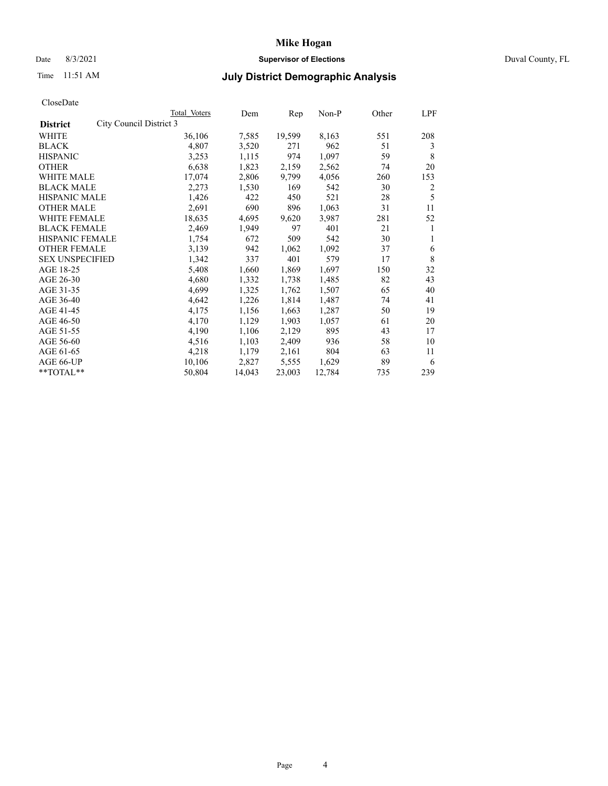## Date 8/3/2021 **Supervisor of Elections** Duval County, FL

# Time 11:51 AM **July District Demographic Analysis**

|                                            | Total Voters | Dem    | Rep    | $Non-P$ | Other | LPF |
|--------------------------------------------|--------------|--------|--------|---------|-------|-----|
| City Council District 3<br><b>District</b> |              |        |        |         |       |     |
| WHITE                                      | 36,106       | 7,585  | 19,599 | 8,163   | 551   | 208 |
| <b>BLACK</b>                               | 4,807        | 3,520  | 271    | 962     | 51    | 3   |
| <b>HISPANIC</b>                            | 3,253        | 1,115  | 974    | 1,097   | 59    | 8   |
| <b>OTHER</b>                               | 6,638        | 1,823  | 2,159  | 2,562   | 74    | 20  |
| <b>WHITE MALE</b>                          | 17,074       | 2,806  | 9,799  | 4,056   | 260   | 153 |
| <b>BLACK MALE</b>                          | 2,273        | 1,530  | 169    | 542     | 30    | 2   |
| <b>HISPANIC MALE</b>                       | 1,426        | 422    | 450    | 521     | 28    | 5   |
| <b>OTHER MALE</b>                          | 2,691        | 690    | 896    | 1,063   | 31    | 11  |
| <b>WHITE FEMALE</b>                        | 18,635       | 4,695  | 9,620  | 3,987   | 281   | 52  |
| <b>BLACK FEMALE</b>                        | 2,469        | 1,949  | 97     | 401     | 21    | 1   |
| HISPANIC FEMALE                            | 1,754        | 672    | 509    | 542     | 30    | 1   |
| <b>OTHER FEMALE</b>                        | 3,139        | 942    | 1,062  | 1,092   | 37    | 6   |
| <b>SEX UNSPECIFIED</b>                     | 1,342        | 337    | 401    | 579     | 17    | 8   |
| AGE 18-25                                  | 5,408        | 1,660  | 1,869  | 1,697   | 150   | 32  |
| AGE 26-30                                  | 4,680        | 1,332  | 1,738  | 1,485   | 82    | 43  |
| AGE 31-35                                  | 4,699        | 1,325  | 1,762  | 1,507   | 65    | 40  |
| AGE 36-40                                  | 4,642        | 1,226  | 1,814  | 1,487   | 74    | 41  |
| AGE 41-45                                  | 4,175        | 1,156  | 1,663  | 1,287   | 50    | 19  |
| AGE 46-50                                  | 4,170        | 1,129  | 1,903  | 1,057   | 61    | 20  |
| AGE 51-55                                  | 4,190        | 1,106  | 2,129  | 895     | 43    | 17  |
| AGE 56-60                                  | 4,516        | 1,103  | 2,409  | 936     | 58    | 10  |
| AGE 61-65                                  | 4,218        | 1,179  | 2,161  | 804     | 63    | 11  |
| AGE 66-UP                                  | 10,106       | 2,827  | 5,555  | 1,629   | 89    | 6   |
| $*$ $TOTAL**$                              | 50,804       | 14,043 | 23,003 | 12,784  | 735   | 239 |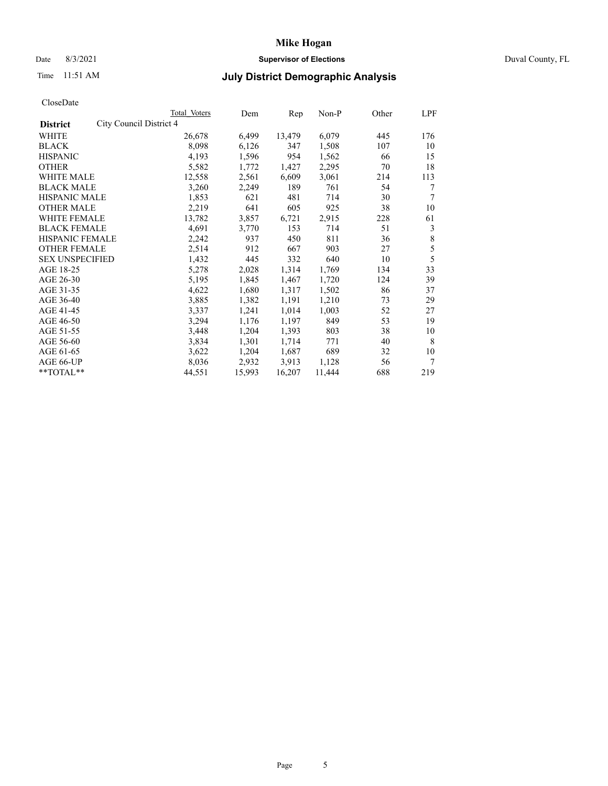## Date 8/3/2021 **Supervisor of Elections** Duval County, FL

# Time 11:51 AM **July District Demographic Analysis**

|                                            | Total Voters | Dem    | Rep    | $Non-P$ | Other | LPF |
|--------------------------------------------|--------------|--------|--------|---------|-------|-----|
| City Council District 4<br><b>District</b> |              |        |        |         |       |     |
| WHITE                                      | 26,678       | 6,499  | 13,479 | 6,079   | 445   | 176 |
| <b>BLACK</b>                               | 8,098        | 6,126  | 347    | 1,508   | 107   | 10  |
| <b>HISPANIC</b>                            | 4,193        | 1,596  | 954    | 1,562   | 66    | 15  |
| <b>OTHER</b>                               | 5,582        | 1,772  | 1,427  | 2,295   | 70    | 18  |
| <b>WHITE MALE</b>                          | 12,558       | 2,561  | 6,609  | 3,061   | 214   | 113 |
| <b>BLACK MALE</b>                          | 3,260        | 2,249  | 189    | 761     | 54    | 7   |
| <b>HISPANIC MALE</b>                       | 1,853        | 621    | 481    | 714     | 30    | 7   |
| <b>OTHER MALE</b>                          | 2,219        | 641    | 605    | 925     | 38    | 10  |
| <b>WHITE FEMALE</b>                        | 13,782       | 3,857  | 6,721  | 2,915   | 228   | 61  |
| <b>BLACK FEMALE</b>                        | 4,691        | 3,770  | 153    | 714     | 51    | 3   |
| HISPANIC FEMALE                            | 2,242        | 937    | 450    | 811     | 36    | 8   |
| <b>OTHER FEMALE</b>                        | 2,514        | 912    | 667    | 903     | 27    | 5   |
| <b>SEX UNSPECIFIED</b>                     | 1,432        | 445    | 332    | 640     | 10    | 5   |
| AGE 18-25                                  | 5,278        | 2,028  | 1,314  | 1,769   | 134   | 33  |
| AGE 26-30                                  | 5,195        | 1,845  | 1,467  | 1,720   | 124   | 39  |
| AGE 31-35                                  | 4,622        | 1,680  | 1,317  | 1,502   | 86    | 37  |
| AGE 36-40                                  | 3,885        | 1,382  | 1,191  | 1,210   | 73    | 29  |
| AGE 41-45                                  | 3,337        | 1,241  | 1,014  | 1,003   | 52    | 27  |
| AGE 46-50                                  | 3,294        | 1,176  | 1,197  | 849     | 53    | 19  |
| AGE 51-55                                  | 3,448        | 1,204  | 1,393  | 803     | 38    | 10  |
| AGE 56-60                                  | 3,834        | 1,301  | 1,714  | 771     | 40    | 8   |
| AGE 61-65                                  | 3,622        | 1,204  | 1,687  | 689     | 32    | 10  |
| AGE 66-UP                                  | 8,036        | 2,932  | 3,913  | 1,128   | 56    | 7   |
| $*$ $TOTAL**$                              | 44,551       | 15,993 | 16,207 | 11,444  | 688   | 219 |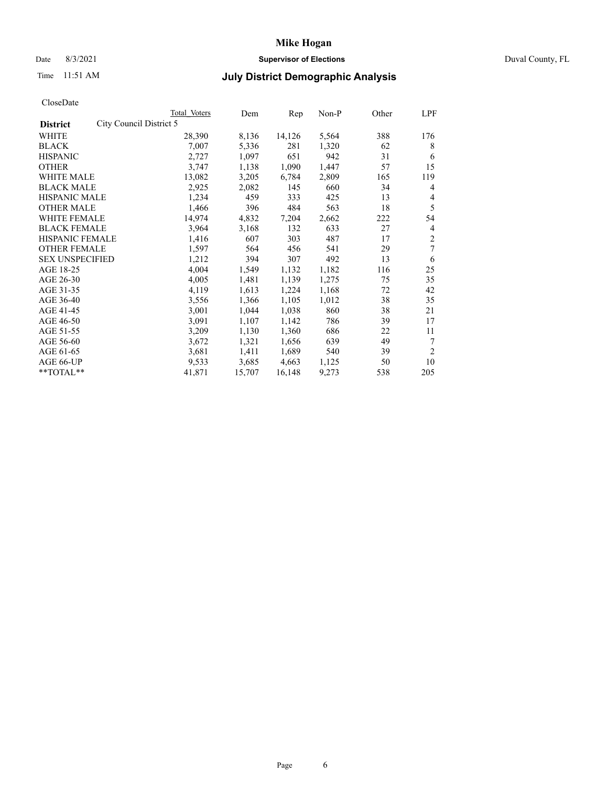## Date 8/3/2021 **Supervisor of Elections** Duval County, FL

# Time 11:51 AM **July District Demographic Analysis**

|                        |                         | Total Voters | Dem    | Rep    | $Non-P$ | Other | LPF            |
|------------------------|-------------------------|--------------|--------|--------|---------|-------|----------------|
| <b>District</b>        | City Council District 5 |              |        |        |         |       |                |
| WHITE                  |                         | 28,390       | 8,136  | 14,126 | 5,564   | 388   | 176            |
| <b>BLACK</b>           |                         | 7.007        | 5,336  | 281    | 1,320   | 62    | 8              |
| <b>HISPANIC</b>        |                         | 2,727        | 1,097  | 651    | 942     | 31    | 6              |
| <b>OTHER</b>           |                         | 3,747        | 1,138  | 1,090  | 1,447   | 57    | 15             |
| <b>WHITE MALE</b>      |                         | 13,082       | 3,205  | 6,784  | 2,809   | 165   | 119            |
| <b>BLACK MALE</b>      |                         | 2,925        | 2,082  | 145    | 660     | 34    | 4              |
| <b>HISPANIC MALE</b>   |                         | 1,234        | 459    | 333    | 425     | 13    | 4              |
| <b>OTHER MALE</b>      |                         | 1,466        | 396    | 484    | 563     | 18    | 5              |
| WHITE FEMALE           |                         | 14,974       | 4,832  | 7,204  | 2,662   | 222   | 54             |
| <b>BLACK FEMALE</b>    |                         | 3,964        | 3,168  | 132    | 633     | 27    | 4              |
| <b>HISPANIC FEMALE</b> |                         | 1,416        | 607    | 303    | 487     | 17    | $\overline{2}$ |
| <b>OTHER FEMALE</b>    |                         | 1,597        | 564    | 456    | 541     | 29    | 7              |
| <b>SEX UNSPECIFIED</b> |                         | 1,212        | 394    | 307    | 492     | 13    | 6              |
| AGE 18-25              |                         | 4,004        | 1,549  | 1,132  | 1,182   | 116   | 25             |
| AGE 26-30              |                         | 4,005        | 1,481  | 1,139  | 1,275   | 75    | 35             |
| AGE 31-35              |                         | 4,119        | 1,613  | 1,224  | 1,168   | 72    | 42             |
| AGE 36-40              |                         | 3,556        | 1,366  | 1,105  | 1,012   | 38    | 35             |
| AGE 41-45              |                         | 3,001        | 1,044  | 1,038  | 860     | 38    | 21             |
| AGE 46-50              |                         | 3,091        | 1,107  | 1,142  | 786     | 39    | 17             |
| AGE 51-55              |                         | 3,209        | 1,130  | 1,360  | 686     | 22    | 11             |
| AGE 56-60              |                         | 3,672        | 1,321  | 1,656  | 639     | 49    | 7              |
| AGE 61-65              |                         | 3,681        | 1,411  | 1,689  | 540     | 39    | $\overline{2}$ |
| AGE 66-UP              |                         | 9,533        | 3,685  | 4,663  | 1,125   | 50    | 10             |
| $*$ $TOTAL**$          |                         | 41,871       | 15,707 | 16,148 | 9,273   | 538   | 205            |
|                        |                         |              |        |        |         |       |                |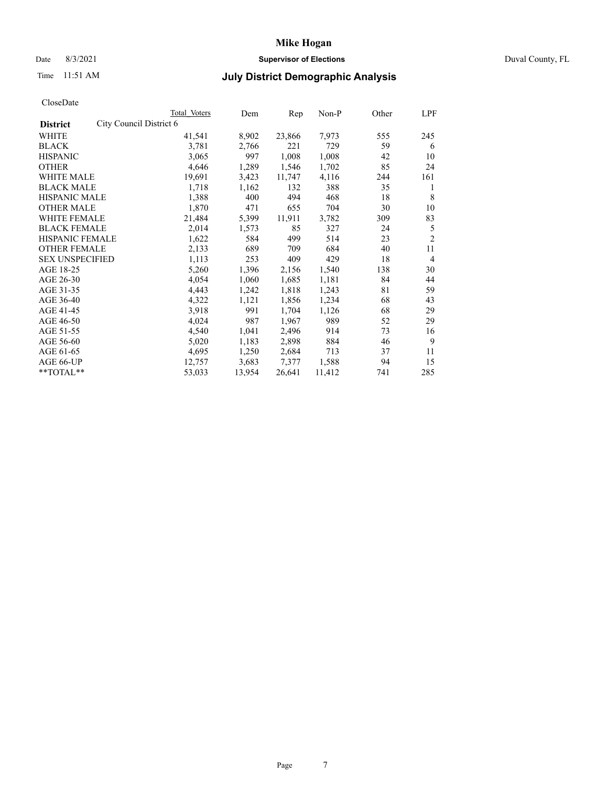## Date 8/3/2021 **Supervisor of Elections** Duval County, FL

# Time 11:51 AM **July District Demographic Analysis**

| Total Voters | Dem                     | Rep    | $Non-P$ |     | LPF            |
|--------------|-------------------------|--------|---------|-----|----------------|
|              |                         |        |         |     |                |
| 41,541       | 8,902                   | 23,866 | 7,973   | 555 | 245            |
| 3,781        | 2,766                   | 221    | 729     | 59  | 6              |
| 3,065        | 997                     | 1,008  | 1,008   | 42  | 10             |
| 4,646        | 1,289                   | 1,546  | 1,702   | 85  | 24             |
| 19,691       | 3,423                   | 11,747 | 4,116   | 244 | 161            |
| 1,718        | 1,162                   | 132    | 388     | 35  | 1              |
| 1,388        | 400                     | 494    | 468     | 18  | 8              |
| 1,870        | 471                     | 655    | 704     | 30  | 10             |
| 21,484       | 5,399                   | 11,911 | 3,782   | 309 | 83             |
| 2,014        | 1,573                   | 85     | 327     | 24  | 5              |
| 1,622        | 584                     | 499    | 514     | 23  | $\overline{2}$ |
| 2,133        | 689                     | 709    | 684     | 40  | 11             |
| 1,113        | 253                     | 409    | 429     | 18  | $\overline{4}$ |
| 5,260        | 1,396                   | 2,156  | 1,540   | 138 | 30             |
| 4,054        | 1,060                   | 1,685  | 1,181   | 84  | 44             |
| 4,443        | 1,242                   | 1,818  | 1,243   | 81  | 59             |
| 4,322        | 1,121                   | 1,856  | 1,234   | 68  | 43             |
| 3,918        | 991                     | 1,704  | 1,126   | 68  | 29             |
| 4,024        | 987                     | 1,967  | 989     | 52  | 29             |
| 4,540        | 1,041                   | 2,496  | 914     | 73  | 16             |
| 5,020        | 1,183                   | 2,898  | 884     | 46  | 9              |
| 4,695        | 1,250                   | 2,684  | 713     | 37  | 11             |
| 12,757       | 3,683                   | 7,377  | 1,588   | 94  | 15             |
| 53,033       | 13,954                  | 26,641 | 11,412  | 741 | 285            |
|              | City Council District 6 |        |         |     | Other          |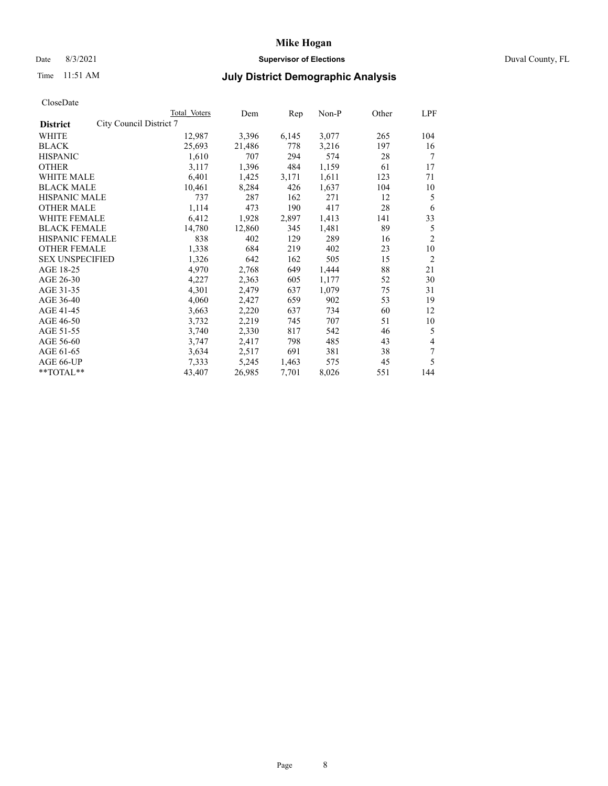### Date 8/3/2021 **Supervisor of Elections** Duval County, FL

# Time 11:51 AM **July District Demographic Analysis**

|                                            | Total Voters | Dem    | Rep   | Non-P | Other | LPF            |
|--------------------------------------------|--------------|--------|-------|-------|-------|----------------|
| City Council District 7<br><b>District</b> |              |        |       |       |       |                |
| WHITE                                      | 12,987       | 3,396  | 6,145 | 3,077 | 265   | 104            |
| <b>BLACK</b>                               | 25,693       | 21,486 | 778   | 3,216 | 197   | 16             |
| <b>HISPANIC</b>                            | 1,610        | 707    | 294   | 574   | 28    | 7              |
| <b>OTHER</b>                               | 3,117        | 1,396  | 484   | 1,159 | 61    | 17             |
| <b>WHITE MALE</b>                          | 6,401        | 1,425  | 3,171 | 1,611 | 123   | 71             |
| <b>BLACK MALE</b>                          | 10,461       | 8,284  | 426   | 1,637 | 104   | 10             |
| <b>HISPANIC MALE</b>                       | 737          | 287    | 162   | 271   | 12    | 5              |
| <b>OTHER MALE</b>                          | 1,114        | 473    | 190   | 417   | 28    | 6              |
| WHITE FEMALE                               | 6,412        | 1,928  | 2,897 | 1,413 | 141   | 33             |
| <b>BLACK FEMALE</b>                        | 14,780       | 12,860 | 345   | 1,481 | 89    | 5              |
| HISPANIC FEMALE                            | 838          | 402    | 129   | 289   | 16    | $\overline{2}$ |
| <b>OTHER FEMALE</b>                        | 1,338        | 684    | 219   | 402   | 23    | 10             |
| <b>SEX UNSPECIFIED</b>                     | 1,326        | 642    | 162   | 505   | 15    | 2              |
| AGE 18-25                                  | 4,970        | 2,768  | 649   | 1,444 | 88    | 21             |
| AGE 26-30                                  | 4,227        | 2,363  | 605   | 1,177 | 52    | 30             |
| AGE 31-35                                  | 4,301        | 2,479  | 637   | 1,079 | 75    | 31             |
| AGE 36-40                                  | 4,060        | 2,427  | 659   | 902   | 53    | 19             |
| AGE 41-45                                  | 3,663        | 2,220  | 637   | 734   | 60    | 12             |
| AGE 46-50                                  | 3,732        | 2,219  | 745   | 707   | 51    | 10             |
| AGE 51-55                                  | 3,740        | 2,330  | 817   | 542   | 46    | 5              |
| AGE 56-60                                  | 3,747        | 2,417  | 798   | 485   | 43    | 4              |
| AGE 61-65                                  | 3,634        | 2,517  | 691   | 381   | 38    | 7              |
| AGE 66-UP                                  | 7,333        | 5,245  | 1,463 | 575   | 45    | 5              |
| $*$ $TOTAL**$                              | 43,407       | 26,985 | 7,701 | 8,026 | 551   | 144            |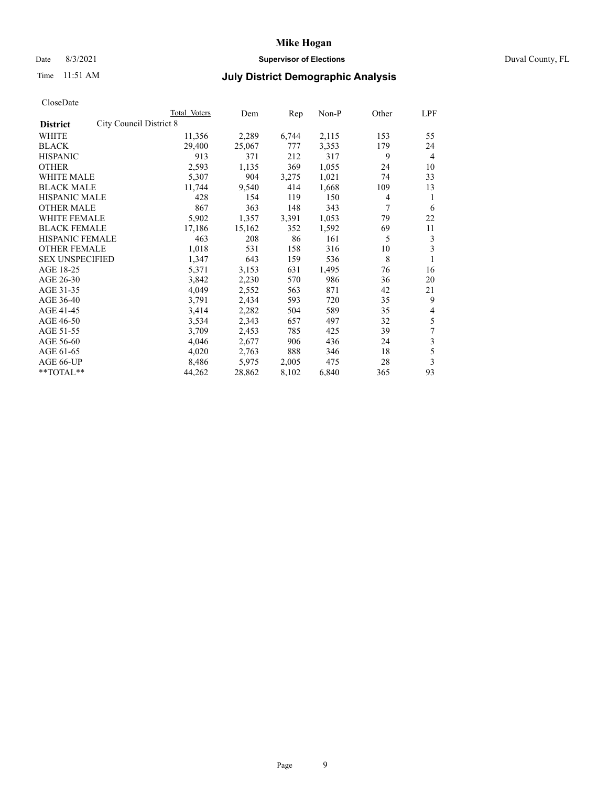## Date 8/3/2021 **Supervisor of Elections** Duval County, FL

# Time 11:51 AM **July District Demographic Analysis**

| CloseDate |
|-----------|
|-----------|

|                                            | Total Voters | Dem    | Rep   | Non-P | Other | LPF            |
|--------------------------------------------|--------------|--------|-------|-------|-------|----------------|
| City Council District 8<br><b>District</b> |              |        |       |       |       |                |
| WHITE                                      | 11,356       | 2,289  | 6,744 | 2,115 | 153   | 55             |
| BLACK                                      | 29,400       | 25,067 | 777   | 3,353 | 179   | 24             |
| HISPANIC                                   | 913          | 371    | 212   | 317   | 9     | 4              |
| OTHER                                      | 2,593        | 1,135  | 369   | 1,055 | 24    | 10             |
| WHITE MALE                                 | 5,307        | 904    | 3,275 | 1,021 | 74    | 33             |
| <b>BLACK MALE</b>                          | 11,744       | 9,540  | 414   | 1,668 | 109   | 13             |
| HISPANIC MALE                              | 428          | 154    | 119   | 150   | 4     | 1              |
| <b>OTHER MALE</b>                          | 867          | 363    | 148   | 343   | 7     | 6              |
| WHITE FEMALE                               | 5,902        | 1,357  | 3,391 | 1,053 | 79    | 22             |
| BLACK FEMALE                               | 17,186       | 15,162 | 352   | 1,592 | 69    | 11             |
| HISPANIC FEMALE                            | 463          | 208    | 86    | 161   | 5     | 3              |
| OTHER FEMALE                               | 1,018        | 531    | 158   | 316   | 10    | 3              |
| <b>SEX UNSPECIFIED</b>                     | 1,347        | 643    | 159   | 536   | 8     | 1              |
| AGE 18-25                                  | 5,371        | 3,153  | 631   | 1,495 | 76    | 16             |
| AGE 26-30                                  | 3,842        | 2,230  | 570   | 986   | 36    | 20             |
| AGE 31-35                                  | 4,049        | 2,552  | 563   | 871   | 42    | 21             |
| AGE 36-40                                  | 3,791        | 2,434  | 593   | 720   | 35    | 9              |
| AGE 41-45                                  | 3,414        | 2,282  | 504   | 589   | 35    | 4              |
| AGE 46-50                                  | 3,534        | 2,343  | 657   | 497   | 32    | 5              |
| AGE 51-55                                  | 3,709        | 2,453  | 785   | 425   | 39    | 7              |
| AGE 56-60                                  | 4,046        | 2,677  | 906   | 436   | 24    | $\mathfrak{Z}$ |
| AGE 61-65                                  | 4,020        | 2,763  | 888   | 346   | 18    | 5              |
| AGE 66-UP                                  | 8,486        | 5,975  | 2,005 | 475   | 28    | 3              |
| $*$ $TOTAL**$                              | 44,262       | 28,862 | 8,102 | 6,840 | 365   | 93             |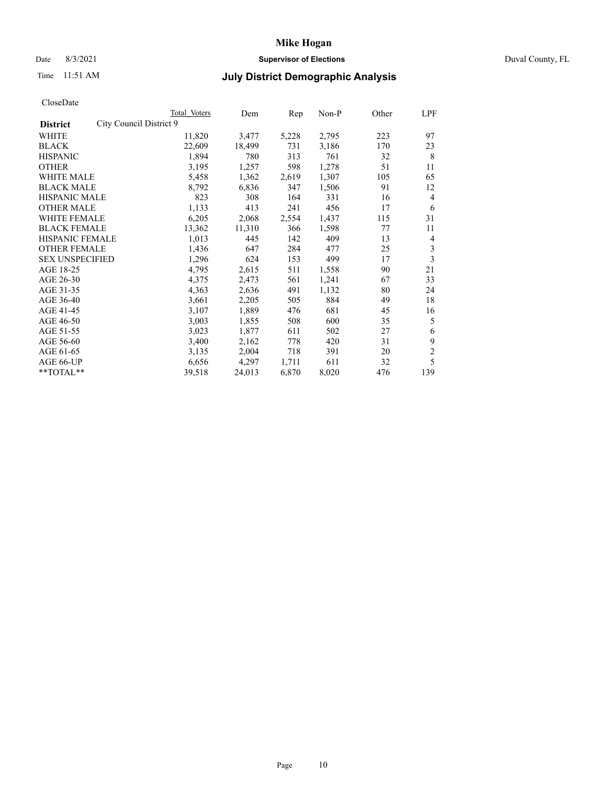### Date 8/3/2021 **Supervisor of Elections** Duval County, FL

# Time 11:51 AM **July District Demographic Analysis**

|                                            | Total Voters | Dem    | Rep   | Non-P | Other | LPF            |
|--------------------------------------------|--------------|--------|-------|-------|-------|----------------|
| City Council District 9<br><b>District</b> |              |        |       |       |       |                |
| WHITE                                      | 11,820       | 3,477  | 5,228 | 2,795 | 223   | 97             |
| <b>BLACK</b>                               | 22,609       | 18,499 | 731   | 3,186 | 170   | 23             |
| <b>HISPANIC</b>                            | 1,894        | 780    | 313   | 761   | 32    | 8              |
| <b>OTHER</b>                               | 3,195        | 1,257  | 598   | 1,278 | 51    | 11             |
| WHITE MALE                                 | 5,458        | 1,362  | 2,619 | 1,307 | 105   | 65             |
| <b>BLACK MALE</b>                          | 8,792        | 6,836  | 347   | 1,506 | 91    | 12             |
| <b>HISPANIC MALE</b>                       | 823          | 308    | 164   | 331   | 16    | 4              |
| <b>OTHER MALE</b>                          | 1,133        | 413    | 241   | 456   | 17    | 6              |
| <b>WHITE FEMALE</b>                        | 6,205        | 2,068  | 2,554 | 1,437 | 115   | 31             |
| <b>BLACK FEMALE</b>                        | 13,362       | 11,310 | 366   | 1,598 | 77    | 11             |
| <b>HISPANIC FEMALE</b>                     | 1,013        | 445    | 142   | 409   | 13    | 4              |
| <b>OTHER FEMALE</b>                        | 1,436        | 647    | 284   | 477   | 25    | 3              |
| <b>SEX UNSPECIFIED</b>                     | 1,296        | 624    | 153   | 499   | 17    | 3              |
| AGE 18-25                                  | 4,795        | 2,615  | 511   | 1,558 | 90    | 21             |
| AGE 26-30                                  | 4,375        | 2,473  | 561   | 1,241 | 67    | 33             |
| AGE 31-35                                  | 4,363        | 2,636  | 491   | 1,132 | 80    | 24             |
| AGE 36-40                                  | 3,661        | 2,205  | 505   | 884   | 49    | 18             |
| AGE 41-45                                  | 3,107        | 1,889  | 476   | 681   | 45    | 16             |
| AGE 46-50                                  | 3,003        | 1,855  | 508   | 600   | 35    | 5              |
| AGE 51-55                                  | 3,023        | 1,877  | 611   | 502   | 27    | 6              |
| AGE 56-60                                  | 3,400        | 2,162  | 778   | 420   | 31    | 9              |
| AGE 61-65                                  | 3,135        | 2,004  | 718   | 391   | 20    | $\overline{c}$ |
| AGE 66-UP                                  | 6,656        | 4,297  | 1,711 | 611   | 32    | 5              |
| $*$ $TOTAL**$                              | 39,518       | 24,013 | 6,870 | 8,020 | 476   | 139            |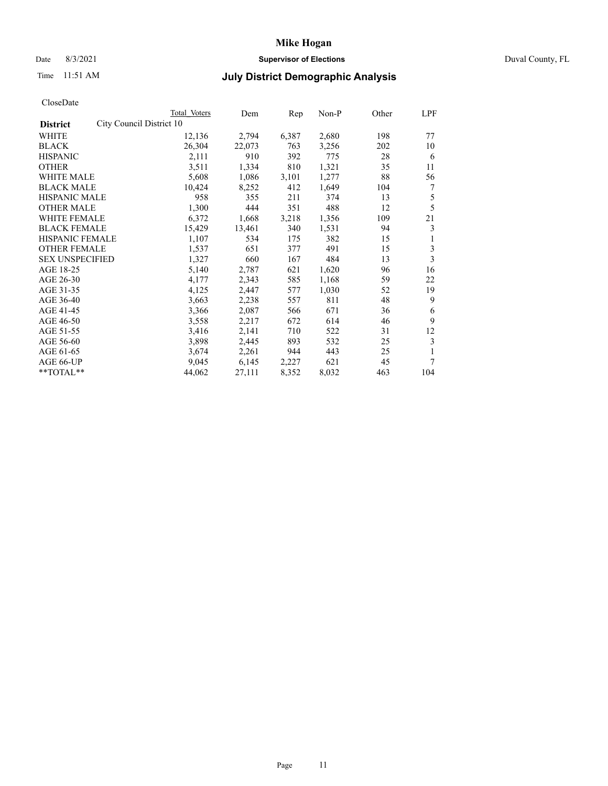### Date 8/3/2021 **Supervisor of Elections** Duval County, FL

# Time 11:51 AM **July District Demographic Analysis**

|                                             | Total Voters | Dem    | Rep   | Non-P | Other | LPF |
|---------------------------------------------|--------------|--------|-------|-------|-------|-----|
| City Council District 10<br><b>District</b> |              |        |       |       |       |     |
| WHITE                                       | 12,136       | 2,794  | 6,387 | 2,680 | 198   | 77  |
| <b>BLACK</b>                                | 26,304       | 22,073 | 763   | 3,256 | 202   | 10  |
| <b>HISPANIC</b>                             | 2,111        | 910    | 392   | 775   | 28    | 6   |
| <b>OTHER</b>                                | 3,511        | 1,334  | 810   | 1,321 | 35    | 11  |
| WHITE MALE                                  | 5,608        | 1,086  | 3,101 | 1,277 | 88    | 56  |
| <b>BLACK MALE</b>                           | 10,424       | 8,252  | 412   | 1,649 | 104   | 7   |
| <b>HISPANIC MALE</b>                        | 958          | 355    | 211   | 374   | 13    | 5   |
| <b>OTHER MALE</b>                           | 1,300        | 444    | 351   | 488   | 12    | 5   |
| <b>WHITE FEMALE</b>                         | 6,372        | 1,668  | 3,218 | 1,356 | 109   | 21  |
| <b>BLACK FEMALE</b>                         | 15,429       | 13,461 | 340   | 1,531 | 94    | 3   |
| <b>HISPANIC FEMALE</b>                      | 1,107        | 534    | 175   | 382   | 15    | 1   |
| <b>OTHER FEMALE</b>                         | 1,537        | 651    | 377   | 491   | 15    | 3   |
| <b>SEX UNSPECIFIED</b>                      | 1,327        | 660    | 167   | 484   | 13    | 3   |
| AGE 18-25                                   | 5,140        | 2,787  | 621   | 1,620 | 96    | 16  |
| AGE 26-30                                   | 4,177        | 2,343  | 585   | 1,168 | 59    | 22  |
| AGE 31-35                                   | 4,125        | 2,447  | 577   | 1,030 | 52    | 19  |
| AGE 36-40                                   | 3,663        | 2,238  | 557   | 811   | 48    | 9   |
| AGE 41-45                                   | 3,366        | 2,087  | 566   | 671   | 36    | 6   |
| AGE 46-50                                   | 3,558        | 2,217  | 672   | 614   | 46    | 9   |
| AGE 51-55                                   | 3,416        | 2,141  | 710   | 522   | 31    | 12  |
| AGE 56-60                                   | 3,898        | 2,445  | 893   | 532   | 25    | 3   |
| AGE 61-65                                   | 3,674        | 2,261  | 944   | 443   | 25    |     |
| AGE 66-UP                                   | 9,045        | 6,145  | 2,227 | 621   | 45    | 7   |
| $*$ $TOTAL**$                               | 44,062       | 27,111 | 8,352 | 8,032 | 463   | 104 |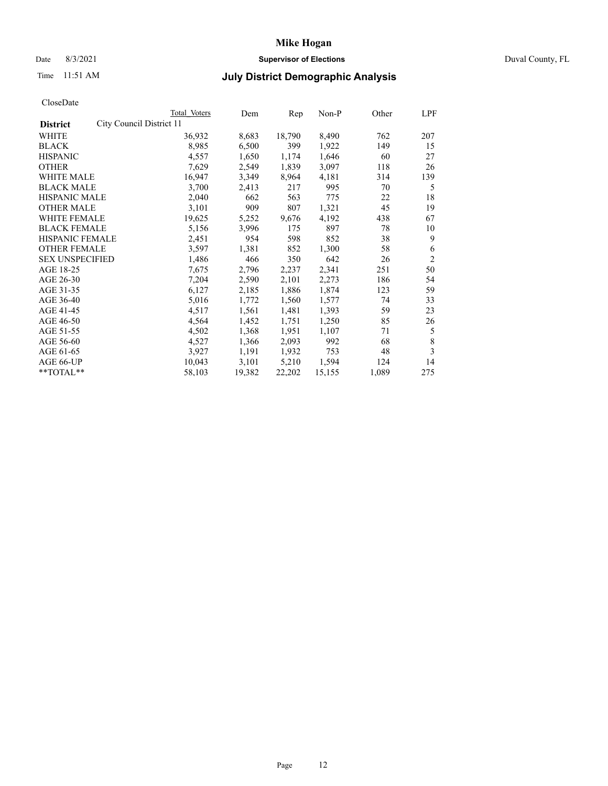### Date 8/3/2021 **Supervisor of Elections** Duval County, FL

# Time 11:51 AM **July District Demographic Analysis**

|                                             | Total Voters | Dem    | Rep    | $Non-P$ | Other | LPF            |
|---------------------------------------------|--------------|--------|--------|---------|-------|----------------|
| City Council District 11<br><b>District</b> |              |        |        |         |       |                |
| WHITE                                       | 36,932       | 8,683  | 18,790 | 8,490   | 762   | 207            |
| <b>BLACK</b>                                | 8,985        | 6,500  | 399    | 1,922   | 149   | 15             |
| <b>HISPANIC</b>                             | 4,557        | 1,650  | 1,174  | 1,646   | 60    | 27             |
| <b>OTHER</b>                                | 7,629        | 2,549  | 1,839  | 3,097   | 118   | 26             |
| <b>WHITE MALE</b>                           | 16,947       | 3,349  | 8,964  | 4,181   | 314   | 139            |
| <b>BLACK MALE</b>                           | 3,700        | 2,413  | 217    | 995     | 70    | 5              |
| <b>HISPANIC MALE</b>                        | 2,040        | 662    | 563    | 775     | 22    | 18             |
| <b>OTHER MALE</b>                           | 3,101        | 909    | 807    | 1,321   | 45    | 19             |
| <b>WHITE FEMALE</b>                         | 19,625       | 5,252  | 9,676  | 4,192   | 438   | 67             |
| <b>BLACK FEMALE</b>                         | 5,156        | 3,996  | 175    | 897     | 78    | 10             |
| HISPANIC FEMALE                             | 2,451        | 954    | 598    | 852     | 38    | 9              |
| <b>OTHER FEMALE</b>                         | 3,597        | 1,381  | 852    | 1,300   | 58    | 6              |
| <b>SEX UNSPECIFIED</b>                      | 1,486        | 466    | 350    | 642     | 26    | $\overline{2}$ |
| AGE 18-25                                   | 7,675        | 2,796  | 2,237  | 2,341   | 251   | 50             |
| AGE 26-30                                   | 7,204        | 2,590  | 2,101  | 2,273   | 186   | 54             |
| AGE 31-35                                   | 6,127        | 2,185  | 1,886  | 1,874   | 123   | 59             |
| AGE 36-40                                   | 5,016        | 1,772  | 1,560  | 1,577   | 74    | 33             |
| AGE 41-45                                   | 4,517        | 1,561  | 1,481  | 1,393   | 59    | 23             |
| AGE 46-50                                   | 4,564        | 1,452  | 1,751  | 1,250   | 85    | 26             |
| AGE 51-55                                   | 4,502        | 1,368  | 1,951  | 1,107   | 71    | 5              |
| AGE 56-60                                   | 4,527        | 1,366  | 2,093  | 992     | 68    | 8              |
| AGE 61-65                                   | 3,927        | 1,191  | 1,932  | 753     | 48    | 3              |
| AGE 66-UP                                   | 10,043       | 3,101  | 5,210  | 1,594   | 124   | 14             |
| $*$ $TOTAL**$                               | 58,103       | 19,382 | 22,202 | 15,155  | 1,089 | 275            |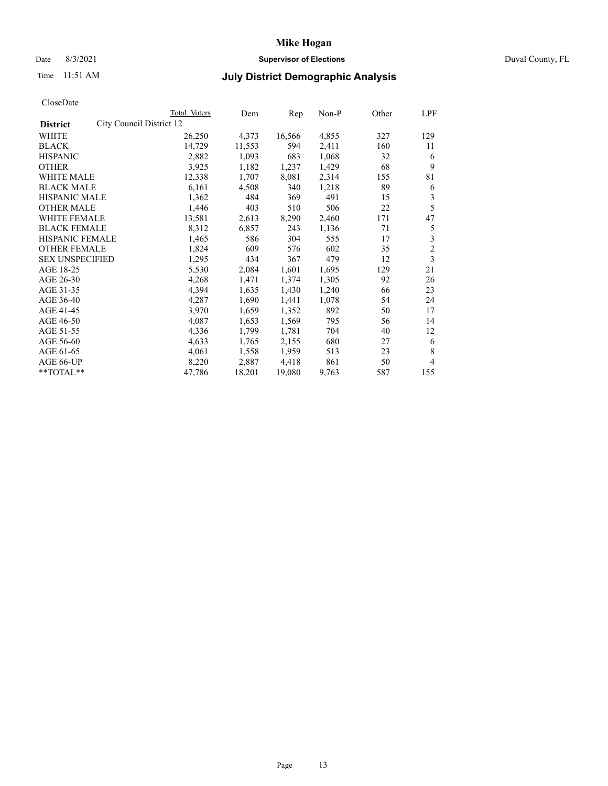### Date 8/3/2021 **Supervisor of Elections** Duval County, FL

# Time 11:51 AM **July District Demographic Analysis**

|                                             | Total Voters | Dem    | Rep    | Non-P | Other | LPF            |
|---------------------------------------------|--------------|--------|--------|-------|-------|----------------|
| City Council District 12<br><b>District</b> |              |        |        |       |       |                |
| WHITE                                       | 26,250       | 4,373  | 16,566 | 4,855 | 327   | 129            |
| <b>BLACK</b>                                | 14,729       | 11,553 | 594    | 2,411 | 160   | 11             |
| <b>HISPANIC</b>                             | 2,882        | 1,093  | 683    | 1,068 | 32    | 6              |
| <b>OTHER</b>                                | 3,925        | 1,182  | 1,237  | 1,429 | 68    | 9              |
| <b>WHITE MALE</b>                           | 12,338       | 1,707  | 8,081  | 2,314 | 155   | 81             |
| <b>BLACK MALE</b>                           | 6,161        | 4,508  | 340    | 1,218 | 89    | 6              |
| <b>HISPANIC MALE</b>                        | 1,362        | 484    | 369    | 491   | 15    | 3              |
| <b>OTHER MALE</b>                           | 1,446        | 403    | 510    | 506   | 22    | 5              |
| WHITE FEMALE                                | 13,581       | 2,613  | 8,290  | 2,460 | 171   | 47             |
| <b>BLACK FEMALE</b>                         | 8,312        | 6,857  | 243    | 1,136 | 71    | 5              |
| <b>HISPANIC FEMALE</b>                      | 1,465        | 586    | 304    | 555   | 17    | 3              |
| <b>OTHER FEMALE</b>                         | 1,824        | 609    | 576    | 602   | 35    | $\overline{c}$ |
| <b>SEX UNSPECIFIED</b>                      | 1,295        | 434    | 367    | 479   | 12    | 3              |
| AGE 18-25                                   | 5,530        | 2,084  | 1,601  | 1,695 | 129   | 21             |
| AGE 26-30                                   | 4,268        | 1,471  | 1,374  | 1,305 | 92    | 26             |
| AGE 31-35                                   | 4,394        | 1,635  | 1,430  | 1,240 | 66    | 23             |
| AGE 36-40                                   | 4,287        | 1,690  | 1,441  | 1,078 | 54    | 24             |
| AGE 41-45                                   | 3,970        | 1,659  | 1,352  | 892   | 50    | 17             |
| AGE 46-50                                   | 4,087        | 1,653  | 1,569  | 795   | 56    | 14             |
| AGE 51-55                                   | 4,336        | 1,799  | 1,781  | 704   | 40    | 12             |
| AGE 56-60                                   | 4,633        | 1,765  | 2,155  | 680   | 27    | 6              |
| AGE 61-65                                   | 4,061        | 1,558  | 1,959  | 513   | 23    | 8              |
| AGE 66-UP                                   | 8,220        | 2,887  | 4,418  | 861   | 50    | 4              |
| **TOTAL**                                   | 47,786       | 18,201 | 19,080 | 9,763 | 587   | 155            |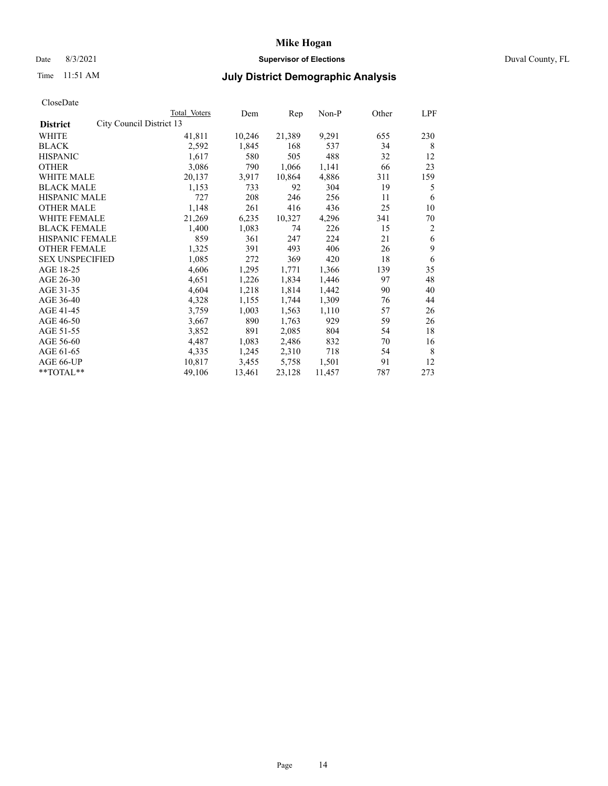### Date 8/3/2021 **Supervisor of Elections** Duval County, FL

# Time 11:51 AM **July District Demographic Analysis**

|                        |                          | Total Voters | Dem    | Rep    | $Non-P$ | Other | LPF            |
|------------------------|--------------------------|--------------|--------|--------|---------|-------|----------------|
| <b>District</b>        | City Council District 13 |              |        |        |         |       |                |
| WHITE                  |                          | 41,811       | 10,246 | 21,389 | 9,291   | 655   | 230            |
| <b>BLACK</b>           |                          | 2,592        | 1,845  | 168    | 537     | 34    | 8              |
| <b>HISPANIC</b>        |                          | 1,617        | 580    | 505    | 488     | 32    | 12             |
| <b>OTHER</b>           |                          | 3,086        | 790    | 1,066  | 1,141   | 66    | 23             |
| <b>WHITE MALE</b>      |                          | 20,137       | 3,917  | 10,864 | 4,886   | 311   | 159            |
| <b>BLACK MALE</b>      |                          | 1,153        | 733    | 92     | 304     | 19    | 5              |
| <b>HISPANIC MALE</b>   |                          | 727          | 208    | 246    | 256     | 11    | 6              |
| <b>OTHER MALE</b>      |                          | 1,148        | 261    | 416    | 436     | 25    | 10             |
| WHITE FEMALE           |                          | 21,269       | 6,235  | 10,327 | 4,296   | 341   | 70             |
| <b>BLACK FEMALE</b>    |                          | 1,400        | 1,083  | 74     | 226     | 15    | $\overline{2}$ |
| <b>HISPANIC FEMALE</b> |                          | 859          | 361    | 247    | 224     | 21    | 6              |
| <b>OTHER FEMALE</b>    |                          | 1,325        | 391    | 493    | 406     | 26    | 9              |
| <b>SEX UNSPECIFIED</b> |                          | 1,085        | 272    | 369    | 420     | 18    | 6              |
| AGE 18-25              |                          | 4,606        | 1,295  | 1,771  | 1,366   | 139   | 35             |
| AGE 26-30              |                          | 4,651        | 1,226  | 1,834  | 1,446   | 97    | 48             |
| AGE 31-35              |                          | 4,604        | 1,218  | 1,814  | 1,442   | 90    | 40             |
| AGE 36-40              |                          | 4,328        | 1,155  | 1,744  | 1,309   | 76    | 44             |
| AGE 41-45              |                          | 3,759        | 1,003  | 1,563  | 1,110   | 57    | 26             |
| AGE 46-50              |                          | 3,667        | 890    | 1,763  | 929     | 59    | 26             |
| AGE 51-55              |                          | 3,852        | 891    | 2,085  | 804     | 54    | 18             |
| AGE 56-60              |                          | 4,487        | 1,083  | 2,486  | 832     | 70    | 16             |
| AGE 61-65              |                          | 4,335        | 1,245  | 2,310  | 718     | 54    | 8              |
| AGE 66-UP              |                          | 10,817       | 3,455  | 5,758  | 1,501   | 91    | 12             |
| $*$ $TOTAL**$          |                          | 49,106       | 13,461 | 23,128 | 11,457  | 787   | 273            |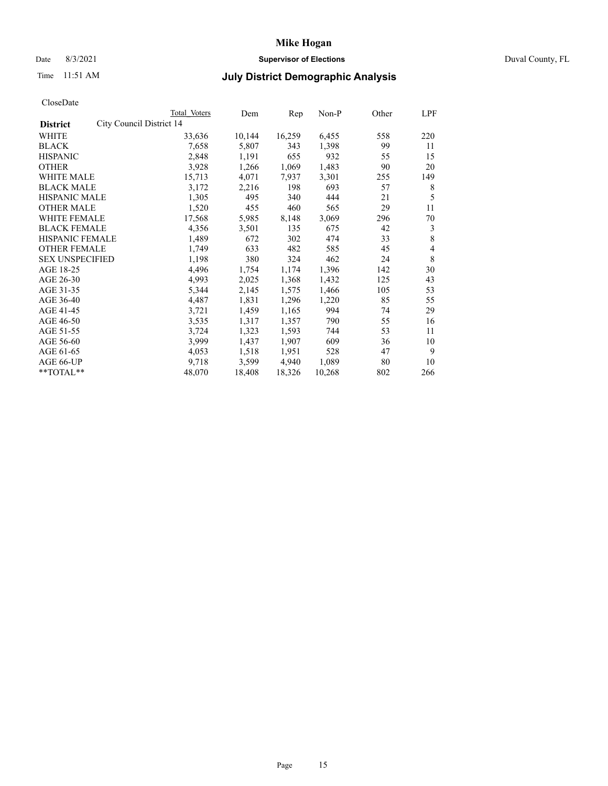## Date 8/3/2021 **Supervisor of Elections** Duval County, FL

## Time 11:51 AM **July District Demographic Analysis**

|                                             | Total Voters | Dem    | Rep    | $Non-P$ | Other | LPF |
|---------------------------------------------|--------------|--------|--------|---------|-------|-----|
| City Council District 14<br><b>District</b> |              |        |        |         |       |     |
| WHITE                                       | 33,636       | 10,144 | 16,259 | 6,455   | 558   | 220 |
| <b>BLACK</b>                                | 7,658        | 5,807  | 343    | 1,398   | 99    | 11  |
| <b>HISPANIC</b>                             | 2,848        | 1,191  | 655    | 932     | 55    | 15  |
| <b>OTHER</b>                                | 3,928        | 1,266  | 1,069  | 1,483   | 90    | 20  |
| WHITE MALE                                  | 15,713       | 4,071  | 7,937  | 3,301   | 255   | 149 |
| <b>BLACK MALE</b>                           | 3,172        | 2,216  | 198    | 693     | 57    | 8   |
| <b>HISPANIC MALE</b>                        | 1,305        | 495    | 340    | 444     | 21    | 5   |
| <b>OTHER MALE</b>                           | 1,520        | 455    | 460    | 565     | 29    | 11  |
| <b>WHITE FEMALE</b>                         | 17,568       | 5,985  | 8,148  | 3,069   | 296   | 70  |
| <b>BLACK FEMALE</b>                         | 4,356        | 3,501  | 135    | 675     | 42    | 3   |
| HISPANIC FEMALE                             | 1,489        | 672    | 302    | 474     | 33    | 8   |
| <b>OTHER FEMALE</b>                         | 1,749        | 633    | 482    | 585     | 45    | 4   |
| <b>SEX UNSPECIFIED</b>                      | 1,198        | 380    | 324    | 462     | 24    | 8   |
| AGE 18-25                                   | 4,496        | 1,754  | 1,174  | 1,396   | 142   | 30  |
| AGE 26-30                                   | 4,993        | 2,025  | 1,368  | 1,432   | 125   | 43  |
| AGE 31-35                                   | 5,344        | 2,145  | 1,575  | 1,466   | 105   | 53  |
| AGE 36-40                                   | 4,487        | 1,831  | 1,296  | 1,220   | 85    | 55  |
| AGE 41-45                                   | 3,721        | 1,459  | 1,165  | 994     | 74    | 29  |
| AGE 46-50                                   | 3,535        | 1,317  | 1,357  | 790     | 55    | 16  |
| AGE 51-55                                   | 3,724        | 1,323  | 1,593  | 744     | 53    | 11  |
| AGE 56-60                                   | 3,999        | 1,437  | 1,907  | 609     | 36    | 10  |
| AGE 61-65                                   | 4,053        | 1,518  | 1,951  | 528     | 47    | 9   |
| AGE 66-UP                                   | 9,718        | 3,599  | 4,940  | 1,089   | 80    | 10  |
| $*$ $TOTAL**$                               | 48,070       | 18,408 | 18,326 | 10,268  | 802   | 266 |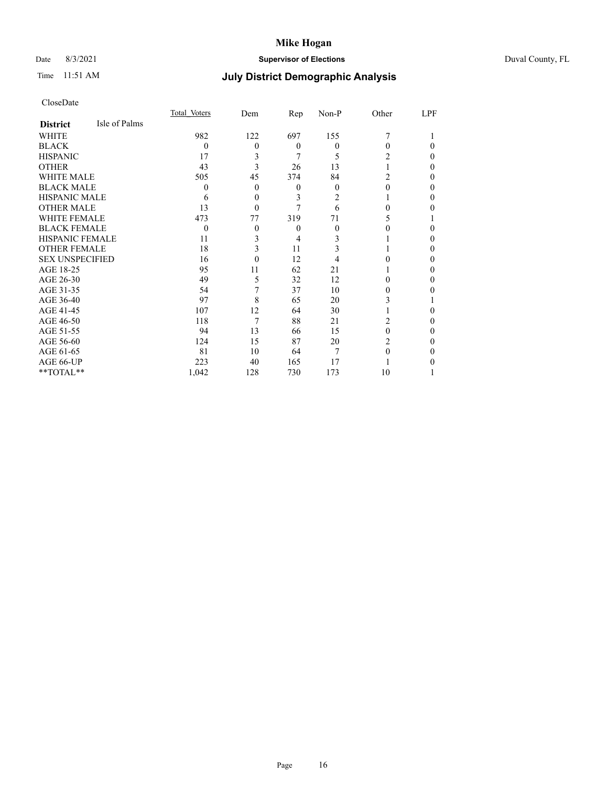## Date 8/3/2021 **Supervisor of Elections** Duval County, FL

# Time 11:51 AM **July District Demographic Analysis**

|                        |               | Total Voters | Dem      | Rep      | Non-P    | Other    | LPF |
|------------------------|---------------|--------------|----------|----------|----------|----------|-----|
| <b>District</b>        | Isle of Palms |              |          |          |          |          |     |
| WHITE                  |               | 982          | 122      | 697      | 155      |          |     |
| <b>BLACK</b>           |               | $\theta$     | $\theta$ | $\theta$ | $\theta$ | $\Omega$ | 0   |
| <b>HISPANIC</b>        |               | 17           | 3        | 7        | 5        | 2        | 0   |
| <b>OTHER</b>           |               | 43           | 3        | 26       | 13       |          | 0   |
| WHITE MALE             |               | 505          | 45       | 374      | 84       | 2        | 0   |
| <b>BLACK MALE</b>      |               | 0            | $\theta$ | $\Omega$ | $\theta$ | $\Omega$ | 0   |
| <b>HISPANIC MALE</b>   |               | 6            | 0        | 3        | 2        |          | 0   |
| <b>OTHER MALE</b>      |               | 13           | $\theta$ |          | 6        | 0        | 0   |
| WHITE FEMALE           |               | 473          | 77       | 319      | 71       |          |     |
| <b>BLACK FEMALE</b>    |               | $\theta$     | $\theta$ | $\theta$ | $\theta$ | 0        | 0   |
| <b>HISPANIC FEMALE</b> |               | 11           | 3        | 4        | 3        |          | 0   |
| <b>OTHER FEMALE</b>    |               | 18           | 3        | 11       | 3        |          | 0   |
| <b>SEX UNSPECIFIED</b> |               | 16           | $\theta$ | 12       | 4        |          | 0   |
| AGE 18-25              |               | 95           | 11       | 62       | 21       |          | 0   |
| AGE 26-30              |               | 49           | 5        | 32       | 12       | 0        | 0   |
| AGE 31-35              |               | 54           | 7        | 37       | 10       | 0        | 0   |
| AGE 36-40              |               | 97           | 8        | 65       | 20       | 3        |     |
| AGE 41-45              |               | 107          | 12       | 64       | 30       |          | 0   |
| AGE 46-50              |               | 118          | 7        | 88       | 21       | 2        | 0   |
| AGE 51-55              |               | 94           | 13       | 66       | 15       | $\Omega$ | 0   |
| AGE 56-60              |               | 124          | 15       | 87       | 20       | 2        | 0   |
| AGE 61-65              |               | 81           | 10       | 64       | 7        | 0        | 0   |
| AGE 66-UP              |               | 223          | 40       | 165      | 17       |          | 0   |
| **TOTAL**              |               | 1,042        | 128      | 730      | 173      | 10       |     |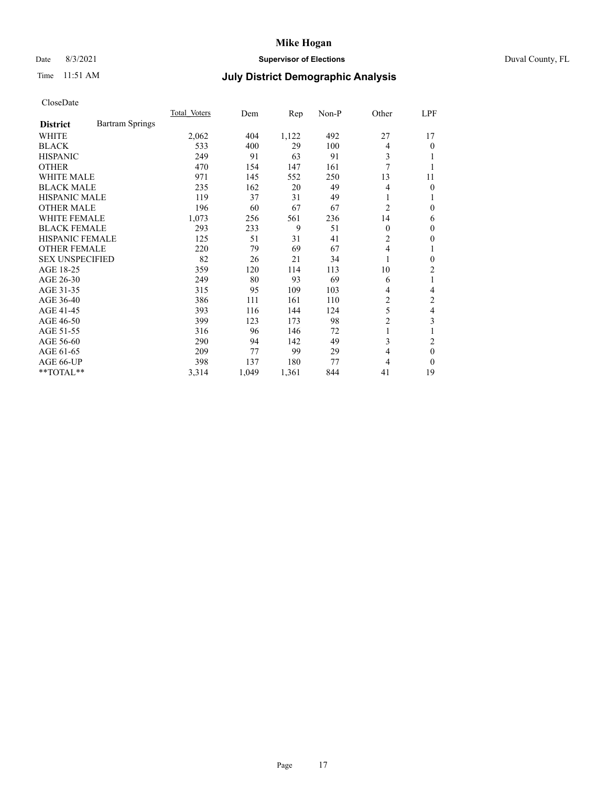### Date 8/3/2021 **Supervisor of Elections** Duval County, FL

# Time 11:51 AM **July District Demographic Analysis**

|                        |                        | Total Voters | Dem   | Rep   | $Non-P$ | Other          | LPF      |
|------------------------|------------------------|--------------|-------|-------|---------|----------------|----------|
| <b>District</b>        | <b>Bartram Springs</b> |              |       |       |         |                |          |
| WHITE                  |                        | 2,062        | 404   | 1,122 | 492     | 27             | 17       |
| <b>BLACK</b>           |                        | 533          | 400   | 29    | 100     | 4              | 0        |
| <b>HISPANIC</b>        |                        | 249          | 91    | 63    | 91      | 3              |          |
| <b>OTHER</b>           |                        | 470          | 154   | 147   | 161     | 7              |          |
| <b>WHITE MALE</b>      |                        | 971          | 145   | 552   | 250     | 13             | 11       |
| <b>BLACK MALE</b>      |                        | 235          | 162   | 20    | 49      | 4              | 0        |
| <b>HISPANIC MALE</b>   |                        | 119          | 37    | 31    | 49      | 1              |          |
| <b>OTHER MALE</b>      |                        | 196          | 60    | 67    | 67      | $\overline{2}$ | 0        |
| WHITE FEMALE           |                        | 1,073        | 256   | 561   | 236     | 14             | 6        |
| <b>BLACK FEMALE</b>    |                        | 293          | 233   | 9     | 51      | $\theta$       | 0        |
| <b>HISPANIC FEMALE</b> |                        | 125          | 51    | 31    | 41      | 2              | 0        |
| <b>OTHER FEMALE</b>    |                        | 220          | 79    | 69    | 67      | 4              | 1        |
| <b>SEX UNSPECIFIED</b> |                        | 82           | 26    | 21    | 34      | $\mathbf{1}$   | 0        |
| AGE 18-25              |                        | 359          | 120   | 114   | 113     | 10             | 2        |
| AGE 26-30              |                        | 249          | 80    | 93    | 69      | 6              | 1        |
| AGE 31-35              |                        | 315          | 95    | 109   | 103     | 4              | 4        |
| AGE 36-40              |                        | 386          | 111   | 161   | 110     | 2              | 2        |
| AGE 41-45              |                        | 393          | 116   | 144   | 124     | 5              | 4        |
| AGE 46-50              |                        | 399          | 123   | 173   | 98      | $\overline{c}$ | 3        |
| AGE 51-55              |                        | 316          | 96    | 146   | 72      | 1              |          |
| AGE 56-60              |                        | 290          | 94    | 142   | 49      | 3              | 2        |
| AGE 61-65              |                        | 209          | 77    | 99    | 29      | 4              | $\theta$ |
| AGE 66-UP              |                        | 398          | 137   | 180   | 77      | 4              | 0        |
| $*$ $TOTAL**$          |                        | 3,314        | 1,049 | 1,361 | 844     | 41             | 19       |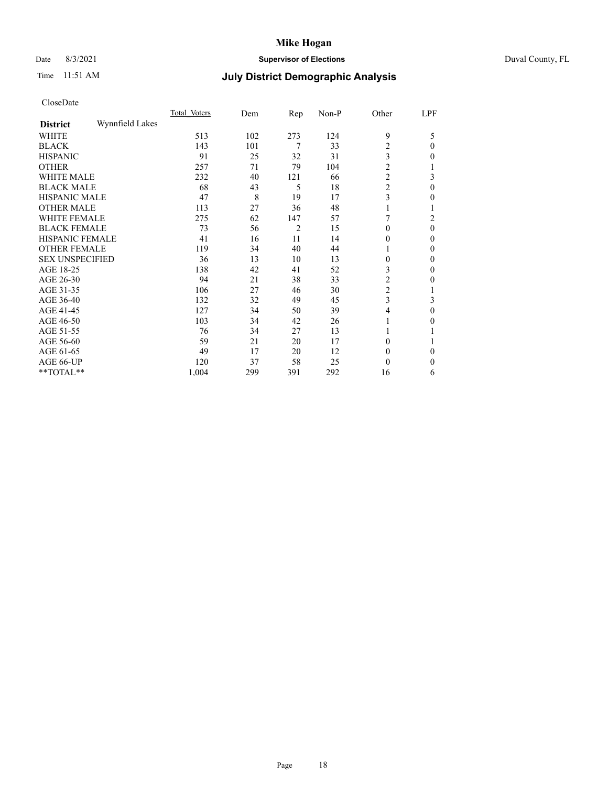## Date 8/3/2021 **Supervisor of Elections** Duval County, FL

# Time 11:51 AM **July District Demographic Analysis**

|                        |                 | Total Voters | Dem | Rep            | Non-P | Other          | LPF      |
|------------------------|-----------------|--------------|-----|----------------|-------|----------------|----------|
| <b>District</b>        | Wynnfield Lakes |              |     |                |       |                |          |
| WHITE                  |                 | 513          | 102 | 273            | 124   | 9              | 5        |
| <b>BLACK</b>           |                 | 143          | 101 | 7              | 33    | $\overline{c}$ | $\Omega$ |
| <b>HISPANIC</b>        |                 | 91           | 25  | 32             | 31    | 3              | $\Omega$ |
| <b>OTHER</b>           |                 | 257          | 71  | 79             | 104   | $\overline{c}$ |          |
| WHITE MALE             |                 | 232          | 40  | 121            | 66    | $\overline{c}$ | 3        |
| <b>BLACK MALE</b>      |                 | 68           | 43  | 5              | 18    | $\overline{c}$ | $\theta$ |
| <b>HISPANIC MALE</b>   |                 | 47           | 8   | 19             | 17    | 3              | $\theta$ |
| <b>OTHER MALE</b>      |                 | 113          | 27  | 36             | 48    |                |          |
| WHITE FEMALE           |                 | 275          | 62  | 147            | 57    |                | 2        |
| <b>BLACK FEMALE</b>    |                 | 73           | 56  | $\overline{2}$ | 15    | 0              | $\theta$ |
| <b>HISPANIC FEMALE</b> |                 | 41           | 16  | 11             | 14    | 0              | $\Omega$ |
| <b>OTHER FEMALE</b>    |                 | 119          | 34  | 40             | 44    |                | $\Omega$ |
| <b>SEX UNSPECIFIED</b> |                 | 36           | 13  | 10             | 13    | $\theta$       | $\Omega$ |
| AGE 18-25              |                 | 138          | 42  | 41             | 52    | 3              | $\theta$ |
| AGE 26-30              |                 | 94           | 21  | 38             | 33    | $\overline{c}$ | $\Omega$ |
| AGE 31-35              |                 | 106          | 27  | 46             | 30    | 2              |          |
| AGE 36-40              |                 | 132          | 32  | 49             | 45    | 3              | 3        |
| AGE 41-45              |                 | 127          | 34  | 50             | 39    | $\overline{4}$ | $\Omega$ |
| AGE 46-50              |                 | 103          | 34  | 42             | 26    | 1              | 0        |
| AGE 51-55              |                 | 76           | 34  | 27             | 13    |                |          |
| AGE 56-60              |                 | 59           | 21  | 20             | 17    | $\theta$       |          |
| AGE 61-65              |                 | 49           | 17  | 20             | 12    | $\mathbf{0}$   | $\Omega$ |
| AGE 66-UP              |                 | 120          | 37  | 58             | 25    | $\theta$       | $\Omega$ |
| **TOTAL**              |                 | 1,004        | 299 | 391            | 292   | 16             | 6        |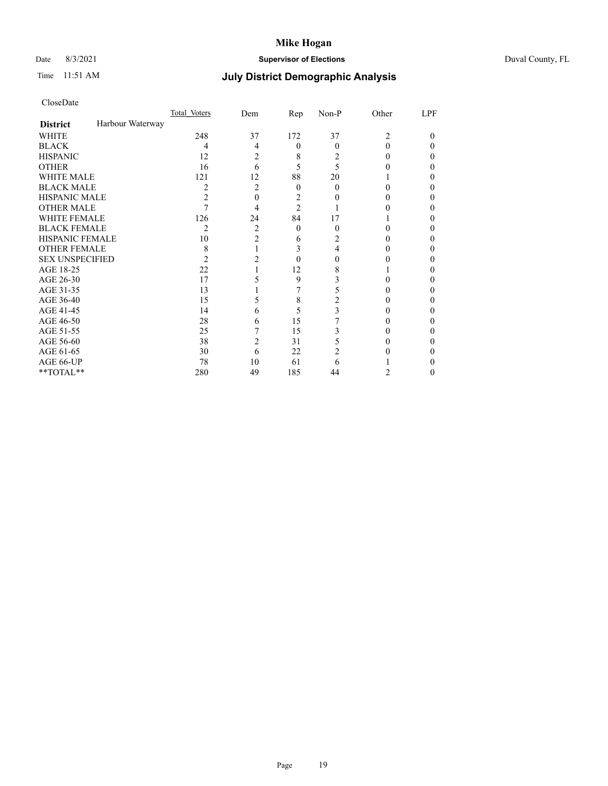## Date 8/3/2021 **Supervisor of Elections** Duval County, FL

# Time 11:51 AM **July District Demographic Analysis**

|                        |                  | Total Voters | Dem            | Rep            | Non-P    | Other          | LPF |
|------------------------|------------------|--------------|----------------|----------------|----------|----------------|-----|
| <b>District</b>        | Harbour Waterway |              |                |                |          |                |     |
| WHITE                  |                  | 248          | 37             | 172            | 37       | $\overline{c}$ | 0   |
| <b>BLACK</b>           |                  | 4            | 4              | $\theta$       | $\theta$ | $\Omega$       | 0   |
| <b>HISPANIC</b>        |                  | 12           | 2              | 8              | 2        | $\theta$       | 0   |
| <b>OTHER</b>           |                  | 16           | 6              | 5              | 5        |                | 0   |
| <b>WHITE MALE</b>      |                  | 121          | 12             | 88             | 20       |                | 0   |
| <b>BLACK MALE</b>      |                  | 2            | 2              | $\theta$       | 0        | 0              | 0   |
| <b>HISPANIC MALE</b>   |                  | 2            | 0              | 2              |          |                | 0   |
| <b>OTHER MALE</b>      |                  |              | 4              | $\overline{2}$ |          |                | 0   |
| WHITE FEMALE           |                  | 126          | 24             | 84             | 17       |                | 0   |
| <b>BLACK FEMALE</b>    |                  | 2            | 2              | $\theta$       | 0        | $\theta$       | 0   |
| <b>HISPANIC FEMALE</b> |                  | 10           | $\overline{2}$ | 6              | 2        | 0              | 0   |
| <b>OTHER FEMALE</b>    |                  | 8            |                | 3              | 4        | 0              | 0   |
| <b>SEX UNSPECIFIED</b> |                  | 2            | 2              | 0              | 0        |                | 0   |
| AGE 18-25              |                  | 22           |                | 12             | 8        |                | 0   |
| AGE 26-30              |                  | 17           |                | 9              | 3        | 0              | 0   |
| AGE 31-35              |                  | 13           |                |                | 5        |                | 0   |
| AGE 36-40              |                  | 15           | 5              | 8              | 2        | 0              | 0   |
| AGE 41-45              |                  | 14           | 6              | 5              | 3        |                | 0   |
| AGE 46-50              |                  | 28           | 6              | 15             |          | 0              | 0   |
| AGE 51-55              |                  | 25           |                | 15             | 3        |                | 0   |
| AGE 56-60              |                  | 38           | 2              | 31             |          | $_{0}$         | 0   |
| AGE 61-65              |                  | 30           | 6              | 22             | 2        |                | 0   |
| AGE 66-UP              |                  | 78           | 10             | 61             | 6        |                | 0   |
| **TOTAL**              |                  | 280          | 49             | 185            | 44       | 2              | 0   |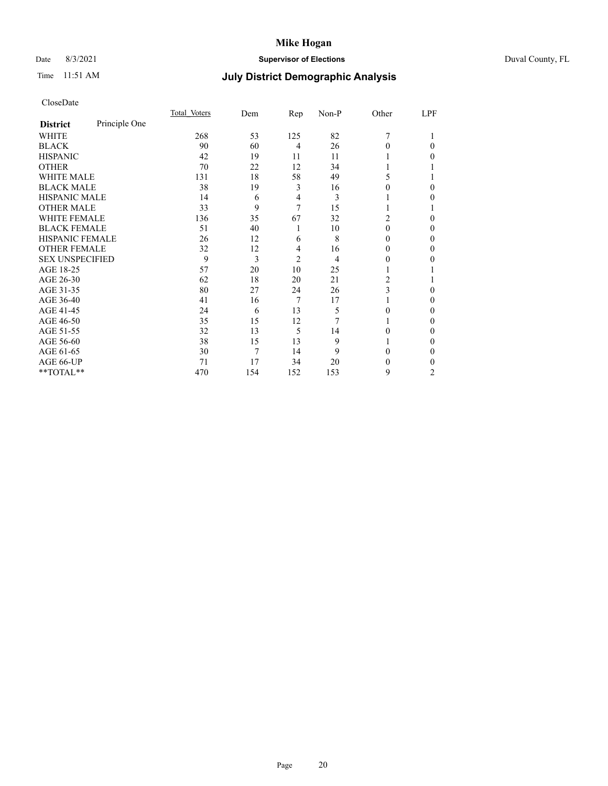## Date 8/3/2021 **Supervisor of Elections** Duval County, FL

# Time 11:51 AM **July District Demographic Analysis**

|                        |               | Total Voters | Dem | Rep            | Non-P | Other    | LPF |
|------------------------|---------------|--------------|-----|----------------|-------|----------|-----|
| <b>District</b>        | Principle One |              |     |                |       |          |     |
| WHITE                  |               | 268          | 53  | 125            | 82    | 7        |     |
| <b>BLACK</b>           |               | 90           | 60  | 4              | 26    | 0        | 0   |
| <b>HISPANIC</b>        |               | 42           | 19  | 11             | 11    |          | 0   |
| <b>OTHER</b>           |               | 70           | 22  | 12             | 34    |          |     |
| WHITE MALE             |               | 131          | 18  | 58             | 49    | 5        |     |
| <b>BLACK MALE</b>      |               | 38           | 19  | 3              | 16    | 0        | 0   |
| <b>HISPANIC MALE</b>   |               | 14           | 6   | 4              | 3     |          | 0   |
| <b>OTHER MALE</b>      |               | 33           | 9   | 7              | 15    |          |     |
| WHITE FEMALE           |               | 136          | 35  | 67             | 32    | 2        | 0   |
| <b>BLACK FEMALE</b>    |               | 51           | 40  | 1              | 10    | $\Omega$ | 0   |
| <b>HISPANIC FEMALE</b> |               | 26           | 12  | 6              | 8     | 0        | 0   |
| <b>OTHER FEMALE</b>    |               | 32           | 12  | $\overline{4}$ | 16    | 0        | 0   |
| <b>SEX UNSPECIFIED</b> |               | 9            | 3   | $\overline{2}$ | 4     | 0        | 0   |
| AGE 18-25              |               | 57           | 20  | 10             | 25    |          |     |
| AGE 26-30              |               | 62           | 18  | 20             | 21    | 2        |     |
| AGE 31-35              |               | 80           | 27  | 24             | 26    | 3        | 0   |
| AGE 36-40              |               | 41           | 16  | 7              | 17    |          | 0   |
| AGE 41-45              |               | 24           | 6   | 13             | 5     | 0        | 0   |
| AGE 46-50              |               | 35           | 15  | 12             | 7     |          | 0   |
| AGE 51-55              |               | 32           | 13  | 5              | 14    | 0        | 0   |
| AGE 56-60              |               | 38           | 15  | 13             | 9     |          | 0   |
| AGE 61-65              |               | 30           | 7   | 14             | 9     | 0        | 0   |
| AGE 66-UP              |               | 71           | 17  | 34             | 20    | 0        | 0   |
| **TOTAL**              |               | 470          | 154 | 152            | 153   | 9        | 2   |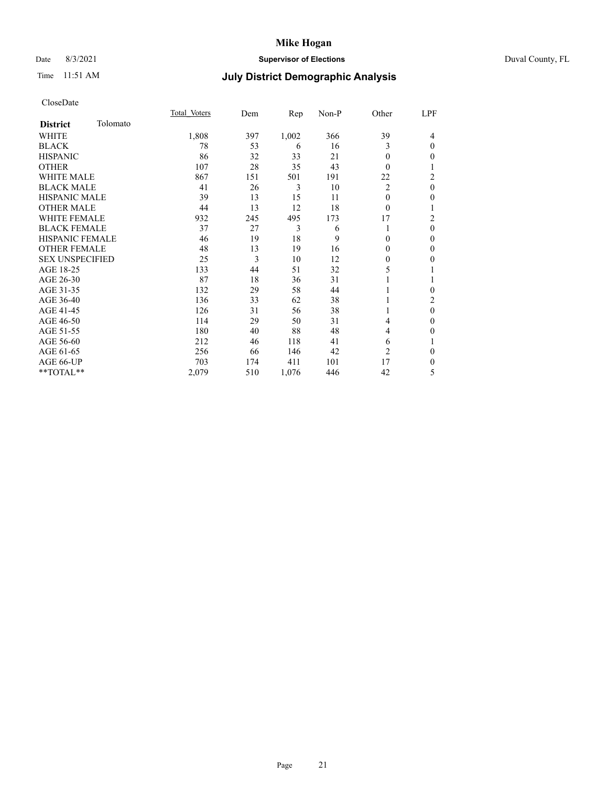## Date 8/3/2021 **Supervisor of Elections** Duval County, FL

# Time 11:51 AM **July District Demographic Analysis**

|                        |          | Total Voters | Dem | Rep   | $Non-P$ | Other          | LPF            |
|------------------------|----------|--------------|-----|-------|---------|----------------|----------------|
| <b>District</b>        | Tolomato |              |     |       |         |                |                |
| WHITE                  |          | 1,808        | 397 | 1,002 | 366     | 39             | 4              |
| <b>BLACK</b>           |          | 78           | 53  | 6     | 16      | 3              | $\mathbf{0}$   |
| <b>HISPANIC</b>        |          | 86           | 32  | 33    | 21      | 0              | $\mathbf{0}$   |
| <b>OTHER</b>           |          | 107          | 28  | 35    | 43      | 0              | 1              |
| <b>WHITE MALE</b>      |          | 867          | 151 | 501   | 191     | 22             | 2              |
| <b>BLACK MALE</b>      |          | 41           | 26  | 3     | 10      | $\overline{2}$ | $\mathbf{0}$   |
| <b>HISPANIC MALE</b>   |          | 39           | 13  | 15    | 11      | $\mathbf{0}$   | $\mathbf{0}$   |
| <b>OTHER MALE</b>      |          | 44           | 13  | 12    | 18      | 0              | 1              |
| <b>WHITE FEMALE</b>    |          | 932          | 245 | 495   | 173     | 17             | $\overline{c}$ |
| <b>BLACK FEMALE</b>    |          | 37           | 27  | 3     | 6       |                | $\mathbf{0}$   |
| <b>HISPANIC FEMALE</b> |          | 46           | 19  | 18    | 9       | 0              | $\theta$       |
| <b>OTHER FEMALE</b>    |          | 48           | 13  | 19    | 16      | $\Omega$       | $\mathbf{0}$   |
| <b>SEX UNSPECIFIED</b> |          | 25           | 3   | 10    | 12      | 0              | $\mathbf{0}$   |
| AGE 18-25              |          | 133          | 44  | 51    | 32      | 5              | 1              |
| AGE 26-30              |          | 87           | 18  | 36    | 31      |                | 1              |
| AGE 31-35              |          | 132          | 29  | 58    | 44      |                | $\theta$       |
| AGE 36-40              |          | 136          | 33  | 62    | 38      |                | $\overline{c}$ |
| AGE 41-45              |          | 126          | 31  | 56    | 38      |                | $\mathbf{0}$   |
| AGE 46-50              |          | 114          | 29  | 50    | 31      | 4              | $\mathbf{0}$   |
| AGE 51-55              |          | 180          | 40  | 88    | 48      | 4              | $\theta$       |
| AGE 56-60              |          | 212          | 46  | 118   | 41      | 6              | 1              |
| AGE 61-65              |          | 256          | 66  | 146   | 42      | $\overline{2}$ | $\mathbf{0}$   |
| AGE 66-UP              |          | 703          | 174 | 411   | 101     | 17             | $\mathbf{0}$   |
| **TOTAL**              |          | 2,079        | 510 | 1,076 | 446     | 42             | 5              |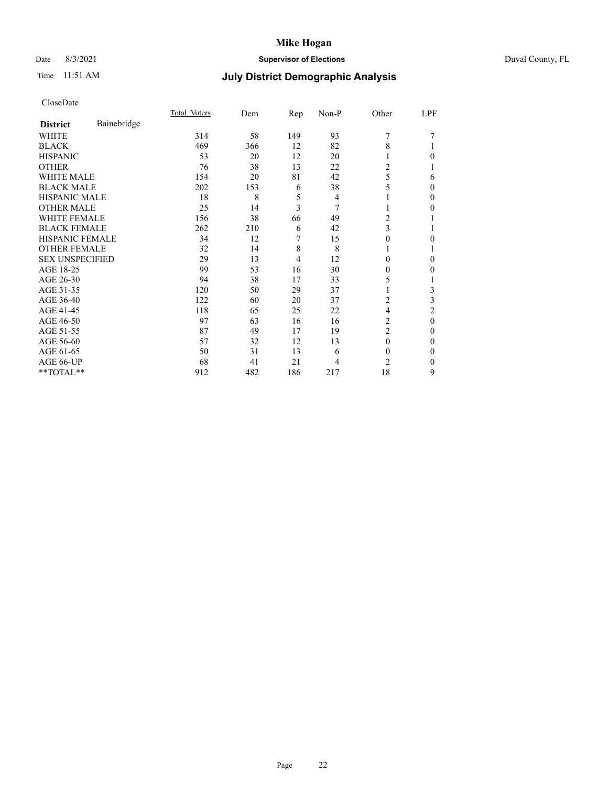### Date 8/3/2021 **Supervisor of Elections** Duval County, FL

# Time 11:51 AM **July District Demographic Analysis**

|                                | Total Voters | Dem | Rep            | Non-P | Other          | LPF            |
|--------------------------------|--------------|-----|----------------|-------|----------------|----------------|
| Bainebridge<br><b>District</b> |              |     |                |       |                |                |
| WHITE                          | 314          | 58  | 149            | 93    | 7              |                |
| <b>BLACK</b>                   | 469          | 366 | 12             | 82    | 8              |                |
| <b>HISPANIC</b>                | 53           | 20  | 12             | 20    | 1              | 0              |
| <b>OTHER</b>                   | 76           | 38  | 13             | 22    | 2              |                |
| <b>WHITE MALE</b>              | 154          | 20  | 81             | 42    | 5              | 6              |
| <b>BLACK MALE</b>              | 202          | 153 | 6              | 38    | 5              | $\mathbf{0}$   |
| <b>HISPANIC MALE</b>           | 18           | 8   | 5              | 4     |                | 0              |
| <b>OTHER MALE</b>              | 25           | 14  | 3              | 7     | 1              | 0              |
| <b>WHITE FEMALE</b>            | 156          | 38  | 66             | 49    | 2              |                |
| <b>BLACK FEMALE</b>            | 262          | 210 | 6              | 42    | 3              |                |
| <b>HISPANIC FEMALE</b>         | 34           | 12  | 7              | 15    | $\Omega$       | 0              |
| <b>OTHER FEMALE</b>            | 32           | 14  | 8              | 8     |                |                |
| <b>SEX UNSPECIFIED</b>         | 29           | 13  | $\overline{4}$ | 12    | $\theta$       | $\Omega$       |
| AGE 18-25                      | 99           | 53  | 16             | 30    | 0              | 0              |
| AGE 26-30                      | 94           | 38  | 17             | 33    | 5              |                |
| AGE 31-35                      | 120          | 50  | 29             | 37    |                | 3              |
| AGE 36-40                      | 122          | 60  | 20             | 37    | 2              | 3              |
| AGE 41-45                      | 118          | 65  | 25             | 22    | 4              | $\overline{2}$ |
| AGE 46-50                      | 97           | 63  | 16             | 16    | 2              | $\theta$       |
| AGE 51-55                      | 87           | 49  | 17             | 19    | $\overline{2}$ | $\mathbf{0}$   |
| AGE 56-60                      | 57           | 32  | 12             | 13    | $\theta$       | 0              |
| AGE 61-65                      | 50           | 31  | 13             | 6     | $\theta$       | 0              |
| AGE 66-UP                      | 68           | 41  | 21             | 4     | $\overline{2}$ | 0              |
| **TOTAL**                      | 912          | 482 | 186            | 217   | 18             | 9              |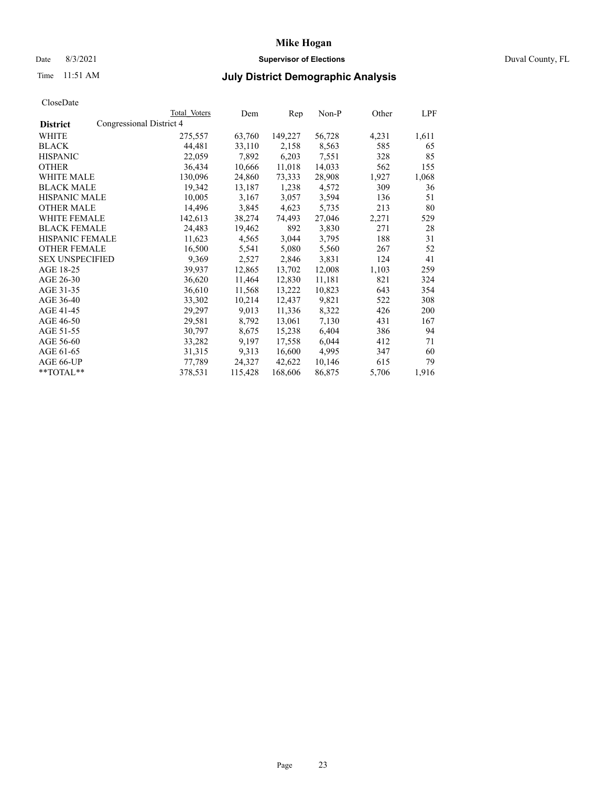### Date 8/3/2021 **Supervisor of Elections** Duval County, FL

# Time 11:51 AM **July District Demographic Analysis**

|                        |                          | <b>Total Voters</b> | Dem     | Rep     | $Non-P$ | Other | LPF   |
|------------------------|--------------------------|---------------------|---------|---------|---------|-------|-------|
| <b>District</b>        | Congressional District 4 |                     |         |         |         |       |       |
| WHITE                  |                          | 275,557             | 63,760  | 149,227 | 56,728  | 4,231 | 1,611 |
| <b>BLACK</b>           |                          | 44,481              | 33,110  | 2,158   | 8,563   | 585   | 65    |
| <b>HISPANIC</b>        |                          | 22,059              | 7,892   | 6,203   | 7,551   | 328   | 85    |
| <b>OTHER</b>           |                          | 36,434              | 10,666  | 11,018  | 14,033  | 562   | 155   |
| WHITE MALE             |                          | 130,096             | 24,860  | 73,333  | 28,908  | 1,927 | 1,068 |
| <b>BLACK MALE</b>      |                          | 19,342              | 13,187  | 1,238   | 4,572   | 309   | 36    |
| <b>HISPANIC MALE</b>   |                          | 10,005              | 3,167   | 3,057   | 3,594   | 136   | 51    |
| <b>OTHER MALE</b>      |                          | 14,496              | 3,845   | 4,623   | 5,735   | 213   | 80    |
| <b>WHITE FEMALE</b>    |                          | 142,613             | 38,274  | 74,493  | 27,046  | 2,271 | 529   |
| <b>BLACK FEMALE</b>    |                          | 24,483              | 19,462  | 892     | 3,830   | 271   | 28    |
| HISPANIC FEMALE        |                          | 11,623              | 4,565   | 3,044   | 3,795   | 188   | 31    |
| <b>OTHER FEMALE</b>    |                          | 16,500              | 5,541   | 5,080   | 5,560   | 267   | 52    |
| <b>SEX UNSPECIFIED</b> |                          | 9,369               | 2,527   | 2,846   | 3,831   | 124   | 41    |
| AGE 18-25              |                          | 39,937              | 12,865  | 13,702  | 12,008  | 1,103 | 259   |
| AGE 26-30              |                          | 36,620              | 11,464  | 12,830  | 11,181  | 821   | 324   |
| AGE 31-35              |                          | 36,610              | 11,568  | 13,222  | 10,823  | 643   | 354   |
| AGE 36-40              |                          | 33,302              | 10,214  | 12,437  | 9,821   | 522   | 308   |
| AGE 41-45              |                          | 29,297              | 9,013   | 11,336  | 8,322   | 426   | 200   |
| AGE 46-50              |                          | 29,581              | 8,792   | 13,061  | 7,130   | 431   | 167   |
| AGE 51-55              |                          | 30,797              | 8,675   | 15,238  | 6,404   | 386   | 94    |
| AGE 56-60              |                          | 33,282              | 9,197   | 17,558  | 6,044   | 412   | 71    |
| AGE 61-65              |                          | 31,315              | 9,313   | 16,600  | 4,995   | 347   | 60    |
| AGE 66-UP              |                          | 77,789              | 24,327  | 42,622  | 10,146  | 615   | 79    |
| $*$ $TOTAL**$          |                          | 378,531             | 115,428 | 168,606 | 86,875  | 5,706 | 1,916 |
|                        |                          |                     |         |         |         |       |       |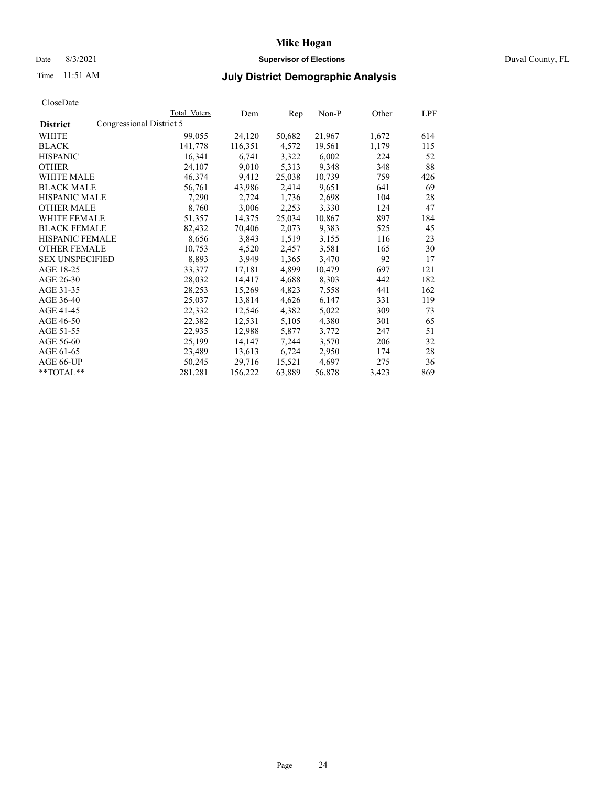### Date 8/3/2021 **Supervisor of Elections** Duval County, FL

# Time 11:51 AM **July District Demographic Analysis**

|                        |                          | Total Voters | Dem     | Rep    | $Non-P$ | Other | LPF |
|------------------------|--------------------------|--------------|---------|--------|---------|-------|-----|
| <b>District</b>        | Congressional District 5 |              |         |        |         |       |     |
| WHITE                  |                          | 99,055       | 24,120  | 50,682 | 21,967  | 1,672 | 614 |
| <b>BLACK</b>           |                          | 141,778      | 116,351 | 4,572  | 19,561  | 1,179 | 115 |
| <b>HISPANIC</b>        |                          | 16,341       | 6,741   | 3,322  | 6,002   | 224   | 52  |
| <b>OTHER</b>           |                          | 24,107       | 9,010   | 5,313  | 9,348   | 348   | 88  |
| <b>WHITE MALE</b>      |                          | 46,374       | 9,412   | 25,038 | 10,739  | 759   | 426 |
| <b>BLACK MALE</b>      |                          | 56,761       | 43,986  | 2,414  | 9,651   | 641   | 69  |
| <b>HISPANIC MALE</b>   |                          | 7,290        | 2,724   | 1,736  | 2,698   | 104   | 28  |
| <b>OTHER MALE</b>      |                          | 8,760        | 3,006   | 2,253  | 3,330   | 124   | 47  |
| <b>WHITE FEMALE</b>    |                          | 51,357       | 14,375  | 25,034 | 10,867  | 897   | 184 |
| <b>BLACK FEMALE</b>    |                          | 82,432       | 70,406  | 2,073  | 9,383   | 525   | 45  |
| HISPANIC FEMALE        |                          | 8,656        | 3,843   | 1,519  | 3,155   | 116   | 23  |
| <b>OTHER FEMALE</b>    |                          | 10,753       | 4,520   | 2,457  | 3,581   | 165   | 30  |
| <b>SEX UNSPECIFIED</b> |                          | 8,893        | 3,949   | 1,365  | 3,470   | 92    | 17  |
| AGE 18-25              |                          | 33,377       | 17,181  | 4,899  | 10,479  | 697   | 121 |
| AGE 26-30              |                          | 28,032       | 14,417  | 4,688  | 8,303   | 442   | 182 |
| AGE 31-35              |                          | 28,253       | 15,269  | 4,823  | 7,558   | 441   | 162 |
| AGE 36-40              |                          | 25,037       | 13,814  | 4,626  | 6,147   | 331   | 119 |
| AGE 41-45              |                          | 22,332       | 12,546  | 4,382  | 5,022   | 309   | 73  |
| AGE 46-50              |                          | 22,382       | 12,531  | 5,105  | 4,380   | 301   | 65  |
| AGE 51-55              |                          | 22,935       | 12,988  | 5,877  | 3,772   | 247   | 51  |
| AGE 56-60              |                          | 25,199       | 14,147  | 7,244  | 3,570   | 206   | 32  |
| AGE 61-65              |                          | 23,489       | 13,613  | 6,724  | 2,950   | 174   | 28  |
| AGE 66-UP              |                          | 50,245       | 29,716  | 15,521 | 4,697   | 275   | 36  |
| **TOTAL**              |                          | 281,281      | 156,222 | 63,889 | 56,878  | 3,423 | 869 |
|                        |                          |              |         |        |         |       |     |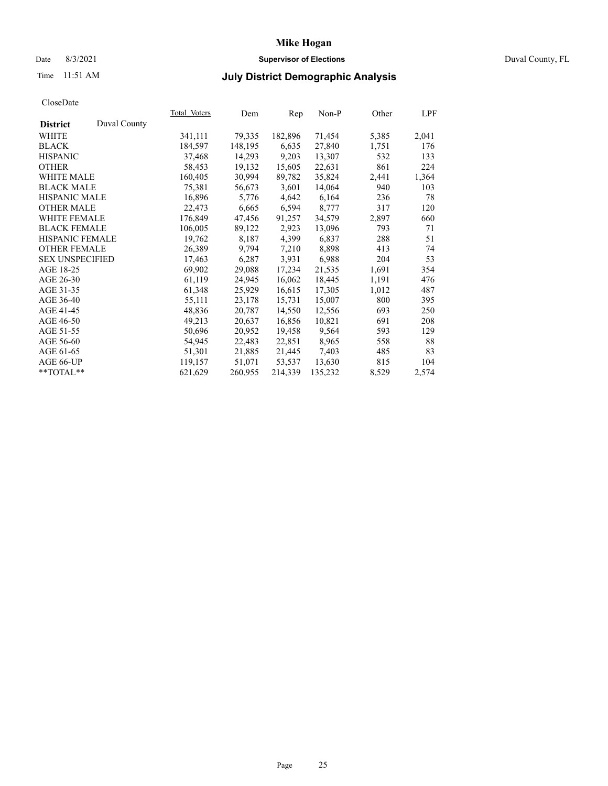### Date 8/3/2021 **Supervisor of Elections** Duval County, FL

# Time 11:51 AM **July District Demographic Analysis**

|                        |              | Total Voters | Dem     | Rep     | Non-P   | Other | LPF   |
|------------------------|--------------|--------------|---------|---------|---------|-------|-------|
| <b>District</b>        | Duval County |              |         |         |         |       |       |
| WHITE                  |              | 341,111      | 79,335  | 182,896 | 71,454  | 5,385 | 2,041 |
| <b>BLACK</b>           |              | 184,597      | 148,195 | 6,635   | 27,840  | 1,751 | 176   |
| <b>HISPANIC</b>        |              | 37,468       | 14,293  | 9,203   | 13,307  | 532   | 133   |
| <b>OTHER</b>           |              | 58,453       | 19,132  | 15,605  | 22,631  | 861   | 224   |
| <b>WHITE MALE</b>      |              | 160,405      | 30,994  | 89,782  | 35,824  | 2,441 | 1,364 |
| <b>BLACK MALE</b>      |              | 75,381       | 56,673  | 3,601   | 14,064  | 940   | 103   |
| <b>HISPANIC MALE</b>   |              | 16,896       | 5,776   | 4,642   | 6,164   | 236   | 78    |
| <b>OTHER MALE</b>      |              | 22,473       | 6,665   | 6,594   | 8,777   | 317   | 120   |
| WHITE FEMALE           |              | 176,849      | 47,456  | 91,257  | 34,579  | 2,897 | 660   |
| <b>BLACK FEMALE</b>    |              | 106,005      | 89,122  | 2,923   | 13,096  | 793   | 71    |
| <b>HISPANIC FEMALE</b> |              | 19,762       | 8,187   | 4,399   | 6,837   | 288   | 51    |
| <b>OTHER FEMALE</b>    |              | 26,389       | 9,794   | 7,210   | 8,898   | 413   | 74    |
| <b>SEX UNSPECIFIED</b> |              | 17,463       | 6,287   | 3,931   | 6,988   | 204   | 53    |
| AGE 18-25              |              | 69,902       | 29,088  | 17,234  | 21,535  | 1,691 | 354   |
| AGE 26-30              |              | 61,119       | 24,945  | 16,062  | 18,445  | 1,191 | 476   |
| AGE 31-35              |              | 61,348       | 25,929  | 16,615  | 17,305  | 1,012 | 487   |
| AGE 36-40              |              | 55,111       | 23,178  | 15,731  | 15,007  | 800   | 395   |
| AGE 41-45              |              | 48,836       | 20,787  | 14.550  | 12,556  | 693   | 250   |
| AGE 46-50              |              | 49,213       | 20,637  | 16,856  | 10,821  | 691   | 208   |
| AGE 51-55              |              | 50,696       | 20,952  | 19,458  | 9,564   | 593   | 129   |
| AGE 56-60              |              | 54,945       | 22,483  | 22,851  | 8,965   | 558   | 88    |
| AGE 61-65              |              | 51,301       | 21,885  | 21,445  | 7,403   | 485   | 83    |
| AGE 66-UP              |              | 119,157      | 51,071  | 53,537  | 13,630  | 815   | 104   |
| $*$ $TOTAL**$          |              | 621,629      | 260,955 | 214,339 | 135,232 | 8,529 | 2,574 |
|                        |              |              |         |         |         |       |       |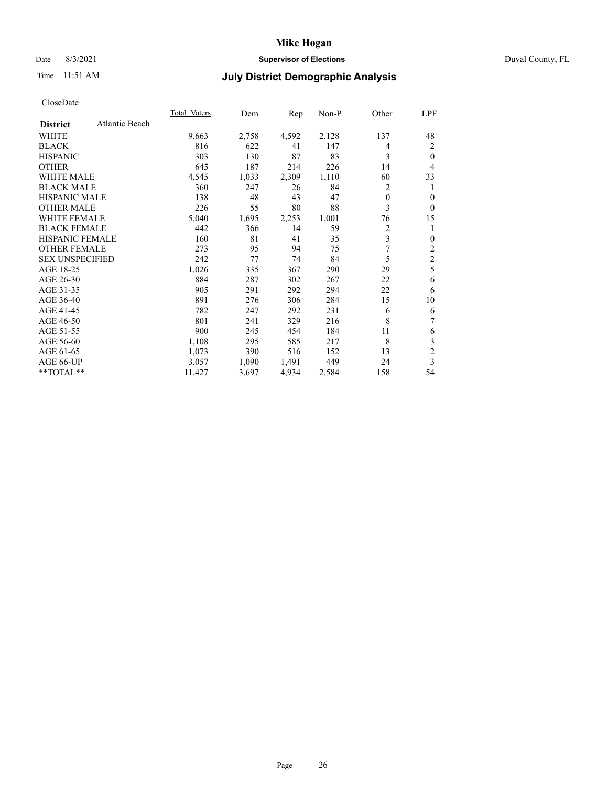### Date 8/3/2021 **Supervisor of Elections** Duval County, FL

# Time 11:51 AM **July District Demographic Analysis**

| Total Voters | Dem   | Rep   | $Non-P$ | Other        | LPF            |
|--------------|-------|-------|---------|--------------|----------------|
|              |       |       |         |              |                |
| 9,663        | 2,758 | 4,592 | 2,128   | 137          | 48             |
| 816          | 622   | 41    | 147     | 4            | 2              |
| 303          | 130   | 87    | 83      | 3            | $\theta$       |
| 645          | 187   | 214   | 226     | 14           | 4              |
| 4,545        | 1,033 | 2,309 | 1,110   | 60           | 33             |
| 360          | 247   | 26    | 84      | 2            | 1              |
| 138          | 48    | 43    | 47      | $\mathbf{0}$ | $\theta$       |
| 226          | 55    | 80    | 88      | 3            | $\theta$       |
| 5,040        | 1,695 | 2,253 | 1,001   | 76           | 15             |
| 442          | 366   | 14    | 59      | 2            |                |
| 160          | 81    | 41    | 35      | 3            | $\mathbf{0}$   |
| 273          | 95    | 94    | 75      | 7            | 2              |
| 242          | 77    | 74    | 84      | 5            | $\overline{c}$ |
| 1,026        | 335   | 367   | 290     | 29           | 5              |
| 884          | 287   | 302   | 267     | 22           | 6              |
| 905          | 291   | 292   | 294     | 22           | 6              |
| 891          | 276   | 306   | 284     | 15           | 10             |
| 782          | 247   | 292   | 231     | 6            | 6              |
| 801          | 241   | 329   | 216     | 8            | 7              |
| 900          | 245   | 454   | 184     | 11           | 6              |
| 1,108        | 295   | 585   | 217     | 8            | 3              |
| 1,073        | 390   | 516   | 152     | 13           | $\overline{c}$ |
| 3,057        | 1,090 | 1,491 | 449     | 24           | 3              |
| 11,427       | 3,697 | 4,934 | 2,584   | 158          | 54             |
|              |       |       |         |              |                |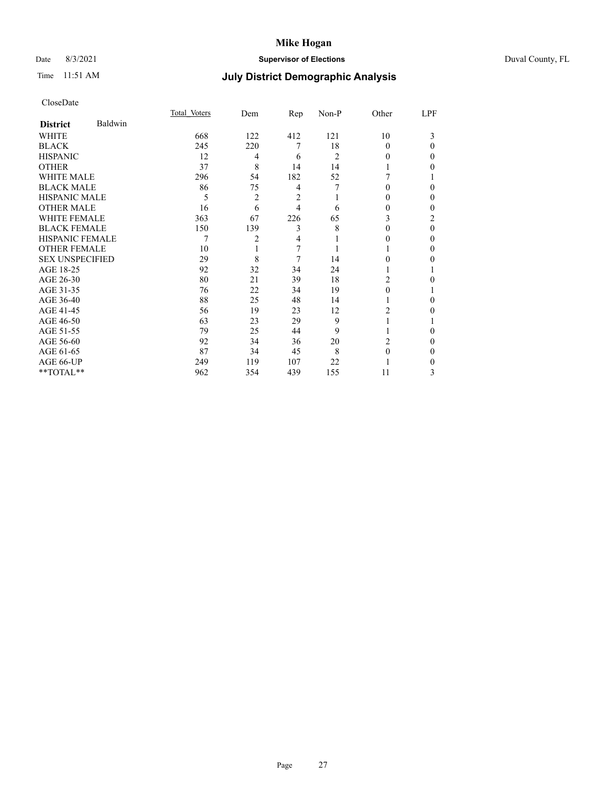## Date 8/3/2021 **Supervisor of Elections** Duval County, FL

# Time 11:51 AM **July District Demographic Analysis**

|                        |         | Total Voters | Dem | Rep | Non-P          | Other    | LPF      |
|------------------------|---------|--------------|-----|-----|----------------|----------|----------|
| <b>District</b>        | Baldwin |              |     |     |                |          |          |
| WHITE                  |         | 668          | 122 | 412 | 121            | 10       | 3        |
| <b>BLACK</b>           |         | 245          | 220 | 7   | 18             | $\Omega$ | 0        |
| <b>HISPANIC</b>        |         | 12           | 4   | 6   | $\overline{c}$ | 0        | 0        |
| <b>OTHER</b>           |         | 37           | 8   | 14  | 14             |          | 0        |
| WHITE MALE             |         | 296          | 54  | 182 | 52             |          |          |
| <b>BLACK MALE</b>      |         | 86           | 75  | 4   |                | $_{0}$   | 0        |
| <b>HISPANIC MALE</b>   |         | 5            | 2   | 2   |                | 0        | 0        |
| <b>OTHER MALE</b>      |         | 16           | 6   | 4   | 6              | $_{0}$   | 0        |
| <b>WHITE FEMALE</b>    |         | 363          | 67  | 226 | 65             | 3        | 2        |
| <b>BLACK FEMALE</b>    |         | 150          | 139 | 3   | 8              | 0        | $\theta$ |
| <b>HISPANIC FEMALE</b> |         | 7            | 2   | 4   |                | $_{0}$   | 0        |
| <b>OTHER FEMALE</b>    |         | 10           |     | 7   |                |          | 0        |
| <b>SEX UNSPECIFIED</b> |         | 29           | 8   | 7   | 14             | 0        | 0        |
| AGE 18-25              |         | 92           | 32  | 34  | 24             |          |          |
| AGE 26-30              |         | 80           | 21  | 39  | 18             | 2        | 0        |
| AGE 31-35              |         | 76           | 22  | 34  | 19             | 0        |          |
| AGE 36-40              |         | 88           | 25  | 48  | 14             |          | 0        |
| AGE 41-45              |         | 56           | 19  | 23  | 12             | 2        | 0        |
| AGE 46-50              |         | 63           | 23  | 29  | 9              | 1        |          |
| AGE 51-55              |         | 79           | 25  | 44  | 9              |          | 0        |
| AGE 56-60              |         | 92           | 34  | 36  | 20             | 2        | 0        |
| AGE 61-65              |         | 87           | 34  | 45  | 8              | $\Omega$ | 0        |
| AGE 66-UP              |         | 249          | 119 | 107 | 22             |          | 0        |
| **TOTAL**              |         | 962          | 354 | 439 | 155            | 11       | 3        |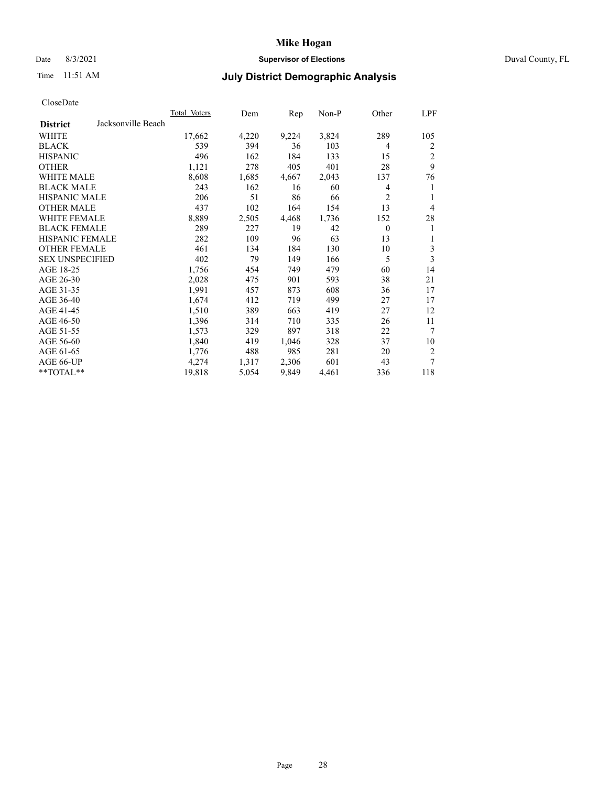### Date 8/3/2021 **Supervisor of Elections** Duval County, FL

# Time 11:51 AM **July District Demographic Analysis**

|                                       | Total Voters | Dem   | Rep   | Non-P | Other          | LPF            |
|---------------------------------------|--------------|-------|-------|-------|----------------|----------------|
| Jacksonville Beach<br><b>District</b> |              |       |       |       |                |                |
| WHITE                                 | 17,662       | 4,220 | 9,224 | 3,824 | 289            | 105            |
| <b>BLACK</b>                          | 539          | 394   | 36    | 103   | 4              | 2              |
| <b>HISPANIC</b>                       | 496          | 162   | 184   | 133   | 15             | $\overline{2}$ |
| <b>OTHER</b>                          | 1,121        | 278   | 405   | 401   | 28             | 9              |
| <b>WHITE MALE</b>                     | 8,608        | 1,685 | 4,667 | 2,043 | 137            | 76             |
| <b>BLACK MALE</b>                     | 243          | 162   | 16    | 60    | 4              | 1              |
| <b>HISPANIC MALE</b>                  | 206          | 51    | 86    | 66    | 2              | 1              |
| <b>OTHER MALE</b>                     | 437          | 102   | 164   | 154   | 13             | 4              |
| WHITE FEMALE                          | 8,889        | 2,505 | 4,468 | 1,736 | 152            | 28             |
| <b>BLACK FEMALE</b>                   | 289          | 227   | 19    | 42    | $\overline{0}$ | 1              |
| HISPANIC FEMALE                       | 282          | 109   | 96    | 63    | 13             | 1              |
| <b>OTHER FEMALE</b>                   | 461          | 134   | 184   | 130   | 10             | 3              |
| <b>SEX UNSPECIFIED</b>                | 402          | 79    | 149   | 166   | 5              | 3              |
| AGE 18-25                             | 1,756        | 454   | 749   | 479   | 60             | 14             |
| AGE 26-30                             | 2,028        | 475   | 901   | 593   | 38             | 21             |
| AGE 31-35                             | 1,991        | 457   | 873   | 608   | 36             | 17             |
| AGE 36-40                             | 1,674        | 412   | 719   | 499   | 27             | 17             |
| AGE 41-45                             | 1,510        | 389   | 663   | 419   | 27             | 12             |
| AGE 46-50                             | 1,396        | 314   | 710   | 335   | 26             | 11             |
| AGE 51-55                             | 1,573        | 329   | 897   | 318   | 22             | 7              |
| AGE 56-60                             | 1,840        | 419   | 1,046 | 328   | 37             | 10             |
| AGE 61-65                             | 1,776        | 488   | 985   | 281   | 20             | $\mathfrak{2}$ |
| AGE 66-UP                             | 4,274        | 1,317 | 2,306 | 601   | 43             | 7              |
| **TOTAL**                             | 19,818       | 5,054 | 9,849 | 4,461 | 336            | 118            |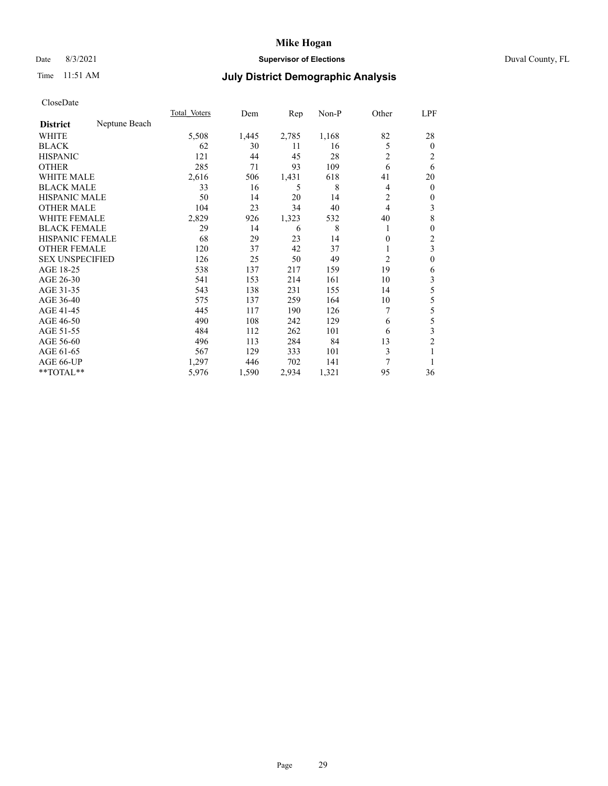## Date 8/3/2021 **Supervisor of Elections** Duval County, FL

# Time 11:51 AM **July District Demographic Analysis**

|                        |               | Total Voters | Dem   | Rep   | Non-P | Other          | LPF            |
|------------------------|---------------|--------------|-------|-------|-------|----------------|----------------|
| <b>District</b>        | Neptune Beach |              |       |       |       |                |                |
| WHITE                  |               | 5,508        | 1,445 | 2,785 | 1,168 | 82             | 28             |
| <b>BLACK</b>           |               | 62           | 30    | 11    | 16    | 5              | $\mathbf{0}$   |
| <b>HISPANIC</b>        |               | 121          | 44    | 45    | 28    | 2              | 2              |
| <b>OTHER</b>           |               | 285          | 71    | 93    | 109   | 6              | 6              |
| <b>WHITE MALE</b>      |               | 2,616        | 506   | 1,431 | 618   | 41             | 20             |
| <b>BLACK MALE</b>      |               | 33           | 16    | 5     | 8     | 4              | $\mathbf{0}$   |
| <b>HISPANIC MALE</b>   |               | 50           | 14    | 20    | 14    | 2              | $\mathbf{0}$   |
| <b>OTHER MALE</b>      |               | 104          | 23    | 34    | 40    | 4              | 3              |
| WHITE FEMALE           |               | 2,829        | 926   | 1,323 | 532   | 40             | 8              |
| <b>BLACK FEMALE</b>    |               | 29           | 14    | 6     | 8     |                | 0              |
| <b>HISPANIC FEMALE</b> |               | 68           | 29    | 23    | 14    | 0              | 2              |
| <b>OTHER FEMALE</b>    |               | 120          | 37    | 42    | 37    |                | 3              |
| <b>SEX UNSPECIFIED</b> |               | 126          | 25    | 50    | 49    | $\overline{2}$ | $\mathbf{0}$   |
| AGE 18-25              |               | 538          | 137   | 217   | 159   | 19             | 6              |
| AGE 26-30              |               | 541          | 153   | 214   | 161   | 10             | 3              |
| AGE 31-35              |               | 543          | 138   | 231   | 155   | 14             | 5              |
| AGE 36-40              |               | 575          | 137   | 259   | 164   | 10             | 5              |
| AGE 41-45              |               | 445          | 117   | 190   | 126   |                | 5              |
| AGE 46-50              |               | 490          | 108   | 242   | 129   | 6              | 5              |
| AGE 51-55              |               | 484          | 112   | 262   | 101   | 6              | 3              |
| AGE 56-60              |               | 496          | 113   | 284   | 84    | 13             | $\overline{2}$ |
| AGE 61-65              |               | 567          | 129   | 333   | 101   | 3              | 1              |
| AGE 66-UP              |               | 1,297        | 446   | 702   | 141   | 7              |                |
| **TOTAL**              |               | 5,976        | 1,590 | 2,934 | 1,321 | 95             | 36             |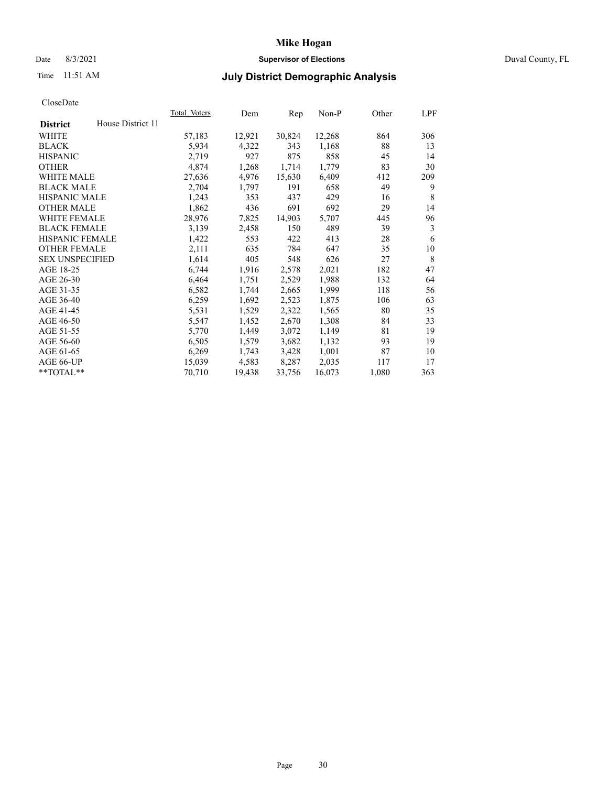## Date 8/3/2021 **Supervisor of Elections** Duval County, FL

# Time 11:51 AM **July District Demographic Analysis**

|                        |                   | Total Voters | Dem    | Rep    | Non-P  | Other | LPF |
|------------------------|-------------------|--------------|--------|--------|--------|-------|-----|
| <b>District</b>        | House District 11 |              |        |        |        |       |     |
| WHITE                  |                   | 57,183       | 12,921 | 30,824 | 12,268 | 864   | 306 |
| <b>BLACK</b>           |                   | 5,934        | 4,322  | 343    | 1,168  | 88    | 13  |
| <b>HISPANIC</b>        |                   | 2,719        | 927    | 875    | 858    | 45    | 14  |
| <b>OTHER</b>           |                   | 4,874        | 1,268  | 1,714  | 1,779  | 83    | 30  |
| <b>WHITE MALE</b>      |                   | 27,636       | 4,976  | 15,630 | 6,409  | 412   | 209 |
| <b>BLACK MALE</b>      |                   | 2,704        | 1,797  | 191    | 658    | 49    | 9   |
| <b>HISPANIC MALE</b>   |                   | 1,243        | 353    | 437    | 429    | 16    | 8   |
| <b>OTHER MALE</b>      |                   | 1,862        | 436    | 691    | 692    | 29    | 14  |
| WHITE FEMALE           |                   | 28,976       | 7,825  | 14,903 | 5,707  | 445   | 96  |
| <b>BLACK FEMALE</b>    |                   | 3,139        | 2,458  | 150    | 489    | 39    | 3   |
| <b>HISPANIC FEMALE</b> |                   | 1,422        | 553    | 422    | 413    | 28    | 6   |
| <b>OTHER FEMALE</b>    |                   | 2,111        | 635    | 784    | 647    | 35    | 10  |
| <b>SEX UNSPECIFIED</b> |                   | 1,614        | 405    | 548    | 626    | 27    | 8   |
| AGE 18-25              |                   | 6,744        | 1,916  | 2,578  | 2,021  | 182   | 47  |
| AGE 26-30              |                   | 6,464        | 1,751  | 2,529  | 1,988  | 132   | 64  |
| AGE 31-35              |                   | 6,582        | 1,744  | 2,665  | 1,999  | 118   | 56  |
| AGE 36-40              |                   | 6,259        | 1,692  | 2,523  | 1,875  | 106   | 63  |
| AGE 41-45              |                   | 5,531        | 1,529  | 2,322  | 1,565  | 80    | 35  |
| AGE 46-50              |                   | 5,547        | 1,452  | 2,670  | 1,308  | 84    | 33  |
| AGE 51-55              |                   | 5,770        | 1,449  | 3,072  | 1,149  | 81    | 19  |
| AGE 56-60              |                   | 6,505        | 1,579  | 3,682  | 1,132  | 93    | 19  |
| AGE 61-65              |                   | 6,269        | 1,743  | 3,428  | 1,001  | 87    | 10  |
| AGE 66-UP              |                   | 15,039       | 4,583  | 8,287  | 2,035  | 117   | 17  |
| $*$ TOTAL $*$          |                   | 70,710       | 19,438 | 33,756 | 16,073 | 1,080 | 363 |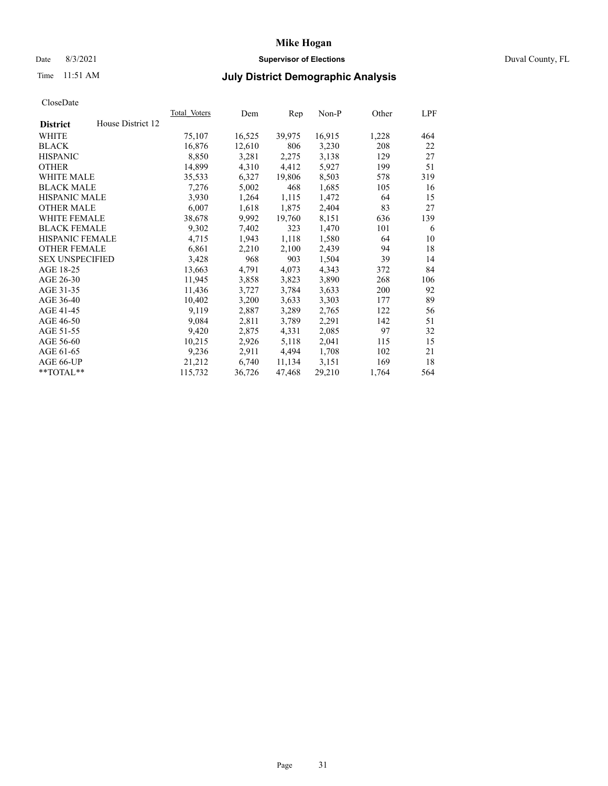### Date 8/3/2021 **Supervisor of Elections** Duval County, FL

# Time 11:51 AM **July District Demographic Analysis**

|                        |                   | <b>Total Voters</b> | Dem    | Rep    | Non-P  | Other | LPF |
|------------------------|-------------------|---------------------|--------|--------|--------|-------|-----|
| <b>District</b>        | House District 12 |                     |        |        |        |       |     |
| WHITE                  |                   | 75,107              | 16,525 | 39,975 | 16,915 | 1,228 | 464 |
| <b>BLACK</b>           |                   | 16,876              | 12,610 | 806    | 3,230  | 208   | 22  |
| <b>HISPANIC</b>        |                   | 8,850               | 3,281  | 2,275  | 3,138  | 129   | 27  |
| <b>OTHER</b>           |                   | 14,899              | 4,310  | 4,412  | 5,927  | 199   | 51  |
| <b>WHITE MALE</b>      |                   | 35,533              | 6,327  | 19,806 | 8,503  | 578   | 319 |
| <b>BLACK MALE</b>      |                   | 7,276               | 5,002  | 468    | 1,685  | 105   | 16  |
| <b>HISPANIC MALE</b>   |                   | 3,930               | 1,264  | 1,115  | 1,472  | 64    | 15  |
| <b>OTHER MALE</b>      |                   | 6,007               | 1,618  | 1,875  | 2,404  | 83    | 27  |
| WHITE FEMALE           |                   | 38,678              | 9,992  | 19,760 | 8,151  | 636   | 139 |
| <b>BLACK FEMALE</b>    |                   | 9,302               | 7,402  | 323    | 1,470  | 101   | 6   |
| HISPANIC FEMALE        |                   | 4,715               | 1,943  | 1,118  | 1,580  | 64    | 10  |
| <b>OTHER FEMALE</b>    |                   | 6,861               | 2,210  | 2,100  | 2,439  | 94    | 18  |
| <b>SEX UNSPECIFIED</b> |                   | 3,428               | 968    | 903    | 1,504  | 39    | 14  |
| AGE 18-25              |                   | 13,663              | 4,791  | 4,073  | 4,343  | 372   | 84  |
| AGE 26-30              |                   | 11,945              | 3,858  | 3,823  | 3,890  | 268   | 106 |
| AGE 31-35              |                   | 11,436              | 3,727  | 3,784  | 3,633  | 200   | 92  |
| AGE 36-40              |                   | 10,402              | 3,200  | 3,633  | 3,303  | 177   | 89  |
| AGE 41-45              |                   | 9,119               | 2,887  | 3,289  | 2,765  | 122   | 56  |
| AGE 46-50              |                   | 9,084               | 2,811  | 3,789  | 2,291  | 142   | 51  |
| AGE 51-55              |                   | 9,420               | 2,875  | 4,331  | 2,085  | 97    | 32  |
| AGE 56-60              |                   | 10,215              | 2,926  | 5,118  | 2,041  | 115   | 15  |
| AGE 61-65              |                   | 9,236               | 2,911  | 4,494  | 1,708  | 102   | 21  |
| AGE 66-UP              |                   | 21,212              | 6,740  | 11,134 | 3,151  | 169   | 18  |
| **TOTAL**              |                   | 115,732             | 36,726 | 47,468 | 29,210 | 1,764 | 564 |
|                        |                   |                     |        |        |        |       |     |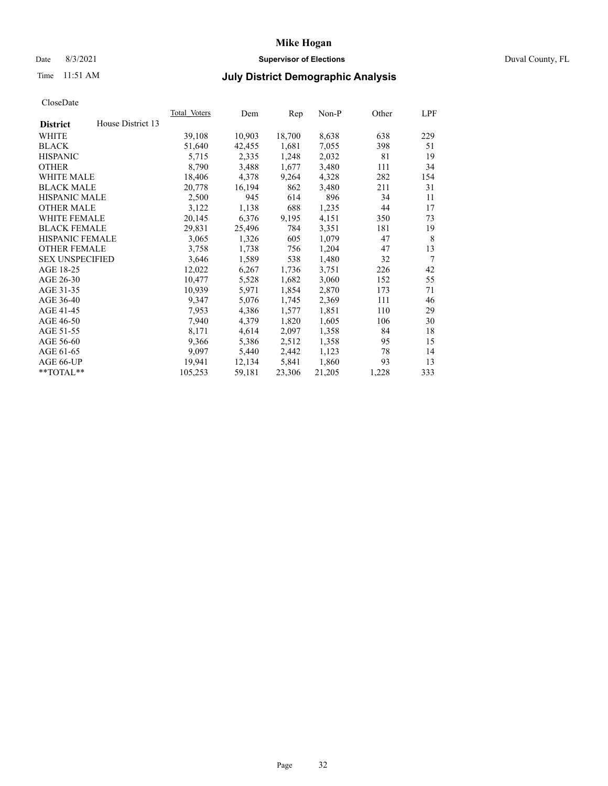### Date 8/3/2021 **Supervisor of Elections** Duval County, FL

# Time 11:51 AM **July District Demographic Analysis**

|                        |                   | Total Voters | Dem    | Rep    | Non-P  | Other | LPF    |
|------------------------|-------------------|--------------|--------|--------|--------|-------|--------|
| <b>District</b>        | House District 13 |              |        |        |        |       |        |
| WHITE                  |                   | 39,108       | 10,903 | 18,700 | 8,638  | 638   | 229    |
| <b>BLACK</b>           |                   | 51,640       | 42,455 | 1,681  | 7,055  | 398   | 51     |
| <b>HISPANIC</b>        |                   | 5,715        | 2,335  | 1,248  | 2,032  | 81    | 19     |
| <b>OTHER</b>           |                   | 8,790        | 3,488  | 1,677  | 3,480  | 111   | 34     |
| <b>WHITE MALE</b>      |                   | 18,406       | 4,378  | 9,264  | 4,328  | 282   | 154    |
| <b>BLACK MALE</b>      |                   | 20,778       | 16,194 | 862    | 3,480  | 211   | 31     |
| <b>HISPANIC MALE</b>   |                   | 2,500        | 945    | 614    | 896    | 34    | 11     |
| <b>OTHER MALE</b>      |                   | 3,122        | 1,138  | 688    | 1,235  | 44    | 17     |
| <b>WHITE FEMALE</b>    |                   | 20,145       | 6,376  | 9,195  | 4,151  | 350   | 73     |
| <b>BLACK FEMALE</b>    |                   | 29,831       | 25,496 | 784    | 3,351  | 181   | 19     |
| <b>HISPANIC FEMALE</b> |                   | 3,065        | 1,326  | 605    | 1,079  | 47    | 8      |
| <b>OTHER FEMALE</b>    |                   | 3,758        | 1,738  | 756    | 1,204  | 47    | 13     |
| <b>SEX UNSPECIFIED</b> |                   | 3,646        | 1,589  | 538    | 1,480  | 32    | $\tau$ |
| AGE 18-25              |                   | 12,022       | 6,267  | 1,736  | 3,751  | 226   | 42     |
| AGE 26-30              |                   | 10,477       | 5,528  | 1,682  | 3,060  | 152   | 55     |
| AGE 31-35              |                   | 10,939       | 5,971  | 1,854  | 2,870  | 173   | 71     |
| AGE 36-40              |                   | 9,347        | 5,076  | 1,745  | 2,369  | 111   | 46     |
| AGE 41-45              |                   | 7,953        | 4,386  | 1,577  | 1,851  | 110   | 29     |
| AGE 46-50              |                   | 7,940        | 4,379  | 1,820  | 1,605  | 106   | 30     |
| AGE 51-55              |                   | 8,171        | 4,614  | 2,097  | 1,358  | 84    | 18     |
| AGE 56-60              |                   | 9,366        | 5,386  | 2,512  | 1,358  | 95    | 15     |
| AGE 61-65              |                   | 9,097        | 5,440  | 2,442  | 1,123  | 78    | 14     |
| AGE 66-UP              |                   | 19,941       | 12,134 | 5,841  | 1,860  | 93    | 13     |
| $*$ TOTAL $**$         |                   | 105,253      | 59,181 | 23,306 | 21,205 | 1,228 | 333    |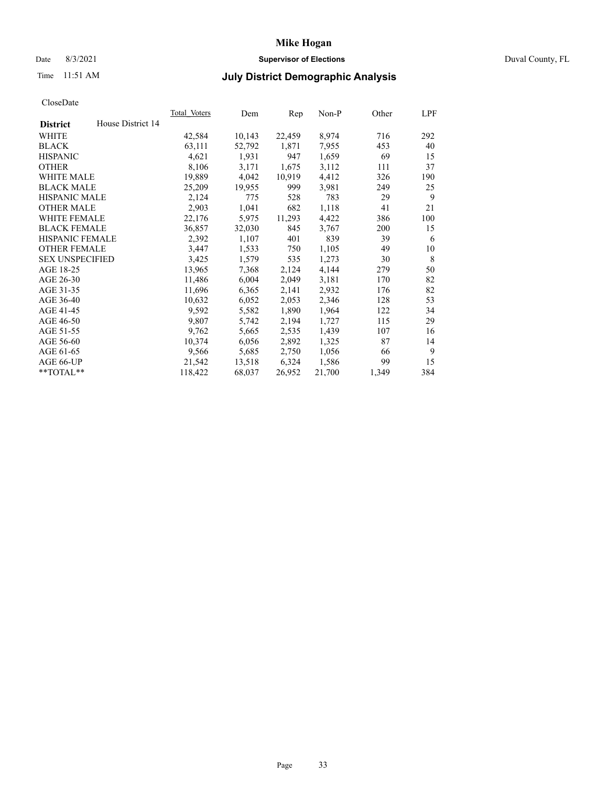### Date 8/3/2021 **Supervisor of Elections** Duval County, FL

# Time 11:51 AM **July District Demographic Analysis**

| <b>Total Voters</b> | Dem    | Rep    | $Non-P$ | Other | LPF |
|---------------------|--------|--------|---------|-------|-----|
|                     |        |        |         |       |     |
| 42,584              | 10,143 | 22,459 | 8,974   | 716   | 292 |
| 63,111              | 52,792 | 1,871  | 7,955   | 453   | 40  |
| 4,621               | 1,931  | 947    | 1,659   | 69    | 15  |
| 8,106               | 3,171  | 1,675  | 3,112   | 111   | 37  |
| 19,889              | 4,042  | 10,919 | 4,412   | 326   | 190 |
| 25,209              | 19,955 | 999    | 3,981   | 249   | 25  |
| 2,124               | 775    | 528    | 783     | 29    | 9   |
| 2,903               | 1,041  | 682    | 1,118   | 41    | 21  |
| 22,176              | 5,975  | 11,293 | 4,422   | 386   | 100 |
| 36,857              | 32,030 | 845    | 3,767   | 200   | 15  |
| 2,392               | 1,107  | 401    | 839     | 39    | 6   |
| 3,447               | 1,533  | 750    | 1,105   | 49    | 10  |
| 3,425               | 1,579  | 535    | 1,273   | 30    | 8   |
| 13,965              | 7,368  | 2,124  | 4,144   | 279   | 50  |
| 11,486              | 6,004  | 2,049  | 3,181   | 170   | 82  |
| 11,696              | 6,365  | 2,141  | 2,932   | 176   | 82  |
| 10,632              | 6,052  | 2,053  | 2,346   | 128   | 53  |
| 9,592               | 5,582  | 1,890  | 1,964   | 122   | 34  |
| 9,807               | 5,742  | 2,194  | 1,727   | 115   | 29  |
| 9,762               | 5,665  | 2,535  | 1,439   | 107   | 16  |
| 10,374              | 6,056  | 2,892  | 1,325   | 87    | 14  |
| 9,566               | 5,685  | 2,750  | 1,056   | 66    | 9   |
| 21,542              | 13,518 | 6,324  | 1,586   | 99    | 15  |
| 118,422             | 68,037 | 26,952 | 21,700  | 1,349 | 384 |
|                     |        |        |         |       |     |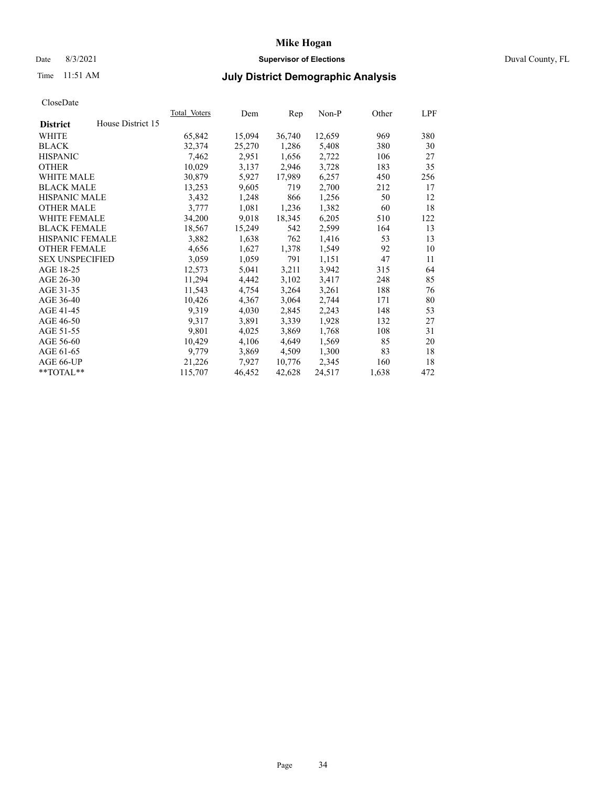## Date 8/3/2021 **Supervisor of Elections** Duval County, FL

# Time 11:51 AM **July District Demographic Analysis**

| Total Voters | Dem    | Rep    | $Non-P$ | Other | LPF |
|--------------|--------|--------|---------|-------|-----|
|              |        |        |         |       |     |
| 65,842       | 15,094 | 36,740 | 12,659  | 969   | 380 |
| 32,374       | 25,270 | 1,286  | 5,408   | 380   | 30  |
| 7,462        | 2,951  | 1,656  | 2,722   | 106   | 27  |
| 10,029       | 3,137  | 2,946  | 3,728   | 183   | 35  |
| 30,879       | 5,927  | 17,989 | 6,257   | 450   | 256 |
| 13,253       | 9,605  | 719    | 2,700   | 212   | 17  |
| 3,432        | 1,248  | 866    | 1,256   | 50    | 12  |
| 3,777        | 1,081  | 1,236  | 1,382   | 60    | 18  |
| 34,200       | 9,018  | 18,345 | 6,205   | 510   | 122 |
| 18,567       | 15,249 | 542    | 2,599   | 164   | 13  |
| 3,882        | 1,638  | 762    | 1,416   | 53    | 13  |
| 4,656        | 1,627  | 1,378  | 1,549   | 92    | 10  |
| 3,059        | 1,059  | 791    | 1,151   | 47    | 11  |
| 12,573       | 5,041  | 3,211  | 3,942   | 315   | 64  |
| 11,294       | 4,442  | 3,102  | 3,417   | 248   | 85  |
| 11,543       | 4,754  | 3,264  | 3,261   | 188   | 76  |
| 10,426       | 4,367  | 3,064  | 2,744   | 171   | 80  |
| 9,319        | 4,030  | 2,845  | 2,243   | 148   | 53  |
| 9,317        | 3,891  | 3,339  | 1,928   | 132   | 27  |
| 9,801        | 4,025  | 3,869  | 1,768   | 108   | 31  |
| 10,429       | 4,106  | 4,649  | 1,569   | 85    | 20  |
| 9,779        | 3,869  | 4,509  | 1,300   | 83    | 18  |
| 21,226       | 7,927  | 10,776 | 2,345   | 160   | 18  |
| 115,707      | 46,452 | 42,628 | 24,517  | 1,638 | 472 |
|              |        |        |         |       |     |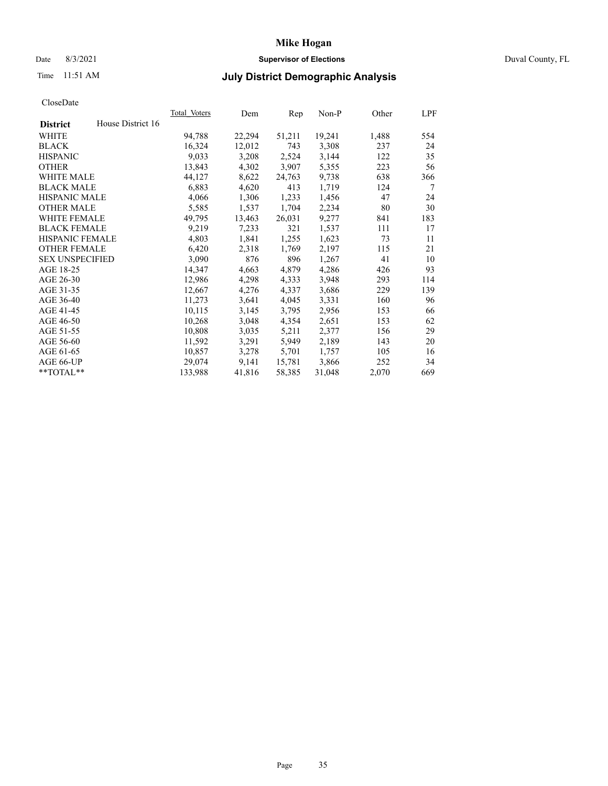## Date 8/3/2021 **Supervisor of Elections** Duval County, FL

# Time 11:51 AM **July District Demographic Analysis**

|                        |                   | Total Voters | Dem    | Rep    | $Non-P$ | Other | LPF |
|------------------------|-------------------|--------------|--------|--------|---------|-------|-----|
| <b>District</b>        | House District 16 |              |        |        |         |       |     |
| WHITE                  |                   | 94,788       | 22,294 | 51,211 | 19,241  | 1,488 | 554 |
| <b>BLACK</b>           |                   | 16,324       | 12,012 | 743    | 3,308   | 237   | 24  |
| <b>HISPANIC</b>        |                   | 9,033        | 3,208  | 2,524  | 3,144   | 122   | 35  |
| <b>OTHER</b>           |                   | 13,843       | 4,302  | 3,907  | 5,355   | 223   | 56  |
| <b>WHITE MALE</b>      |                   | 44,127       | 8,622  | 24,763 | 9,738   | 638   | 366 |
| <b>BLACK MALE</b>      |                   | 6,883        | 4,620  | 413    | 1,719   | 124   | 7   |
| <b>HISPANIC MALE</b>   |                   | 4,066        | 1,306  | 1,233  | 1,456   | 47    | 24  |
| <b>OTHER MALE</b>      |                   | 5,585        | 1,537  | 1,704  | 2,234   | 80    | 30  |
| WHITE FEMALE           |                   | 49,795       | 13,463 | 26,031 | 9,277   | 841   | 183 |
| <b>BLACK FEMALE</b>    |                   | 9,219        | 7,233  | 321    | 1,537   | 111   | 17  |
| HISPANIC FEMALE        |                   | 4,803        | 1,841  | 1,255  | 1,623   | 73    | 11  |
| <b>OTHER FEMALE</b>    |                   | 6,420        | 2,318  | 1,769  | 2,197   | 115   | 21  |
| <b>SEX UNSPECIFIED</b> |                   | 3,090        | 876    | 896    | 1,267   | 41    | 10  |
| AGE 18-25              |                   | 14,347       | 4,663  | 4,879  | 4,286   | 426   | 93  |
| AGE 26-30              |                   | 12,986       | 4,298  | 4,333  | 3,948   | 293   | 114 |
| AGE 31-35              |                   | 12,667       | 4,276  | 4,337  | 3,686   | 229   | 139 |
| AGE 36-40              |                   | 11,273       | 3,641  | 4,045  | 3,331   | 160   | 96  |
| AGE 41-45              |                   | 10,115       | 3,145  | 3,795  | 2,956   | 153   | 66  |
| AGE 46-50              |                   | 10,268       | 3,048  | 4,354  | 2,651   | 153   | 62  |
| AGE 51-55              |                   | 10,808       | 3,035  | 5,211  | 2,377   | 156   | 29  |
| AGE 56-60              |                   | 11,592       | 3,291  | 5,949  | 2,189   | 143   | 20  |
| AGE 61-65              |                   | 10,857       | 3,278  | 5,701  | 1,757   | 105   | 16  |
| AGE 66-UP              |                   | 29,074       | 9,141  | 15,781 | 3,866   | 252   | 34  |
| **TOTAL**              |                   | 133,988      | 41,816 | 58,385 | 31,048  | 2,070 | 669 |
|                        |                   |              |        |        |         |       |     |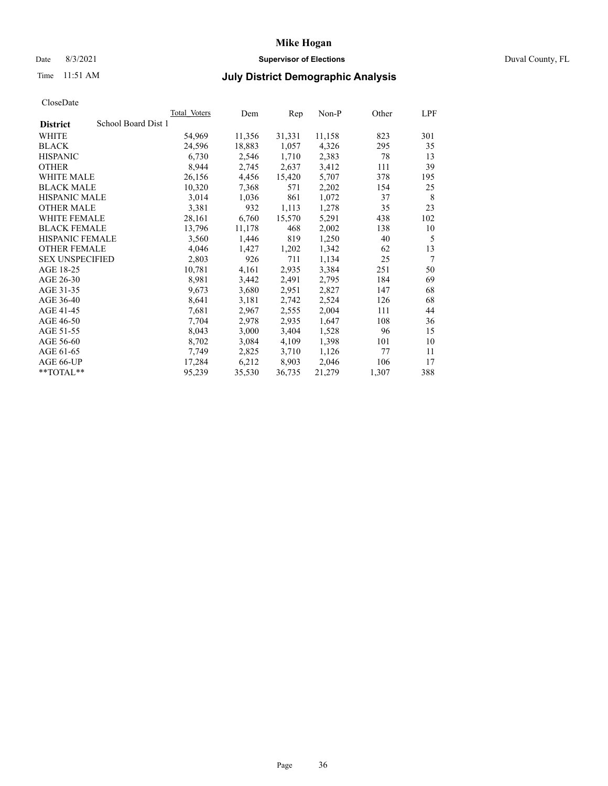## Date 8/3/2021 **Supervisor of Elections** Duval County, FL

# Time 11:51 AM **July District Demographic Analysis**

| Total Voters        | Dem    | Rep    | $Non-P$ | Other | LPF |
|---------------------|--------|--------|---------|-------|-----|
| School Board Dist 1 |        |        |         |       |     |
| 54,969              | 11,356 | 31,331 | 11,158  | 823   | 301 |
| 24,596              | 18,883 | 1,057  | 4,326   | 295   | 35  |
| 6,730               | 2,546  | 1,710  | 2,383   | 78    | 13  |
| 8,944               | 2,745  | 2,637  | 3,412   | 111   | 39  |
| 26,156              | 4,456  | 15,420 | 5,707   | 378   | 195 |
| 10,320              | 7,368  | 571    | 2,202   | 154   | 25  |
| 3,014               | 1,036  | 861    | 1,072   | 37    | 8   |
| 3,381               | 932    | 1,113  | 1,278   | 35    | 23  |
| 28,161              | 6,760  | 15,570 | 5,291   | 438   | 102 |
| 13,796              | 11,178 | 468    | 2,002   | 138   | 10  |
| 3,560               | 1,446  | 819    | 1,250   | 40    | 5   |
| 4,046               | 1,427  | 1,202  | 1,342   | 62    | 13  |
| 2,803               | 926    | 711    | 1,134   | 25    | 7   |
| 10,781              | 4,161  | 2,935  | 3,384   | 251   | 50  |
| 8,981               | 3,442  | 2,491  | 2,795   | 184   | 69  |
| 9,673               | 3,680  | 2,951  | 2,827   | 147   | 68  |
| 8,641               | 3,181  | 2,742  | 2,524   | 126   | 68  |
| 7,681               | 2,967  | 2,555  | 2,004   | 111   | 44  |
| 7,704               | 2,978  | 2,935  | 1,647   | 108   | 36  |
| 8,043               | 3,000  | 3,404  | 1,528   | 96    | 15  |
| 8,702               | 3,084  | 4,109  | 1,398   | 101   | 10  |
| 7,749               | 2,825  | 3,710  | 1,126   | 77    | 11  |
| 17,284              | 6,212  | 8,903  | 2,046   | 106   | 17  |
| 95,239              | 35,530 | 36,735 | 21,279  | 1,307 | 388 |
|                     |        |        |         |       |     |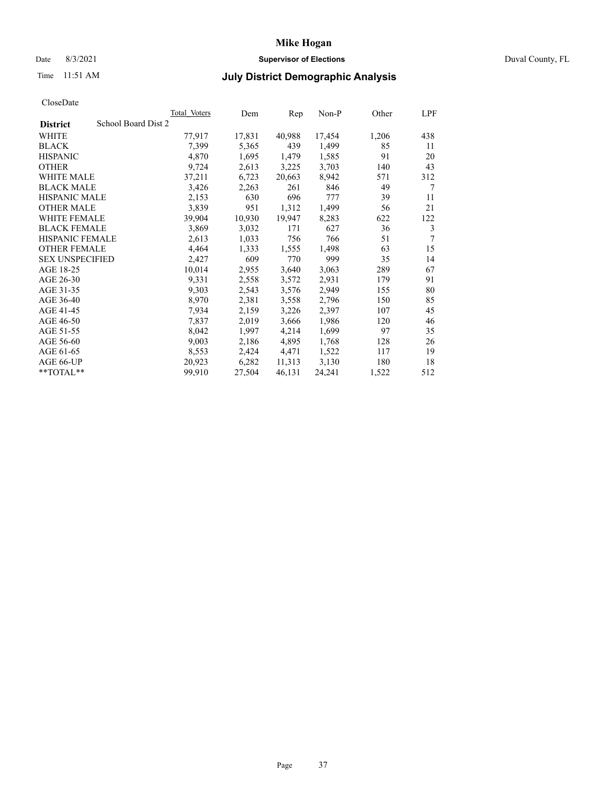# Date 8/3/2021 **Supervisor of Elections** Duval County, FL

# Time 11:51 AM **July District Demographic Analysis**

|                                        | Total Voters | Dem    | Rep    | Non-P  | Other | LPF |
|----------------------------------------|--------------|--------|--------|--------|-------|-----|
| School Board Dist 2<br><b>District</b> |              |        |        |        |       |     |
| WHITE                                  | 77,917       | 17,831 | 40,988 | 17,454 | 1,206 | 438 |
| <b>BLACK</b>                           | 7,399        | 5,365  | 439    | 1,499  | 85    | 11  |
| <b>HISPANIC</b>                        | 4,870        | 1,695  | 1,479  | 1,585  | 91    | 20  |
| <b>OTHER</b>                           | 9,724        | 2,613  | 3,225  | 3,703  | 140   | 43  |
| WHITE MALE                             | 37,211       | 6,723  | 20,663 | 8,942  | 571   | 312 |
| <b>BLACK MALE</b>                      | 3,426        | 2,263  | 261    | 846    | 49    | 7   |
| <b>HISPANIC MALE</b>                   | 2,153        | 630    | 696    | 777    | 39    | 11  |
| <b>OTHER MALE</b>                      | 3,839        | 951    | 1,312  | 1,499  | 56    | 21  |
| <b>WHITE FEMALE</b>                    | 39,904       | 10,930 | 19,947 | 8,283  | 622   | 122 |
| <b>BLACK FEMALE</b>                    | 3,869        | 3,032  | 171    | 627    | 36    | 3   |
| HISPANIC FEMALE                        | 2,613        | 1,033  | 756    | 766    | 51    | 7   |
| <b>OTHER FEMALE</b>                    | 4,464        | 1,333  | 1,555  | 1,498  | 63    | 15  |
| <b>SEX UNSPECIFIED</b>                 | 2,427        | 609    | 770    | 999    | 35    | 14  |
| AGE 18-25                              | 10,014       | 2,955  | 3,640  | 3,063  | 289   | 67  |
| AGE 26-30                              | 9,331        | 2,558  | 3,572  | 2,931  | 179   | 91  |
| AGE 31-35                              | 9,303        | 2,543  | 3,576  | 2,949  | 155   | 80  |
| AGE 36-40                              | 8,970        | 2,381  | 3,558  | 2,796  | 150   | 85  |
| AGE 41-45                              | 7,934        | 2,159  | 3,226  | 2,397  | 107   | 45  |
| AGE 46-50                              | 7,837        | 2,019  | 3,666  | 1,986  | 120   | 46  |
| AGE 51-55                              | 8,042        | 1,997  | 4,214  | 1,699  | 97    | 35  |
| AGE 56-60                              | 9,003        | 2,186  | 4,895  | 1,768  | 128   | 26  |
| AGE 61-65                              | 8,553        | 2,424  | 4,471  | 1,522  | 117   | 19  |
| AGE 66-UP                              | 20,923       | 6,282  | 11,313 | 3,130  | 180   | 18  |
| $*$ $TOTAL**$                          | 99,910       | 27,504 | 46,131 | 24,241 | 1,522 | 512 |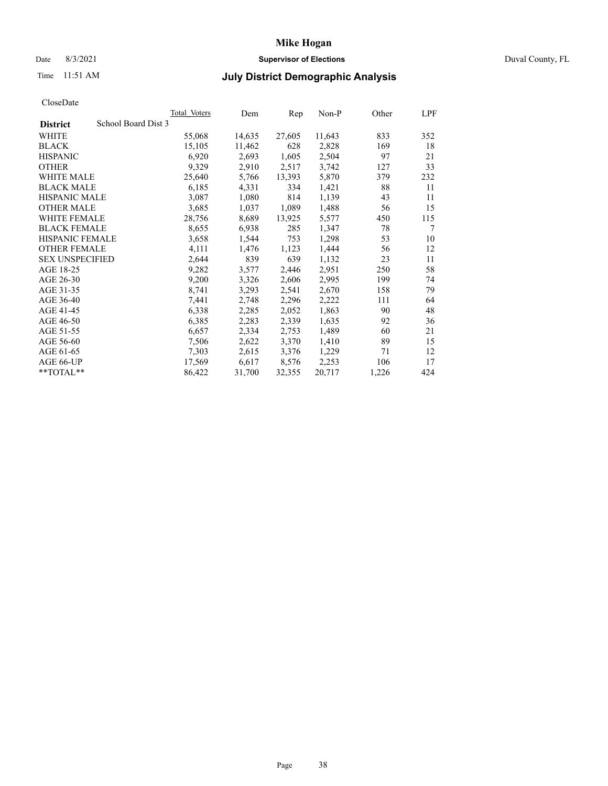# Date 8/3/2021 **Supervisor of Elections** Duval County, FL

# Time 11:51 AM **July District Demographic Analysis**

|                        |                     | <b>Total Voters</b> | Dem    | Rep    | $Non-P$ | Other | LPF |
|------------------------|---------------------|---------------------|--------|--------|---------|-------|-----|
| <b>District</b>        | School Board Dist 3 |                     |        |        |         |       |     |
| WHITE                  |                     | 55,068              | 14,635 | 27,605 | 11,643  | 833   | 352 |
| <b>BLACK</b>           |                     | 15,105              | 11,462 | 628    | 2,828   | 169   | 18  |
| <b>HISPANIC</b>        |                     | 6,920               | 2,693  | 1,605  | 2,504   | 97    | 21  |
| <b>OTHER</b>           |                     | 9,329               | 2,910  | 2,517  | 3,742   | 127   | 33  |
| <b>WHITE MALE</b>      |                     | 25,640              | 5,766  | 13,393 | 5,870   | 379   | 232 |
| <b>BLACK MALE</b>      |                     | 6,185               | 4,331  | 334    | 1,421   | 88    | 11  |
| <b>HISPANIC MALE</b>   |                     | 3,087               | 1,080  | 814    | 1,139   | 43    | 11  |
| <b>OTHER MALE</b>      |                     | 3,685               | 1,037  | 1,089  | 1,488   | 56    | 15  |
| WHITE FEMALE           |                     | 28,756              | 8,689  | 13,925 | 5,577   | 450   | 115 |
| <b>BLACK FEMALE</b>    |                     | 8,655               | 6,938  | 285    | 1,347   | 78    | 7   |
| HISPANIC FEMALE        |                     | 3,658               | 1,544  | 753    | 1,298   | 53    | 10  |
| <b>OTHER FEMALE</b>    |                     | 4,111               | 1,476  | 1,123  | 1,444   | 56    | 12  |
| <b>SEX UNSPECIFIED</b> |                     | 2,644               | 839    | 639    | 1,132   | 23    | 11  |
| AGE 18-25              |                     | 9,282               | 3,577  | 2,446  | 2,951   | 250   | 58  |
| AGE 26-30              |                     | 9,200               | 3,326  | 2,606  | 2,995   | 199   | 74  |
| AGE 31-35              |                     | 8,741               | 3,293  | 2,541  | 2,670   | 158   | 79  |
| AGE 36-40              |                     | 7,441               | 2,748  | 2,296  | 2,222   | 111   | 64  |
| AGE 41-45              |                     | 6,338               | 2,285  | 2,052  | 1,863   | 90    | 48  |
| AGE 46-50              |                     | 6,385               | 2,283  | 2,339  | 1,635   | 92    | 36  |
| AGE 51-55              |                     | 6,657               | 2,334  | 2,753  | 1,489   | 60    | 21  |
| AGE 56-60              |                     | 7,506               | 2,622  | 3,370  | 1,410   | 89    | 15  |
| AGE 61-65              |                     | 7,303               | 2,615  | 3,376  | 1,229   | 71    | 12  |
| AGE 66-UP              |                     | 17,569              | 6,617  | 8,576  | 2,253   | 106   | 17  |
| **TOTAL**              |                     | 86,422              | 31,700 | 32,355 | 20,717  | 1,226 | 424 |
|                        |                     |                     |        |        |         |       |     |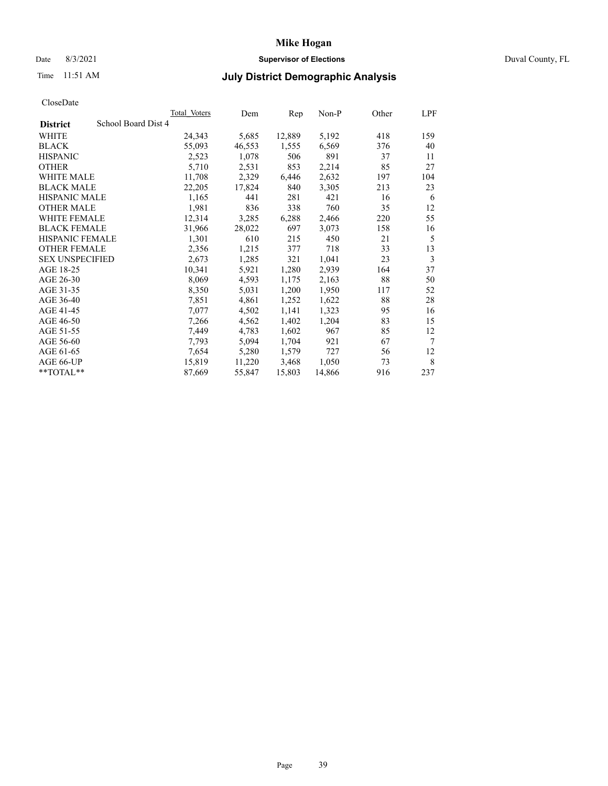## Date 8/3/2021 **Supervisor of Elections** Duval County, FL

# Time 11:51 AM **July District Demographic Analysis**

|                                        | <b>Total Voters</b> | Dem    | Rep    | $Non-P$ | Other | LPF |
|----------------------------------------|---------------------|--------|--------|---------|-------|-----|
| School Board Dist 4<br><b>District</b> |                     |        |        |         |       |     |
| WHITE                                  | 24,343              | 5,685  | 12,889 | 5,192   | 418   | 159 |
| <b>BLACK</b>                           | 55,093              | 46,553 | 1,555  | 6,569   | 376   | 40  |
| <b>HISPANIC</b>                        | 2,523               | 1,078  | 506    | 891     | 37    | 11  |
| <b>OTHER</b>                           | 5,710               | 2,531  | 853    | 2,214   | 85    | 27  |
| WHITE MALE                             | 11,708              | 2,329  | 6,446  | 2,632   | 197   | 104 |
| <b>BLACK MALE</b>                      | 22,205              | 17,824 | 840    | 3,305   | 213   | 23  |
| <b>HISPANIC MALE</b>                   | 1,165               | 441    | 281    | 421     | 16    | 6   |
| <b>OTHER MALE</b>                      | 1,981               | 836    | 338    | 760     | 35    | 12  |
| <b>WHITE FEMALE</b>                    | 12,314              | 3,285  | 6,288  | 2,466   | 220   | 55  |
| <b>BLACK FEMALE</b>                    | 31,966              | 28,022 | 697    | 3,073   | 158   | 16  |
| HISPANIC FEMALE                        | 1,301               | 610    | 215    | 450     | 21    | 5   |
| <b>OTHER FEMALE</b>                    | 2,356               | 1,215  | 377    | 718     | 33    | 13  |
| <b>SEX UNSPECIFIED</b>                 | 2,673               | 1,285  | 321    | 1,041   | 23    | 3   |
| AGE 18-25                              | 10,341              | 5,921  | 1,280  | 2,939   | 164   | 37  |
| AGE 26-30                              | 8,069               | 4,593  | 1,175  | 2,163   | 88    | 50  |
| AGE 31-35                              | 8,350               | 5,031  | 1,200  | 1,950   | 117   | 52  |
| AGE 36-40                              | 7,851               | 4,861  | 1,252  | 1,622   | 88    | 28  |
| AGE 41-45                              | 7,077               | 4,502  | 1,141  | 1,323   | 95    | 16  |
| AGE 46-50                              | 7,266               | 4,562  | 1,402  | 1,204   | 83    | 15  |
| AGE 51-55                              | 7,449               | 4,783  | 1,602  | 967     | 85    | 12  |
| AGE 56-60                              | 7,793               | 5,094  | 1,704  | 921     | 67    | 7   |
| AGE 61-65                              | 7,654               | 5,280  | 1,579  | 727     | 56    | 12  |
| AGE 66-UP                              | 15,819              | 11,220 | 3,468  | 1,050   | 73    | 8   |
| $*$ $TOTAL**$                          | 87,669              | 55,847 | 15,803 | 14,866  | 916   | 237 |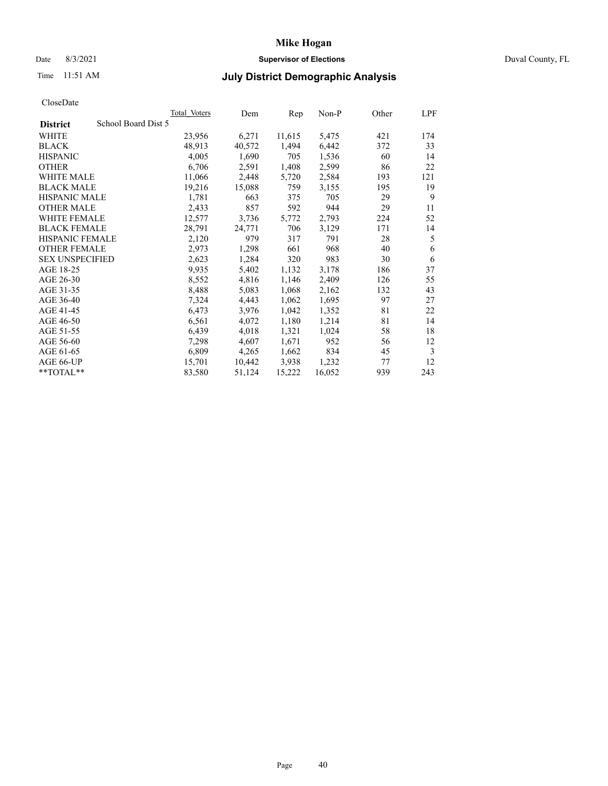### Date 8/3/2021 **Supervisor of Elections** Duval County, FL

# Time 11:51 AM **July District Demographic Analysis**

|                                        | Total Voters | Dem    | Rep    | $Non-P$ | Other | LPF |
|----------------------------------------|--------------|--------|--------|---------|-------|-----|
| School Board Dist 5<br><b>District</b> |              |        |        |         |       |     |
| WHITE                                  | 23,956       | 6,271  | 11,615 | 5,475   | 421   | 174 |
| <b>BLACK</b>                           | 48,913       | 40,572 | 1,494  | 6,442   | 372   | 33  |
| <b>HISPANIC</b>                        | 4,005        | 1,690  | 705    | 1,536   | 60    | 14  |
| <b>OTHER</b>                           | 6,706        | 2,591  | 1,408  | 2,599   | 86    | 22  |
| <b>WHITE MALE</b>                      | 11,066       | 2,448  | 5,720  | 2,584   | 193   | 121 |
| <b>BLACK MALE</b>                      | 19,216       | 15,088 | 759    | 3,155   | 195   | 19  |
| <b>HISPANIC MALE</b>                   | 1,781        | 663    | 375    | 705     | 29    | 9   |
| <b>OTHER MALE</b>                      | 2,433        | 857    | 592    | 944     | 29    | 11  |
| WHITE FEMALE                           | 12,577       | 3,736  | 5,772  | 2,793   | 224   | 52  |
| <b>BLACK FEMALE</b>                    | 28,791       | 24,771 | 706    | 3,129   | 171   | 14  |
| HISPANIC FEMALE                        | 2,120        | 979    | 317    | 791     | 28    | 5   |
| <b>OTHER FEMALE</b>                    | 2,973        | 1,298  | 661    | 968     | 40    | 6   |
| <b>SEX UNSPECIFIED</b>                 | 2,623        | 1,284  | 320    | 983     | 30    | 6   |
| AGE 18-25                              | 9,935        | 5,402  | 1,132  | 3,178   | 186   | 37  |
| AGE 26-30                              | 8,552        | 4,816  | 1,146  | 2,409   | 126   | 55  |
| AGE 31-35                              | 8,488        | 5,083  | 1,068  | 2,162   | 132   | 43  |
| AGE 36-40                              | 7,324        | 4,443  | 1,062  | 1,695   | 97    | 27  |
| AGE 41-45                              | 6,473        | 3,976  | 1,042  | 1,352   | 81    | 22  |
| AGE 46-50                              | 6,561        | 4,072  | 1,180  | 1,214   | 81    | 14  |
| AGE 51-55                              | 6,439        | 4,018  | 1,321  | 1,024   | 58    | 18  |
| AGE 56-60                              | 7,298        | 4,607  | 1,671  | 952     | 56    | 12  |
| AGE 61-65                              | 6,809        | 4,265  | 1,662  | 834     | 45    | 3   |
| AGE 66-UP                              | 15,701       | 10,442 | 3,938  | 1,232   | 77    | 12  |
| **TOTAL**                              | 83,580       | 51,124 | 15,222 | 16,052  | 939   | 243 |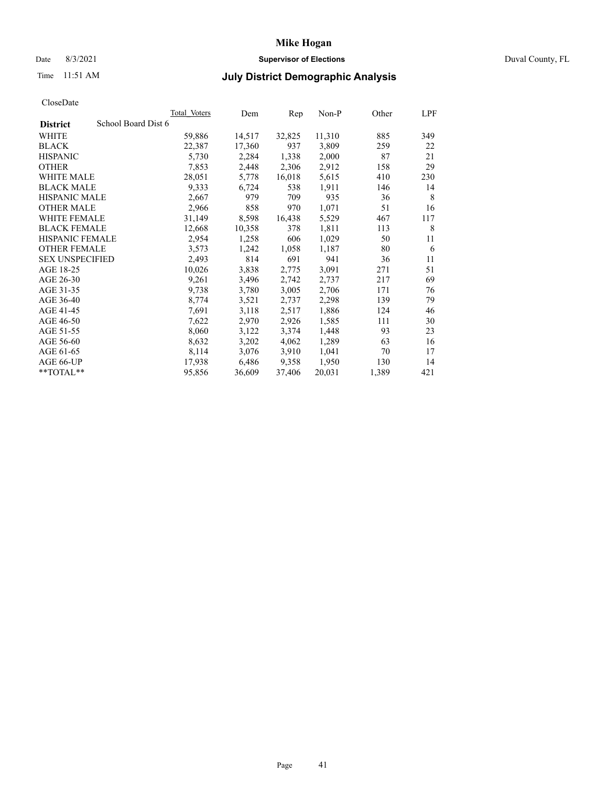## Date 8/3/2021 **Supervisor of Elections** Duval County, FL

# Time 11:51 AM **July District Demographic Analysis**

|                                        | <b>Total Voters</b> | Dem    | Rep    | $Non-P$ | Other | LPF |
|----------------------------------------|---------------------|--------|--------|---------|-------|-----|
| School Board Dist 6<br><b>District</b> |                     |        |        |         |       |     |
| WHITE                                  | 59,886              | 14,517 | 32,825 | 11,310  | 885   | 349 |
| <b>BLACK</b>                           | 22,387              | 17,360 | 937    | 3,809   | 259   | 22  |
| <b>HISPANIC</b>                        | 5,730               | 2,284  | 1,338  | 2,000   | 87    | 21  |
| <b>OTHER</b>                           | 7,853               | 2,448  | 2,306  | 2,912   | 158   | 29  |
| <b>WHITE MALE</b>                      | 28,051              | 5,778  | 16,018 | 5,615   | 410   | 230 |
| <b>BLACK MALE</b>                      | 9,333               | 6,724  | 538    | 1,911   | 146   | 14  |
| <b>HISPANIC MALE</b>                   | 2,667               | 979    | 709    | 935     | 36    | 8   |
| <b>OTHER MALE</b>                      | 2,966               | 858    | 970    | 1,071   | 51    | 16  |
| <b>WHITE FEMALE</b>                    | 31,149              | 8,598  | 16,438 | 5,529   | 467   | 117 |
| <b>BLACK FEMALE</b>                    | 12,668              | 10,358 | 378    | 1,811   | 113   | 8   |
| HISPANIC FEMALE                        | 2,954               | 1,258  | 606    | 1,029   | 50    | 11  |
| <b>OTHER FEMALE</b>                    | 3,573               | 1,242  | 1,058  | 1,187   | 80    | 6   |
| <b>SEX UNSPECIFIED</b>                 | 2,493               | 814    | 691    | 941     | 36    | 11  |
| AGE 18-25                              | 10,026              | 3,838  | 2,775  | 3,091   | 271   | 51  |
| AGE 26-30                              | 9,261               | 3,496  | 2,742  | 2,737   | 217   | 69  |
| AGE 31-35                              | 9,738               | 3,780  | 3,005  | 2,706   | 171   | 76  |
| AGE 36-40                              | 8,774               | 3,521  | 2,737  | 2,298   | 139   | 79  |
| AGE 41-45                              | 7,691               | 3,118  | 2,517  | 1,886   | 124   | 46  |
| AGE 46-50                              | 7,622               | 2,970  | 2,926  | 1,585   | 111   | 30  |
| AGE 51-55                              | 8,060               | 3,122  | 3,374  | 1,448   | 93    | 23  |
| AGE 56-60                              | 8,632               | 3,202  | 4,062  | 1,289   | 63    | 16  |
| AGE 61-65                              | 8,114               | 3,076  | 3,910  | 1,041   | 70    | 17  |
| AGE 66-UP                              | 17,938              | 6,486  | 9,358  | 1,950   | 130   | 14  |
| $*$ $TOTAL**$                          | 95,856              | 36,609 | 37,406 | 20,031  | 1,389 | 421 |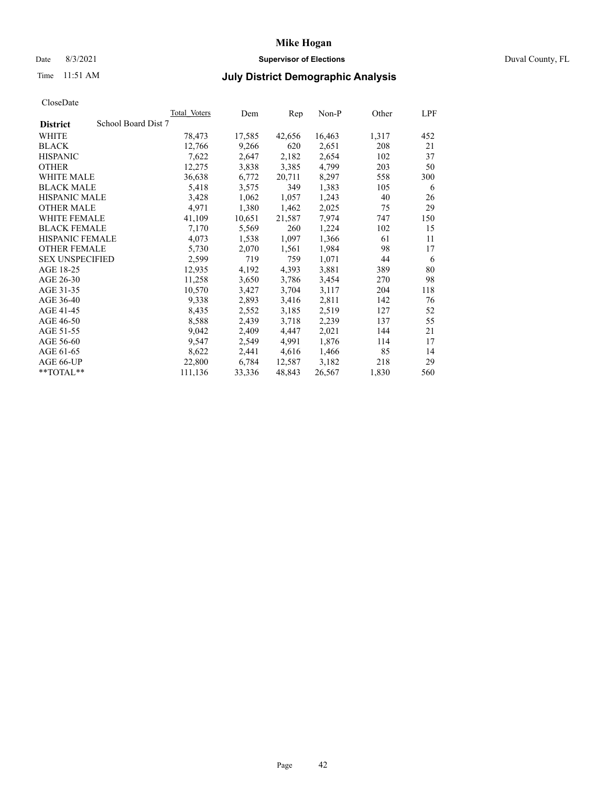## Date 8/3/2021 **Supervisor of Elections** Duval County, FL

# Time 11:51 AM **July District Demographic Analysis**

| Total Voters        | Dem    | Rep    | $Non-P$ | Other | <b>LPF</b> |
|---------------------|--------|--------|---------|-------|------------|
| School Board Dist 7 |        |        |         |       |            |
| 78,473              | 17,585 | 42,656 | 16,463  | 1,317 | 452        |
| 12,766              | 9,266  | 620    | 2,651   | 208   | 21         |
| 7,622               | 2,647  | 2,182  | 2,654   | 102   | 37         |
| 12,275              | 3,838  | 3,385  | 4,799   | 203   | 50         |
| 36,638              | 6,772  | 20,711 | 8,297   | 558   | 300        |
| 5,418               | 3,575  | 349    | 1,383   | 105   | 6          |
| 3,428               | 1,062  | 1,057  | 1,243   | 40    | 26         |
| 4,971               | 1,380  | 1,462  | 2,025   | 75    | 29         |
| 41,109              | 10,651 | 21,587 | 7,974   | 747   | 150        |
| 7,170               | 5,569  | 260    | 1,224   | 102   | 15         |
| 4,073               | 1,538  | 1,097  | 1,366   | 61    | 11         |
| 5,730               | 2,070  | 1,561  | 1,984   | 98    | 17         |
| 2,599               | 719    | 759    | 1,071   | 44    | 6          |
| 12,935              | 4,192  | 4,393  | 3,881   | 389   | 80         |
| 11,258              | 3,650  | 3,786  | 3,454   | 270   | 98         |
| 10,570              | 3,427  | 3,704  | 3,117   | 204   | 118        |
| 9,338               | 2,893  | 3,416  | 2,811   | 142   | 76         |
| 8,435               | 2,552  | 3,185  | 2,519   | 127   | 52         |
| 8,588               | 2,439  | 3,718  | 2,239   | 137   | 55         |
| 9,042               | 2,409  | 4,447  | 2,021   | 144   | 21         |
| 9,547               | 2,549  | 4,991  | 1,876   | 114   | 17         |
| 8,622               | 2,441  | 4,616  | 1,466   | 85    | 14         |
| 22,800              | 6,784  | 12,587 | 3,182   | 218   | 29         |
| 111,136             | 33,336 | 48,843 | 26,567  | 1,830 | 560        |
|                     |        |        |         |       |            |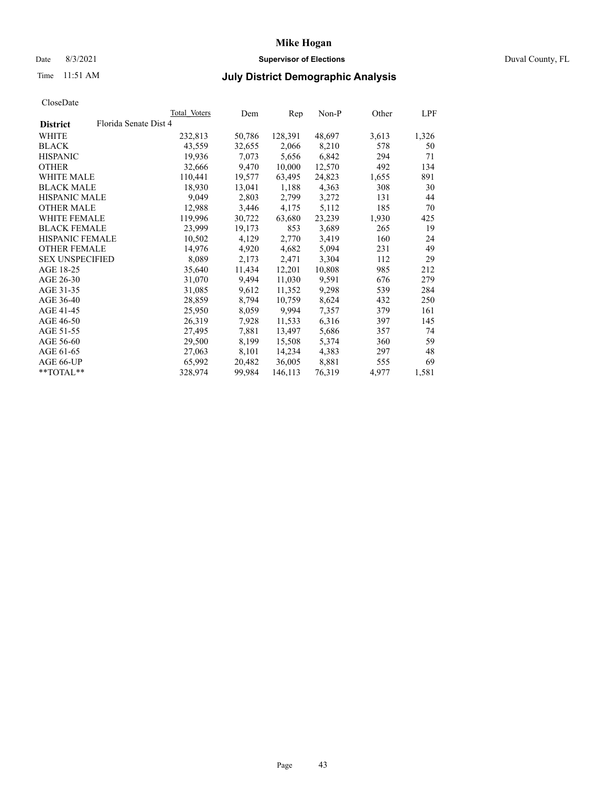### Date 8/3/2021 **Supervisor of Elections** Duval County, FL

# Time 11:51 AM **July District Demographic Analysis**

| CloseDate |
|-----------|
|-----------|

|                                          | Total Voters | Dem    | Rep     | Non-P  | Other | LPF   |
|------------------------------------------|--------------|--------|---------|--------|-------|-------|
| Florida Senate Dist 4<br><b>District</b> |              |        |         |        |       |       |
| <b>WHITE</b>                             | 232,813      | 50,786 | 128,391 | 48,697 | 3,613 | 1,326 |
| <b>BLACK</b>                             | 43,559       | 32,655 | 2,066   | 8,210  | 578   | 50    |
| <b>HISPANIC</b>                          | 19,936       | 7,073  | 5,656   | 6,842  | 294   | 71    |
| <b>OTHER</b>                             | 32,666       | 9,470  | 10,000  | 12,570 | 492   | 134   |
| <b>WHITE MALE</b>                        | 110,441      | 19,577 | 63,495  | 24,823 | 1,655 | 891   |
| <b>BLACK MALE</b>                        | 18,930       | 13,041 | 1,188   | 4,363  | 308   | 30    |
| <b>HISPANIC MALE</b>                     | 9,049        | 2,803  | 2,799   | 3,272  | 131   | 44    |
| <b>OTHER MALE</b>                        | 12,988       | 3,446  | 4,175   | 5,112  | 185   | 70    |
| WHITE FEMALE                             | 119,996      | 30,722 | 63,680  | 23,239 | 1,930 | 425   |
| <b>BLACK FEMALE</b>                      | 23,999       | 19,173 | 853     | 3,689  | 265   | 19    |
| HISPANIC FEMALE                          | 10,502       | 4,129  | 2,770   | 3,419  | 160   | 24    |
| <b>OTHER FEMALE</b>                      | 14,976       | 4,920  | 4,682   | 5,094  | 231   | 49    |
| <b>SEX UNSPECIFIED</b>                   | 8,089        | 2,173  | 2,471   | 3,304  | 112   | 29    |
| AGE 18-25                                | 35,640       | 11,434 | 12,201  | 10,808 | 985   | 212   |
| AGE 26-30                                | 31,070       | 9,494  | 11,030  | 9,591  | 676   | 279   |
| AGE 31-35                                | 31,085       | 9,612  | 11,352  | 9,298  | 539   | 284   |
| AGE 36-40                                | 28,859       | 8,794  | 10,759  | 8,624  | 432   | 250   |
| AGE 41-45                                | 25,950       | 8,059  | 9,994   | 7,357  | 379   | 161   |
| AGE 46-50                                | 26,319       | 7,928  | 11,533  | 6,316  | 397   | 145   |
| AGE 51-55                                | 27,495       | 7,881  | 13,497  | 5,686  | 357   | 74    |
| AGE 56-60                                | 29,500       | 8,199  | 15,508  | 5,374  | 360   | 59    |
| AGE 61-65                                | 27,063       | 8,101  | 14,234  | 4,383  | 297   | 48    |
| AGE 66-UP                                | 65,992       | 20,482 | 36,005  | 8,881  | 555   | 69    |
| **TOTAL**                                | 328,974      | 99,984 | 146,113 | 76,319 | 4,977 | 1,581 |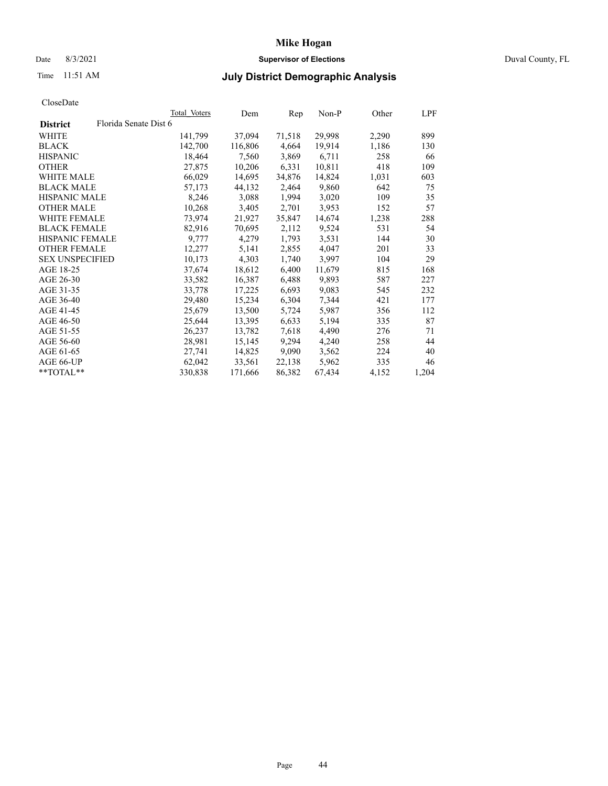### Date 8/3/2021 **Supervisor of Elections** Duval County, FL

# Time 11:51 AM **July District Demographic Analysis**

| Florida Senate Dist 6<br><b>District</b><br>29,998<br>2,290<br>WHITE<br>141,799<br>37,094<br>71,518<br>19,914<br><b>BLACK</b><br>142,700<br>116,806<br>4,664<br>1,186<br>3,869<br>6,711<br><b>HISPANIC</b><br>18,464<br>7,560<br>258<br>66<br><b>OTHER</b><br>6,331<br>10,811<br>418<br>27,875<br>10,206<br><b>WHITE MALE</b><br>66,029<br>14,695<br>34,876<br>14,824<br>1,031<br>603<br>9,860<br><b>BLACK MALE</b><br>44,132<br>2,464<br>642<br>57,173<br>75<br><b>HISPANIC MALE</b><br>8,246<br>3,088<br>1,994<br>3,020<br>109<br>2,701<br><b>OTHER MALE</b><br>10,268<br>3,405<br>3,953<br>152<br>1,238<br><b>WHITE FEMALE</b><br>73,974<br>21,927<br>35,847<br>14,674<br><b>BLACK FEMALE</b><br>9,524<br>82,916<br>70,695<br>2,112<br>531<br>HISPANIC FEMALE<br>9,777<br>4,279<br>3,531<br>144<br>1,793<br><b>OTHER FEMALE</b><br>4,047<br>12,277<br>5,141<br>2,855<br>201<br>33<br>10,173<br>3,997<br><b>SEX UNSPECIFIED</b><br>4,303<br>1,740<br>104<br>AGE 18-25<br>6,400<br>815<br>37,674<br>18,612<br>11,679<br>AGE 26-30<br>33,582<br>6,488<br>9,893<br>16,387<br>587<br>9,083<br>AGE 31-35<br>6,693<br>33,778<br>17,225<br>545<br>AGE 36-40<br>6,304<br>7,344<br>421<br>29,480<br>15,234<br>AGE 41-45<br>25,679<br>13,500<br>5,987<br>5,724<br>356<br>AGE 46-50<br>25,644<br>6,633<br>5,194<br>335<br>87<br>13,395<br>AGE 51-55<br>26,237<br>13,782<br>7,618<br>4,490<br>276<br>71<br>4,240<br>AGE 56-60<br>28,981<br>15,145<br>9,294<br>258<br>9,090<br>3,562<br>AGE 61-65<br>27,741<br>14,825<br>224<br>22,138<br>5,962<br>335<br>AGE 66-UP<br>62,042<br>33,561<br>**TOTAL**<br>330,838<br>86,382<br>171,666<br>67,434<br>4,152 |  | Total Voters | Dem | Rep | $Non-P$ | Other | LPF   |
|----------------------------------------------------------------------------------------------------------------------------------------------------------------------------------------------------------------------------------------------------------------------------------------------------------------------------------------------------------------------------------------------------------------------------------------------------------------------------------------------------------------------------------------------------------------------------------------------------------------------------------------------------------------------------------------------------------------------------------------------------------------------------------------------------------------------------------------------------------------------------------------------------------------------------------------------------------------------------------------------------------------------------------------------------------------------------------------------------------------------------------------------------------------------------------------------------------------------------------------------------------------------------------------------------------------------------------------------------------------------------------------------------------------------------------------------------------------------------------------------------------------------------------------------------------------------------------------------------------------------------------------------|--|--------------|-----|-----|---------|-------|-------|
|                                                                                                                                                                                                                                                                                                                                                                                                                                                                                                                                                                                                                                                                                                                                                                                                                                                                                                                                                                                                                                                                                                                                                                                                                                                                                                                                                                                                                                                                                                                                                                                                                                              |  |              |     |     |         |       |       |
|                                                                                                                                                                                                                                                                                                                                                                                                                                                                                                                                                                                                                                                                                                                                                                                                                                                                                                                                                                                                                                                                                                                                                                                                                                                                                                                                                                                                                                                                                                                                                                                                                                              |  |              |     |     |         |       | 899   |
|                                                                                                                                                                                                                                                                                                                                                                                                                                                                                                                                                                                                                                                                                                                                                                                                                                                                                                                                                                                                                                                                                                                                                                                                                                                                                                                                                                                                                                                                                                                                                                                                                                              |  |              |     |     |         |       | 130   |
|                                                                                                                                                                                                                                                                                                                                                                                                                                                                                                                                                                                                                                                                                                                                                                                                                                                                                                                                                                                                                                                                                                                                                                                                                                                                                                                                                                                                                                                                                                                                                                                                                                              |  |              |     |     |         |       |       |
|                                                                                                                                                                                                                                                                                                                                                                                                                                                                                                                                                                                                                                                                                                                                                                                                                                                                                                                                                                                                                                                                                                                                                                                                                                                                                                                                                                                                                                                                                                                                                                                                                                              |  |              |     |     |         |       | 109   |
|                                                                                                                                                                                                                                                                                                                                                                                                                                                                                                                                                                                                                                                                                                                                                                                                                                                                                                                                                                                                                                                                                                                                                                                                                                                                                                                                                                                                                                                                                                                                                                                                                                              |  |              |     |     |         |       |       |
|                                                                                                                                                                                                                                                                                                                                                                                                                                                                                                                                                                                                                                                                                                                                                                                                                                                                                                                                                                                                                                                                                                                                                                                                                                                                                                                                                                                                                                                                                                                                                                                                                                              |  |              |     |     |         |       |       |
|                                                                                                                                                                                                                                                                                                                                                                                                                                                                                                                                                                                                                                                                                                                                                                                                                                                                                                                                                                                                                                                                                                                                                                                                                                                                                                                                                                                                                                                                                                                                                                                                                                              |  |              |     |     |         |       | 35    |
|                                                                                                                                                                                                                                                                                                                                                                                                                                                                                                                                                                                                                                                                                                                                                                                                                                                                                                                                                                                                                                                                                                                                                                                                                                                                                                                                                                                                                                                                                                                                                                                                                                              |  |              |     |     |         |       | 57    |
|                                                                                                                                                                                                                                                                                                                                                                                                                                                                                                                                                                                                                                                                                                                                                                                                                                                                                                                                                                                                                                                                                                                                                                                                                                                                                                                                                                                                                                                                                                                                                                                                                                              |  |              |     |     |         |       | 288   |
|                                                                                                                                                                                                                                                                                                                                                                                                                                                                                                                                                                                                                                                                                                                                                                                                                                                                                                                                                                                                                                                                                                                                                                                                                                                                                                                                                                                                                                                                                                                                                                                                                                              |  |              |     |     |         |       | 54    |
|                                                                                                                                                                                                                                                                                                                                                                                                                                                                                                                                                                                                                                                                                                                                                                                                                                                                                                                                                                                                                                                                                                                                                                                                                                                                                                                                                                                                                                                                                                                                                                                                                                              |  |              |     |     |         |       | 30    |
|                                                                                                                                                                                                                                                                                                                                                                                                                                                                                                                                                                                                                                                                                                                                                                                                                                                                                                                                                                                                                                                                                                                                                                                                                                                                                                                                                                                                                                                                                                                                                                                                                                              |  |              |     |     |         |       |       |
|                                                                                                                                                                                                                                                                                                                                                                                                                                                                                                                                                                                                                                                                                                                                                                                                                                                                                                                                                                                                                                                                                                                                                                                                                                                                                                                                                                                                                                                                                                                                                                                                                                              |  |              |     |     |         |       | 29    |
|                                                                                                                                                                                                                                                                                                                                                                                                                                                                                                                                                                                                                                                                                                                                                                                                                                                                                                                                                                                                                                                                                                                                                                                                                                                                                                                                                                                                                                                                                                                                                                                                                                              |  |              |     |     |         |       | 168   |
|                                                                                                                                                                                                                                                                                                                                                                                                                                                                                                                                                                                                                                                                                                                                                                                                                                                                                                                                                                                                                                                                                                                                                                                                                                                                                                                                                                                                                                                                                                                                                                                                                                              |  |              |     |     |         |       | 227   |
|                                                                                                                                                                                                                                                                                                                                                                                                                                                                                                                                                                                                                                                                                                                                                                                                                                                                                                                                                                                                                                                                                                                                                                                                                                                                                                                                                                                                                                                                                                                                                                                                                                              |  |              |     |     |         |       | 232   |
|                                                                                                                                                                                                                                                                                                                                                                                                                                                                                                                                                                                                                                                                                                                                                                                                                                                                                                                                                                                                                                                                                                                                                                                                                                                                                                                                                                                                                                                                                                                                                                                                                                              |  |              |     |     |         |       | 177   |
|                                                                                                                                                                                                                                                                                                                                                                                                                                                                                                                                                                                                                                                                                                                                                                                                                                                                                                                                                                                                                                                                                                                                                                                                                                                                                                                                                                                                                                                                                                                                                                                                                                              |  |              |     |     |         |       | 112   |
|                                                                                                                                                                                                                                                                                                                                                                                                                                                                                                                                                                                                                                                                                                                                                                                                                                                                                                                                                                                                                                                                                                                                                                                                                                                                                                                                                                                                                                                                                                                                                                                                                                              |  |              |     |     |         |       |       |
|                                                                                                                                                                                                                                                                                                                                                                                                                                                                                                                                                                                                                                                                                                                                                                                                                                                                                                                                                                                                                                                                                                                                                                                                                                                                                                                                                                                                                                                                                                                                                                                                                                              |  |              |     |     |         |       |       |
|                                                                                                                                                                                                                                                                                                                                                                                                                                                                                                                                                                                                                                                                                                                                                                                                                                                                                                                                                                                                                                                                                                                                                                                                                                                                                                                                                                                                                                                                                                                                                                                                                                              |  |              |     |     |         |       | 44    |
|                                                                                                                                                                                                                                                                                                                                                                                                                                                                                                                                                                                                                                                                                                                                                                                                                                                                                                                                                                                                                                                                                                                                                                                                                                                                                                                                                                                                                                                                                                                                                                                                                                              |  |              |     |     |         |       | 40    |
|                                                                                                                                                                                                                                                                                                                                                                                                                                                                                                                                                                                                                                                                                                                                                                                                                                                                                                                                                                                                                                                                                                                                                                                                                                                                                                                                                                                                                                                                                                                                                                                                                                              |  |              |     |     |         |       | 46    |
|                                                                                                                                                                                                                                                                                                                                                                                                                                                                                                                                                                                                                                                                                                                                                                                                                                                                                                                                                                                                                                                                                                                                                                                                                                                                                                                                                                                                                                                                                                                                                                                                                                              |  |              |     |     |         |       | 1,204 |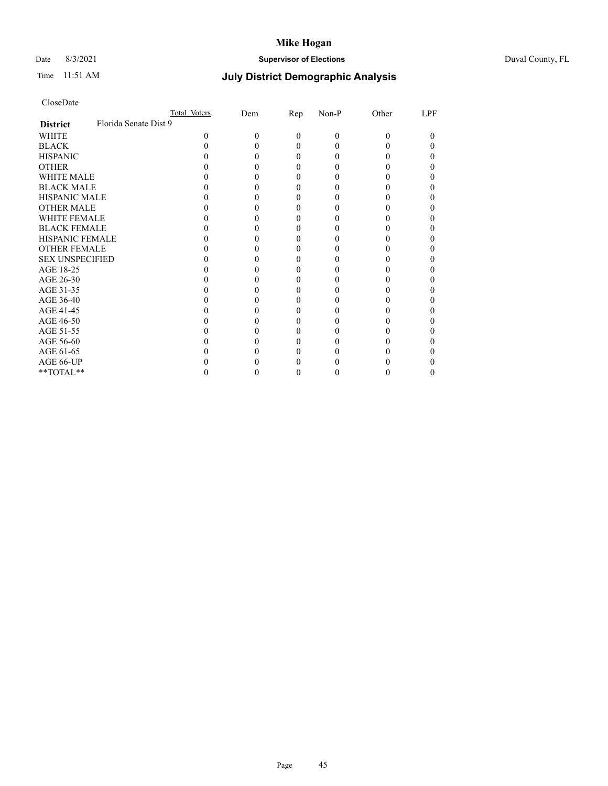## Date 8/3/2021 **Supervisor of Elections** Duval County, FL

# Time 11:51 AM **July District Demographic Analysis**

|                                          | Total Voters | Dem | $\mathbf{Rep}$ | Non-P | Other | LPF |
|------------------------------------------|--------------|-----|----------------|-------|-------|-----|
| Florida Senate Dist 9<br><b>District</b> |              |     |                |       |       |     |
| WHITE                                    | 0            | 0   | $\Omega$       | 0     | 0     | 0   |
| <b>BLACK</b>                             |              |     | 0              |       |       |     |
| <b>HISPANIC</b>                          |              |     | $_{0}$         |       |       |     |
| <b>OTHER</b>                             |              |     |                |       |       |     |
| WHITE MALE                               |              |     |                |       |       |     |
| <b>BLACK MALE</b>                        |              |     |                |       |       |     |
| <b>HISPANIC MALE</b>                     |              |     |                |       |       |     |
| <b>OTHER MALE</b>                        |              |     |                |       |       |     |
| <b>WHITE FEMALE</b>                      |              |     |                |       |       |     |
| <b>BLACK FEMALE</b>                      |              |     | 0              |       |       |     |
| <b>HISPANIC FEMALE</b>                   |              |     |                |       |       |     |
| <b>OTHER FEMALE</b>                      |              |     |                |       |       |     |
| <b>SEX UNSPECIFIED</b>                   |              |     |                |       |       |     |
| AGE 18-25                                |              |     |                |       |       |     |
| AGE 26-30                                |              |     |                |       |       |     |
| AGE 31-35                                |              |     |                |       |       |     |
| AGE 36-40                                |              |     | 0              |       |       |     |
| AGE 41-45                                |              |     |                |       |       |     |
| AGE 46-50                                |              |     |                |       |       |     |
| AGE 51-55                                |              |     |                |       |       |     |
| AGE 56-60                                |              |     |                |       |       |     |
| AGE 61-65                                |              |     |                |       |       |     |
| AGE 66-UP                                |              |     |                |       |       |     |
| **TOTAL**                                |              |     | 0              |       |       |     |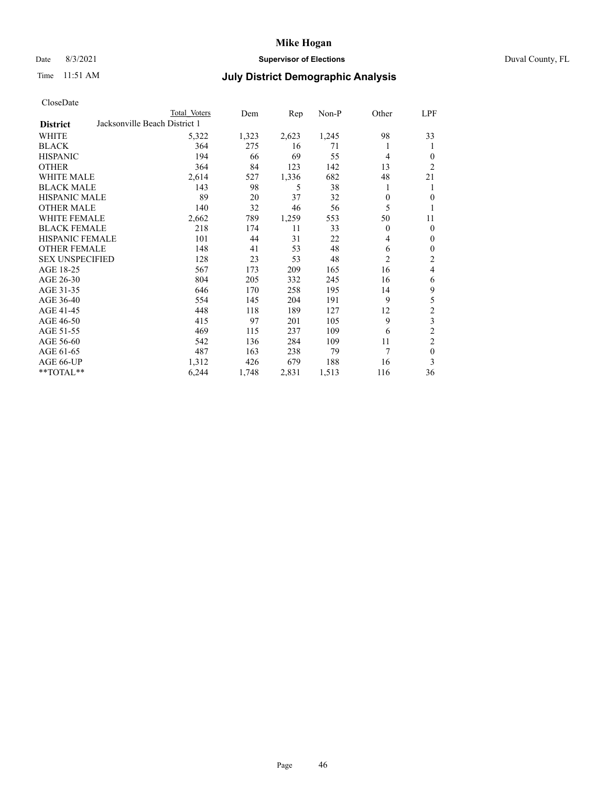## Date 8/3/2021 **Supervisor of Elections** Duval County, FL

# Time 11:51 AM **July District Demographic Analysis**

|                        |                               | Total Voters | Dem   | Rep   | Non-P | Other          | LPF            |
|------------------------|-------------------------------|--------------|-------|-------|-------|----------------|----------------|
| <b>District</b>        | Jacksonville Beach District 1 |              |       |       |       |                |                |
| WHITE                  |                               | 5,322        | 1,323 | 2,623 | 1,245 | 98             | 33             |
| <b>BLACK</b>           |                               | 364          | 275   | 16    | 71    |                | 1              |
| <b>HISPANIC</b>        |                               | 194          | 66    | 69    | 55    | 4              | 0              |
| <b>OTHER</b>           |                               | 364          | 84    | 123   | 142   | 13             | $\overline{2}$ |
| <b>WHITE MALE</b>      |                               | 2,614        | 527   | 1,336 | 682   | 48             | 21             |
| <b>BLACK MALE</b>      |                               | 143          | 98    | 5     | 38    | 1              | 1              |
| <b>HISPANIC MALE</b>   |                               | 89           | 20    | 37    | 32    | 0              | 0              |
| <b>OTHER MALE</b>      |                               | 140          | 32    | 46    | 56    | 5              | 1              |
| <b>WHITE FEMALE</b>    |                               | 2,662        | 789   | 1,259 | 553   | 50             | 11             |
| <b>BLACK FEMALE</b>    |                               | 218          | 174   | 11    | 33    | 0              | $\mathbf{0}$   |
| <b>HISPANIC FEMALE</b> |                               | 101          | 44    | 31    | 22    | 4              | $\Omega$       |
| <b>OTHER FEMALE</b>    |                               | 148          | 41    | 53    | 48    | 6              | $\theta$       |
| <b>SEX UNSPECIFIED</b> |                               | 128          | 23    | 53    | 48    | $\overline{2}$ | $\overline{c}$ |
| AGE 18-25              |                               | 567          | 173   | 209   | 165   | 16             | 4              |
| AGE 26-30              |                               | 804          | 205   | 332   | 245   | 16             | 6              |
| AGE 31-35              |                               | 646          | 170   | 258   | 195   | 14             | 9              |
| AGE 36-40              |                               | 554          | 145   | 204   | 191   | 9              | 5              |
| AGE 41-45              |                               | 448          | 118   | 189   | 127   | 12             | 2              |
| AGE 46-50              |                               | 415          | 97    | 201   | 105   | 9              | 3              |
| AGE 51-55              |                               | 469          | 115   | 237   | 109   | 6              | $\overline{c}$ |
| AGE 56-60              |                               | 542          | 136   | 284   | 109   | 11             | $\overline{2}$ |
| AGE 61-65              |                               | 487          | 163   | 238   | 79    | 7              | $\theta$       |
| AGE 66-UP              |                               | 1,312        | 426   | 679   | 188   | 16             | 3              |
| **TOTAL**              |                               | 6,244        | 1,748 | 2,831 | 1,513 | 116            | 36             |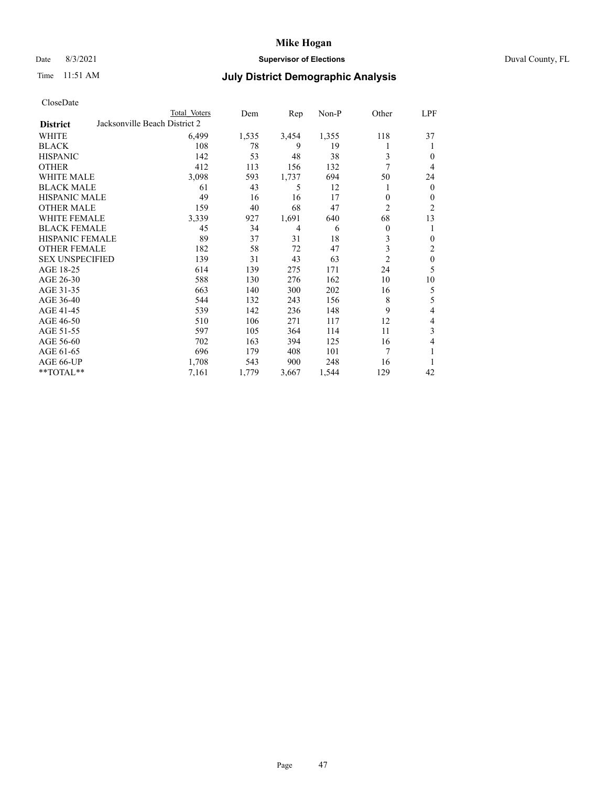## Date 8/3/2021 **Supervisor of Elections** Duval County, FL

# Time 11:51 AM **July District Demographic Analysis**

| CloseDate |
|-----------|
|-----------|

|                        |                               | Total Voters | Dem   | Rep            | Non-P | Other          | LPF              |
|------------------------|-------------------------------|--------------|-------|----------------|-------|----------------|------------------|
| <b>District</b>        | Jacksonville Beach District 2 |              |       |                |       |                |                  |
| WHITE                  |                               | 6,499        | 1,535 | 3,454          | 1,355 | 118            | 37               |
| <b>BLACK</b>           |                               | 108          | 78    | 9              | 19    |                | 1                |
| <b>HISPANIC</b>        |                               | 142          | 53    | 48             | 38    | 3              | $\Omega$         |
| <b>OTHER</b>           |                               | 412          | 113   | 156            | 132   | 7              | 4                |
| <b>WHITE MALE</b>      |                               | 3,098        | 593   | 1,737          | 694   | 50             | 24               |
| <b>BLACK MALE</b>      |                               | 61           | 43    | 5              | 12    | l              | $\mathbf{0}$     |
| <b>HISPANIC MALE</b>   |                               | 49           | 16    | 16             | 17    | 0              | $\mathbf{0}$     |
| <b>OTHER MALE</b>      |                               | 159          | 40    | 68             | 47    | $\overline{2}$ | $\overline{2}$   |
| <b>WHITE FEMALE</b>    |                               | 3,339        | 927   | 1,691          | 640   | 68             | 13               |
| <b>BLACK FEMALE</b>    |                               | 45           | 34    | $\overline{4}$ | 6     | $\theta$       | 1                |
| HISPANIC FEMALE        |                               | 89           | 37    | 31             | 18    | 3              | $\theta$         |
| <b>OTHER FEMALE</b>    |                               | 182          | 58    | 72             | 47    | 3              | $\overline{2}$   |
| <b>SEX UNSPECIFIED</b> |                               | 139          | 31    | 43             | 63    | $\overline{2}$ | $\boldsymbol{0}$ |
| AGE 18-25              |                               | 614          | 139   | 275            | 171   | 24             | 5                |
| AGE 26-30              |                               | 588          | 130   | 276            | 162   | 10             | 10               |
| AGE 31-35              |                               | 663          | 140   | 300            | 202   | 16             | 5                |
| AGE 36-40              |                               | 544          | 132   | 243            | 156   | 8              | 5                |
| AGE 41-45              |                               | 539          | 142   | 236            | 148   | 9              | 4                |
| AGE 46-50              |                               | 510          | 106   | 271            | 117   | 12             | 4                |
| AGE 51-55              |                               | 597          | 105   | 364            | 114   | 11             | 3                |
| AGE 56-60              |                               | 702          | 163   | 394            | 125   | 16             | 4                |
| AGE 61-65              |                               | 696          | 179   | 408            | 101   | 7              | 1                |
| AGE 66-UP              |                               | 1,708        | 543   | 900            | 248   | 16             | 1                |
| **TOTAL**              |                               | 7,161        | 1,779 | 3,667          | 1,544 | 129            | 42               |